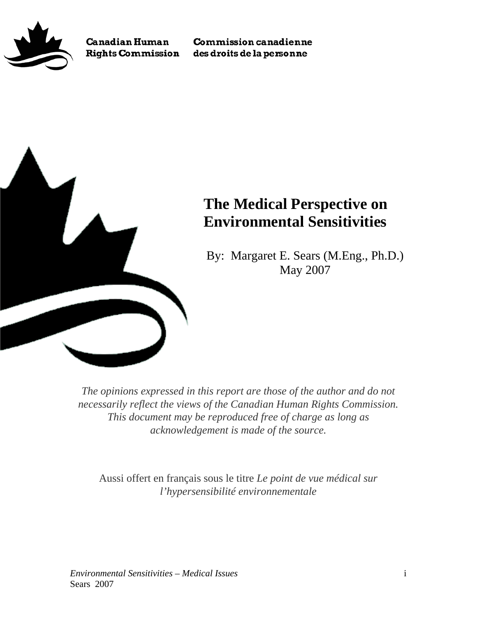

**Canadian Human Rights Commission**  **Commission canadienne** des droits de la personne



# **The Medical Perspective on Environmental Sensitivities**

By: Margaret E. Sears (M.Eng., Ph.D.) May 2007

*The opinions expressed in this report are those of the author and do not necessarily reflect the views of the Canadian Human Rights Commission. This document may be reproduced free of charge as long as acknowledgement is made of the source.* 

Aussi offert en français sous le titre *Le point de vue médical sur l'hypersensibilité environnementale*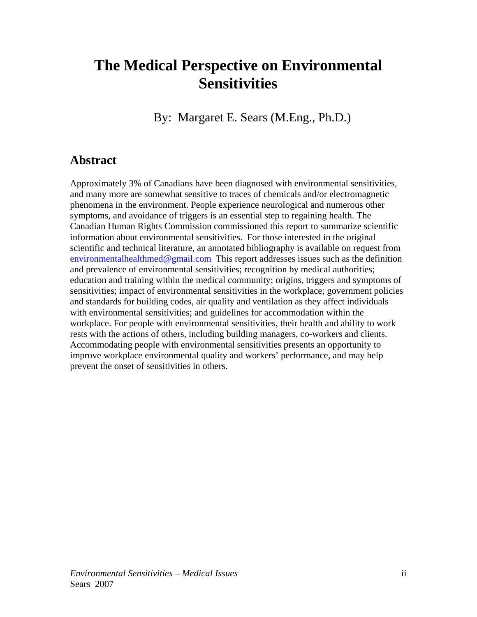# <span id="page-1-0"></span>**The Medical Perspective on Environmental Sensitivities**

By: Margaret E. Sears (M.Eng., Ph.D.)

## **Abstract**

Approximately 3% of Canadians have been diagnosed with environmental sensitivities, and many more are somewhat sensitive to traces of chemicals and/or electromagnetic phenomena in the environment. People experience neurological and numerous other symptoms, and avoidance of triggers is an essential step to regaining health. The Canadian Human Rights Commission commissioned this report to summarize scientific information about environmental sensitivities. For those interested in the original scientific and technical literature, an annotated bibliography is available on request from [environmentalhealthmed@gmail.com](mailto:environmentalhealthmed@gmail.com) This report addresses issues such as the definition and prevalence of environmental sensitivities; recognition by medical authorities; education and training within the medical community; origins, triggers and symptoms of sensitivities; impact of environmental sensitivities in the workplace; government policies and standards for building codes, air quality and ventilation as they affect individuals with environmental sensitivities; and guidelines for accommodation within the workplace. For people with environmental sensitivities, their health and ability to work rests with the actions of others, including building managers, co-workers and clients. Accommodating people with environmental sensitivities presents an opportunity to improve workplace environmental quality and workers' performance, and may help prevent the onset of sensitivities in others.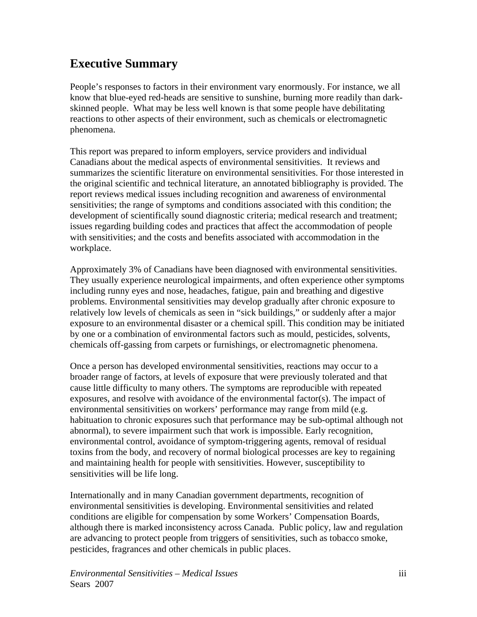# <span id="page-2-0"></span>**Executive Summary**

People's responses to factors in their environment vary enormously. For instance, we all know that blue-eyed red-heads are sensitive to sunshine, burning more readily than darkskinned people. What may be less well known is that some people have debilitating reactions to other aspects of their environment, such as chemicals or electromagnetic phenomena.

This report was prepared to inform employers, service providers and individual Canadians about the medical aspects of environmental sensitivities. It reviews and summarizes the scientific literature on environmental sensitivities. For those interested in the original scientific and technical literature, an annotated bibliography is provided. The report reviews medical issues including recognition and awareness of environmental sensitivities; the range of symptoms and conditions associated with this condition; the development of scientifically sound diagnostic criteria; medical research and treatment; issues regarding building codes and practices that affect the accommodation of people with sensitivities; and the costs and benefits associated with accommodation in the workplace.

Approximately 3% of Canadians have been diagnosed with environmental sensitivities. They usually experience neurological impairments, and often experience other symptoms including runny eyes and nose, headaches, fatigue, pain and breathing and digestive problems. Environmental sensitivities may develop gradually after chronic exposure to relatively low levels of chemicals as seen in "sick buildings," or suddenly after a major exposure to an environmental disaster or a chemical spill. This condition may be initiated by one or a combination of environmental factors such as mould, pesticides, solvents, chemicals off-gassing from carpets or furnishings, or electromagnetic phenomena.

Once a person has developed environmental sensitivities, reactions may occur to a broader range of factors, at levels of exposure that were previously tolerated and that cause little difficulty to many others. The symptoms are reproducible with repeated exposures, and resolve with avoidance of the environmental factor(s). The impact of environmental sensitivities on workers' performance may range from mild (e.g. habituation to chronic exposures such that performance may be sub-optimal although not abnormal), to severe impairment such that work is impossible. Early recognition, environmental control, avoidance of symptom-triggering agents, removal of residual toxins from the body, and recovery of normal biological processes are key to regaining and maintaining health for people with sensitivities. However, susceptibility to sensitivities will be life long.

Internationally and in many Canadian government departments, recognition of environmental sensitivities is developing. Environmental sensitivities and related conditions are eligible for compensation by some Workers' Compensation Boards, although there is marked inconsistency across Canada. Public policy, law and regulation are advancing to protect people from triggers of sensitivities, such as tobacco smoke, pesticides, fragrances and other chemicals in public places.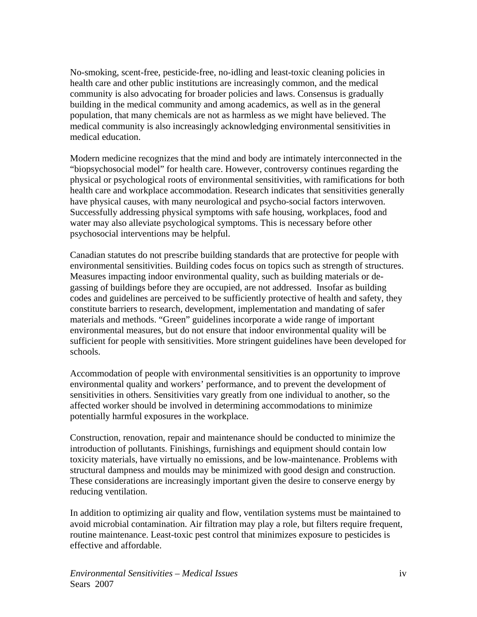No-smoking, scent-free, pesticide-free, no-idling and least-toxic cleaning policies in health care and other public institutions are increasingly common, and the medical community is also advocating for broader policies and laws. Consensus is gradually building in the medical community and among academics, as well as in the general population, that many chemicals are not as harmless as we might have believed. The medical community is also increasingly acknowledging environmental sensitivities in medical education.

Modern medicine recognizes that the mind and body are intimately interconnected in the "biopsychosocial model" for health care. However, controversy continues regarding the physical or psychological roots of environmental sensitivities, with ramifications for both health care and workplace accommodation. Research indicates that sensitivities generally have physical causes, with many neurological and psycho-social factors interwoven. Successfully addressing physical symptoms with safe housing, workplaces, food and water may also alleviate psychological symptoms. This is necessary before other psychosocial interventions may be helpful.

Canadian statutes do not prescribe building standards that are protective for people with environmental sensitivities. Building codes focus on topics such as strength of structures. Measures impacting indoor environmental quality, such as building materials or degassing of buildings before they are occupied, are not addressed. Insofar as building codes and guidelines are perceived to be sufficiently protective of health and safety, they constitute barriers to research, development, implementation and mandating of safer materials and methods. "Green" guidelines incorporate a wide range of important environmental measures, but do not ensure that indoor environmental quality will be sufficient for people with sensitivities. More stringent guidelines have been developed for schools.

Accommodation of people with environmental sensitivities is an opportunity to improve environmental quality and workers' performance, and to prevent the development of sensitivities in others. Sensitivities vary greatly from one individual to another, so the affected worker should be involved in determining accommodations to minimize potentially harmful exposures in the workplace.

Construction, renovation, repair and maintenance should be conducted to minimize the introduction of pollutants. Finishings, furnishings and equipment should contain low toxicity materials, have virtually no emissions, and be low-maintenance. Problems with structural dampness and moulds may be minimized with good design and construction. These considerations are increasingly important given the desire to conserve energy by reducing ventilation.

In addition to optimizing air quality and flow, ventilation systems must be maintained to avoid microbial contamination. Air filtration may play a role, but filters require frequent, routine maintenance. Least-toxic pest control that minimizes exposure to pesticides is effective and affordable.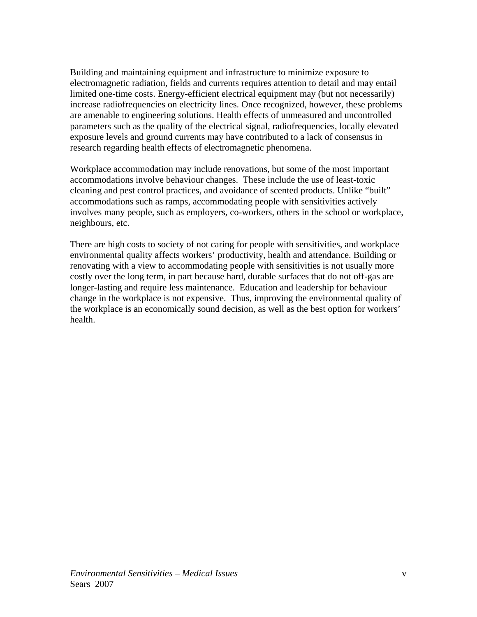Building and maintaining equipment and infrastructure to minimize exposure to electromagnetic radiation, fields and currents requires attention to detail and may entail limited one-time costs. Energy-efficient electrical equipment may (but not necessarily) increase radiofrequencies on electricity lines. Once recognized, however, these problems are amenable to engineering solutions. Health effects of unmeasured and uncontrolled parameters such as the quality of the electrical signal, radiofrequencies, locally elevated exposure levels and ground currents may have contributed to a lack of consensus in research regarding health effects of electromagnetic phenomena.

Workplace accommodation may include renovations, but some of the most important accommodations involve behaviour changes. These include the use of least-toxic cleaning and pest control practices, and avoidance of scented products. Unlike "built" accommodations such as ramps, accommodating people with sensitivities actively involves many people, such as employers, co-workers, others in the school or workplace, neighbours, etc.

There are high costs to society of not caring for people with sensitivities, and workplace environmental quality affects workers' productivity, health and attendance. Building or renovating with a view to accommodating people with sensitivities is not usually more costly over the long term, in part because hard, durable surfaces that do not off-gas are longer-lasting and require less maintenance. Education and leadership for behaviour change in the workplace is not expensive. Thus, improving the environmental quality of the workplace is an economically sound decision, as well as the best option for workers' health.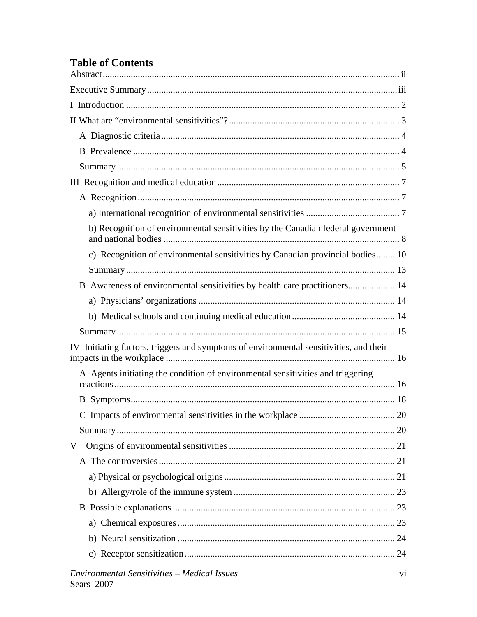## **Table of Contents**

| b) Recognition of environmental sensitivities by the Canadian federal government       |
|----------------------------------------------------------------------------------------|
| c) Recognition of environmental sensitivities by Canadian provincial bodies 10         |
|                                                                                        |
| B Awareness of environmental sensitivities by health care practitioners 14             |
|                                                                                        |
|                                                                                        |
|                                                                                        |
| IV Initiating factors, triggers and symptoms of environmental sensitivities, and their |
| A Agents initiating the condition of environmental sensitivities and triggering        |
|                                                                                        |
|                                                                                        |
| C Impacts of environmental sensitivities in the workplace<br>$\ldots 20$               |
|                                                                                        |
| V                                                                                      |
|                                                                                        |
|                                                                                        |
|                                                                                        |
|                                                                                        |
|                                                                                        |
|                                                                                        |
|                                                                                        |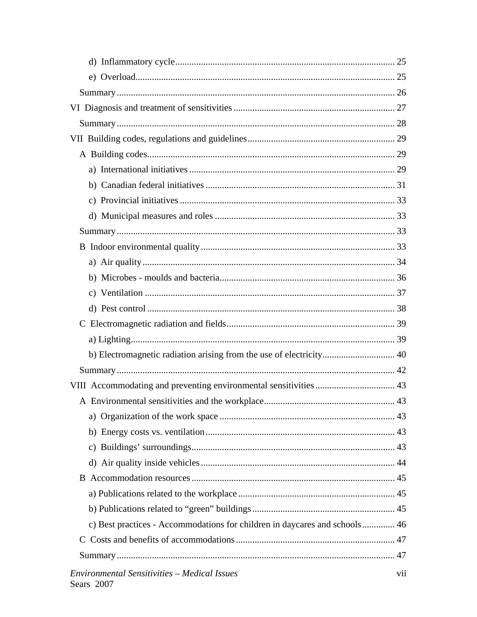| c) Best practices - Accommodations for children in daycares and schools 46 |                |
|----------------------------------------------------------------------------|----------------|
| $\mathbf C$                                                                |                |
|                                                                            |                |
| <b>Environmental Sensitivities - Medical Issues</b>                        | V <sub>i</sub> |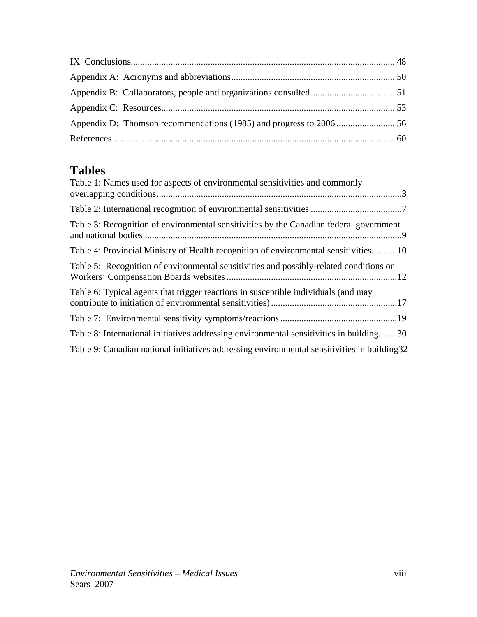# **Tables**

| Table 1: Names used for aspects of environmental sensitivities and commonly                  |
|----------------------------------------------------------------------------------------------|
|                                                                                              |
| Table 3: Recognition of environmental sensitivities by the Canadian federal government       |
| Table 4: Provincial Ministry of Health recognition of environmental sensitivities10          |
| Table 5: Recognition of environmental sensitivities and possibly-related conditions on       |
| Table 6: Typical agents that trigger reactions in susceptible individuals (and may           |
|                                                                                              |
| Table 8: International initiatives addressing environmental sensitivities in building30      |
| Table 9: Canadian national initiatives addressing environmental sensitivities in building 32 |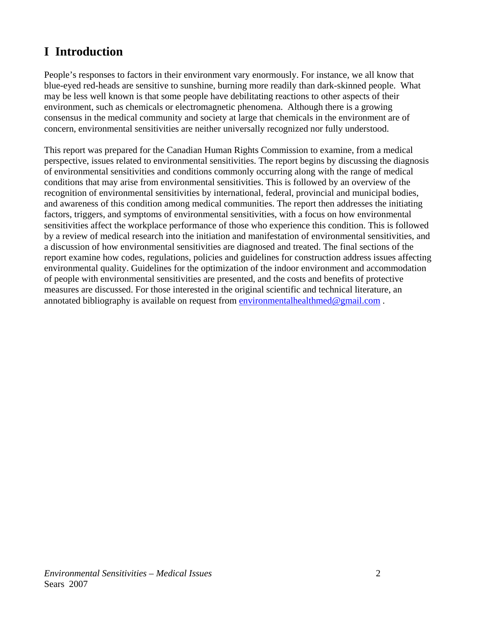# <span id="page-8-0"></span>**I Introduction**

People's responses to factors in their environment vary enormously. For instance, we all know that blue-eyed red-heads are sensitive to sunshine, burning more readily than dark-skinned people. What may be less well known is that some people have debilitating reactions to other aspects of their environment, such as chemicals or electromagnetic phenomena. Although there is a growing consensus in the medical community and society at large that chemicals in the environment are of concern, environmental sensitivities are neither universally recognized nor fully understood.

This report was prepared for the Canadian Human Rights Commission to examine, from a medical perspective, issues related to environmental sensitivities. The report begins by discussing the diagnosis of environmental sensitivities and conditions commonly occurring along with the range of medical conditions that may arise from environmental sensitivities. This is followed by an overview of the recognition of environmental sensitivities by international, federal, provincial and municipal bodies, and awareness of this condition among medical communities. The report then addresses the initiating factors, triggers, and symptoms of environmental sensitivities, with a focus on how environmental sensitivities affect the workplace performance of those who experience this condition. This is followed by a review of medical research into the initiation and manifestation of environmental sensitivities, and a discussion of how environmental sensitivities are diagnosed and treated. The final sections of the report examine how codes, regulations, policies and guidelines for construction address issues affecting environmental quality. Guidelines for the optimization of the indoor environment and accommodation of people with environmental sensitivities are presented, and the costs and benefits of protective measures are discussed. For those interested in the original scientific and technical literature, an annotated bibliography is available on request from [environmentalhealthmed@gmail.com](mailto:environmentalhealthmed@gmail.com).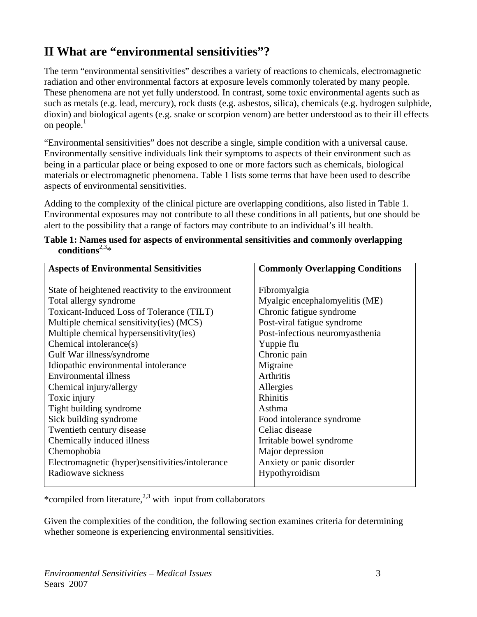# <span id="page-9-0"></span>**II What are "environmental sensitivities"?**

The term "environmental sensitivities" describes a variety of reactions to chemicals, electromagnetic radiation and other environmental factors at exposure levels commonly tolerated by many people. These phenomena are not yet fully understood. In contrast, some toxic environmental agents such as such as metals (e.g. lead, mercury), rock dusts (e.g. asbestos, silica), chemicals (e.g. hydrogen sulphide, dioxin) and biological agents (e.g. snake or scorpion venom) are better understood as to their ill effects on people. $<sup>1</sup>$ </sup>

"Environmental sensitivities" does not describe a single, simple condition with a universal cause. Environmentally sensitive individuals link their symptoms to aspects of their environment such as being in a particular place or being exposed to one or more factors such as chemicals, biological materials or electromagnetic phenomena. Table 1 lists some terms that have been used to describe aspects of environmental sensitivities.

Adding to the complexity of the clinical picture are overlapping conditions, also listed in Table 1. Environmental exposures may not contribute to all these conditions in all patients, but one should be alert to the possibility that a range of factors may contribute to an individual's ill health.

| <b>Aspects of Environmental Sensitivities</b>     | <b>Commonly Overlapping Conditions</b> |  |
|---------------------------------------------------|----------------------------------------|--|
| State of heightened reactivity to the environment | Fibromyalgia                           |  |
| Total allergy syndrome                            | Myalgic encephalomyelitis (ME)         |  |
| Toxicant-Induced Loss of Tolerance (TILT)         | Chronic fatigue syndrome               |  |
|                                                   |                                        |  |
| Multiple chemical sensitivity(ies) (MCS)          | Post-viral fatigue syndrome            |  |
| Multiple chemical hypersensitivity(ies)           | Post-infectious neuromyasthenia        |  |
| Chemical intolerance(s)                           | Yuppie flu                             |  |
| Gulf War illness/syndrome                         | Chronic pain                           |  |
| Idiopathic environmental intolerance              | Migraine                               |  |
| <b>Environmental illness</b>                      | Arthritis                              |  |
| Chemical injury/allergy                           | Allergies                              |  |
| Toxic injury                                      | <b>Rhinitis</b>                        |  |
| Tight building syndrome                           | Asthma                                 |  |
| Sick building syndrome                            | Food intolerance syndrome              |  |
| Twentieth century disease                         | Celiac disease                         |  |
| Chemically induced illness                        | Irritable bowel syndrome               |  |
| Chemophobia                                       | Major depression                       |  |
| Electromagnetic (hyper)sensitivities/intolerance  | Anxiety or panic disorder              |  |
| Radiowaye sickness                                | Hypothyroidism                         |  |
|                                                   |                                        |  |

|                            | Table 1: Names used for aspects of environmental sensitivities and commonly overlapping |  |
|----------------------------|-----------------------------------------------------------------------------------------|--|
| conditions <sup>2,3*</sup> |                                                                                         |  |

\*compiled from literature, $^{2,3}$  with input from collaborators

Given the complexities of the condition, the following section examines criteria for determining whether someone is experiencing environmental sensitivities.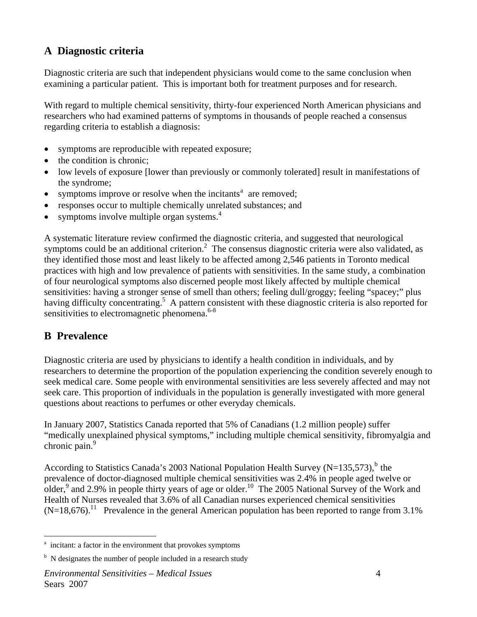## <span id="page-10-0"></span>**A Diagnostic criteria**

Diagnostic criteria are such that independent physicians would come to the same conclusion when examining a particular patient. This is important both for treatment purposes and for research.

With regard to multiple chemical sensitivity, thirty-four experienced North American physicians and researchers who had examined patterns of symptoms in thousands of people reached a consensus regarding criteria to establish a diagnosis:

- symptoms are reproducible with repeated exposure;
- the condition is chronic;
- low levels of exposure [lower than previously or commonly tolerated] result in manifestations of the syndrome;
- symptoms improve or resolve when the incit[a](#page-10-1)nts<sup>a</sup> are removed;
- responses occur to multiple chemically unrelated substances; and
- symptoms involve multiple organ systems. $4$

A systematic literature review confirmed the diagnostic criteria, and suggested that neurological symptoms could be an additional criterion.<sup>2</sup> The consensus diagnostic criteria were also validated, as they identified those most and least likely to be affected among 2,546 patients in Toronto medical practices with high and low prevalence of patients with sensitivities. In the same study, a combination of four neurological symptoms also discerned people most likely affected by multiple chemical sensitivities: having a stronger sense of smell than others; feeling dull/groggy; feeling "spacey;" plus having difficulty concentrating.<sup>5</sup> A pattern consistent with these diagnostic criteria is also reported for sensitivities to electromagnetic phenomena.<sup>6-8</sup>

## **B Prevalence**

Diagnostic criteria are used by physicians to identify a health condition in individuals, and by researchers to determine the proportion of the population experiencing the condition severely enough to seek medical care. Some people with environmental sensitivities are less severely affected and may not seek care. This proportion of individuals in the population is generally investigated with more general questions about reactions to perfumes or other everyday chemicals.

In January 2007, Statistics Canada reported that 5% of Canadians (1.2 million people) suffer "medically unexplained physical symptoms," including multiple chemical sensitivity, fibromyalgia and chronic pain.<sup>9</sup>

According to Statistics Canada's 2003 National Population Health Survey (N=135,573), $^b$  $^b$  the prevalence of doctor-diagnosed multiple chemical sensitivities was 2.4% in people aged twelve or older,  $9$  and 2.9% in people thirty years of age or older.<sup>10</sup> The 2005 National Survey of the Work and Health of Nurses revealed that 3.6% of all Canadian nurses experienced chemical sensitivities  $(N=18,676)$ .<sup>11</sup> Prevalence in the general American population has been reported to range from 3.1%

<span id="page-10-1"></span><sup>&</sup>lt;sup>a</sup> incitant: a factor in the environment that provokes symptoms

<span id="page-10-2"></span> $b$  N designates the number of people included in a research study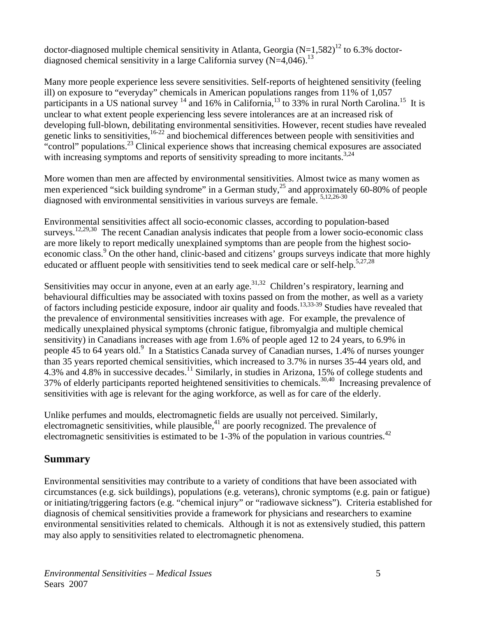<span id="page-11-0"></span>doctor-diagnosed multiple chemical sensitivity in Atlanta, Georgia (N=1,582)<sup>12</sup> to 6.3% doctordiagnosed chemical sensitivity in a large California survey  $(N=4,046)$ <sup>13</sup>

Many more people experience less severe sensitivities. Self-reports of heightened sensitivity (feeling ill) on exposure to "everyday" chemicals in American populations ranges from 11% of 1,057 participants in a US national survey  $14$  and 16% in California,  $13$  to 33% in rural North Carolina.<sup>15</sup> It is unclear to what extent people experiencing less severe intolerances are at an increased risk of developing full-blown, debilitating environmental sensitivities. However, recent studies have revealed genetic links to sensitivities,<sup>16-22</sup> and biochemical differences between people with sensitivities and "control" populations.<sup>23</sup> Clinical experience shows that increasing chemical exposures are associated with increasing symptoms and reports of sensitivity spreading to more incitants.<sup>3,24</sup>

More women than men are affected by environmental sensitivities. Almost twice as many women as men experienced "sick building syndrome" in a German study,<sup>25</sup> and approximately 60-80% of people diagnosed with environmental sensitivities in various surveys are female. 5,12,26-30

Environmental sensitivities affect all socio-economic classes, according to population-based surveys.<sup>12,29,30</sup> The recent Canadian analysis indicates that people from a lower socio-economic class are more likely to report medically unexplained symptoms than are people from the highest socioeconomic class.<sup>9</sup> On the other hand, clinic-based and citizens' groups surveys indicate that more highly educated or affluent people with sensitivities tend to seek medical care or self-help.<sup>5,27,28</sup>

Sensitivities may occur in anyone, even at an early age.<sup>31,32</sup> Children's respiratory, learning and behavioural difficulties may be associated with toxins passed on from the mother, as well as a variety of factors including pesticide exposure, indoor air quality and foods.<sup>13,33-39</sup> Studies have revealed that the prevalence of environmental sensitivities increases with age. For example, the prevalence of medically unexplained physical symptoms (chronic fatigue, fibromyalgia and multiple chemical sensitivity) in Canadians increases with age from 1.6% of people aged 12 to 24 years, to 6.9% in people 45 to 64 years old.<sup>9</sup> In a Statistics Canada survey of Canadian nurses, 1.4% of nurses younger than 35 years reported chemical sensitivities, which increased to 3.7% in nurses 35-44 years old, and 4.3% and 4.8% in successive decades.11 Similarly, in studies in Arizona, 15% of college students and 37% of elderly participants reported heightened sensitivities to chemicals.<sup>30,40</sup> Increasing prevalence of sensitivities with age is relevant for the aging workforce, as well as for care of the elderly.

Unlike perfumes and moulds, electromagnetic fields are usually not perceived. Similarly, electromagnetic sensitivities, while plausible, $4<sup>1</sup>$  are poorly recognized. The prevalence of electromagnetic sensitivities is estimated to be  $1-3\%$  of the population in various countries.<sup>42</sup>

#### **Summary**

Environmental sensitivities may contribute to a variety of conditions that have been associated with circumstances (e.g. sick buildings), populations (e.g. veterans), chronic symptoms (e.g. pain or fatigue) or initiating/triggering factors (e.g. "chemical injury" or "radiowave sickness"). Criteria established for diagnosis of chemical sensitivities provide a framework for physicians and researchers to examine environmental sensitivities related to chemicals. Although it is not as extensively studied, this pattern may also apply to sensitivities related to electromagnetic phenomena.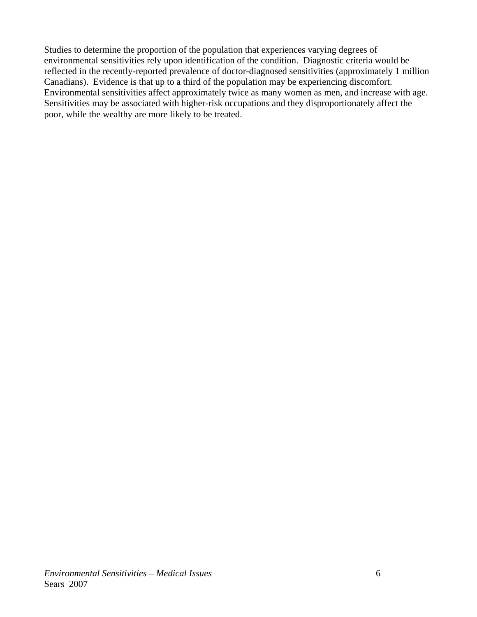Studies to determine the proportion of the population that experiences varying degrees of environmental sensitivities rely upon identification of the condition. Diagnostic criteria would be reflected in the recently-reported prevalence of doctor-diagnosed sensitivities (approximately 1 million Canadians). Evidence is that up to a third of the population may be experiencing discomfort. Environmental sensitivities affect approximately twice as many women as men, and increase with age. Sensitivities may be associated with higher-risk occupations and they disproportionately affect the poor, while the wealthy are more likely to be treated.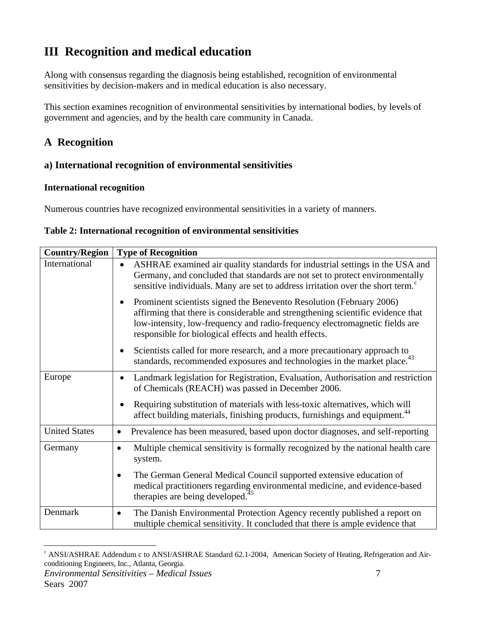# <span id="page-13-0"></span>**III Recognition and medical education**

Along with consensus regarding the diagnosis being established, recognition of environmental sensitivities by decision-makers and in medical education is also necessary.

This section examines recognition of environmental sensitivities by international bodies, by levels of government and agencies, and by the health care community in Canada.

## **A Recognition**

### **a) International recognition of environmental sensitivities**

#### **International recognition**

Numerous countries have recognized environmental sensitivities in a variety of manners.

| Country/Region       | <b>Type of Recognition</b>                                                                                                                                                                                                                                                                                    |
|----------------------|---------------------------------------------------------------------------------------------------------------------------------------------------------------------------------------------------------------------------------------------------------------------------------------------------------------|
| International        | ASHRAE examined air quality standards for industrial settings in the USA and<br>$\bullet$<br>Germany, and concluded that standards are not set to protect environmentally<br>sensitive individuals. Many are set to address irritation over the short term. <sup>c</sup>                                      |
|                      | Prominent scientists signed the Benevento Resolution (February 2006)<br>$\bullet$<br>affirming that there is considerable and strengthening scientific evidence that<br>low-intensity, low-frequency and radio-frequency electromagnetic fields are<br>responsible for biological effects and health effects. |
|                      | Scientists called for more research, and a more precautionary approach to<br>$\bullet$<br>standards, recommended exposures and technologies in the market place. <sup>43</sup>                                                                                                                                |
| Europe               | Landmark legislation for Registration, Evaluation, Authorisation and restriction<br>$\bullet$<br>of Chemicals (REACH) was passed in December 2006.                                                                                                                                                            |
|                      | Requiring substitution of materials with less-toxic alternatives, which will<br>٠<br>affect building materials, finishing products, furnishings and equipment. <sup>44</sup>                                                                                                                                  |
| <b>United States</b> | Prevalence has been measured, based upon doctor diagnoses, and self-reporting<br>$\bullet$                                                                                                                                                                                                                    |
| Germany              | Multiple chemical sensitivity is formally recognized by the national health care<br>$\bullet$<br>system.                                                                                                                                                                                                      |
|                      | The German General Medical Council supported extensive education of<br>$\bullet$<br>medical practitioners regarding environmental medicine, and evidence-based<br>therapies are being developed. <sup>45</sup>                                                                                                |
| Denmark              | The Danish Environmental Protection Agency recently published a report on<br>$\bullet$<br>multiple chemical sensitivity. It concluded that there is ample evidence that                                                                                                                                       |

| Table 2: International recognition of environmental sensitivities |  |  |
|-------------------------------------------------------------------|--|--|
|-------------------------------------------------------------------|--|--|

 $\overline{a}$ 

<span id="page-13-1"></span>*Environmental Sensitivities – Medical Issues* 7 <sup>c</sup> ANSI/ASHRAE Addendum c to ANSI/ASHRAE Standard 62.1-2004, American Society of Heating, Refrigeration and Airconditioning Engineers, Inc*.,* Atlanta, Georgia.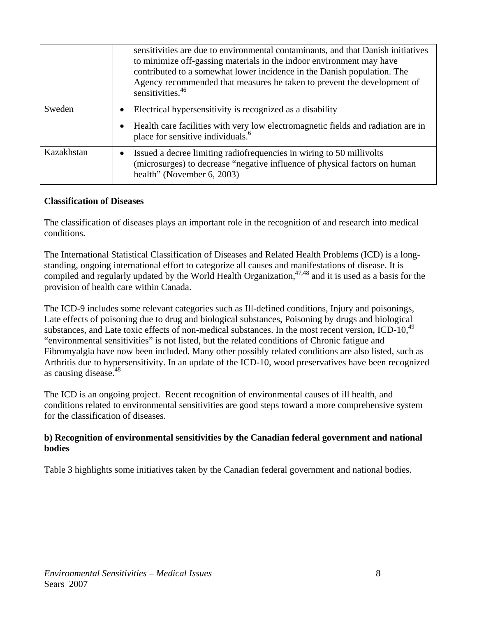<span id="page-14-0"></span>

|            | sensitivities are due to environmental contaminants, and that Danish initiatives<br>to minimize off-gassing materials in the indoor environment may have<br>contributed to a somewhat lower incidence in the Danish population. The<br>Agency recommended that measures be taken to prevent the development of<br>sensitivities. $46$ |
|------------|---------------------------------------------------------------------------------------------------------------------------------------------------------------------------------------------------------------------------------------------------------------------------------------------------------------------------------------|
| Sweden     | Electrical hypersensitivity is recognized as a disability<br>$\bullet$                                                                                                                                                                                                                                                                |
|            | Health care facilities with very low electromagnetic fields and radiation are in<br>$\bullet$<br>place for sensitive individuals. <sup>6</sup>                                                                                                                                                                                        |
| Kazakhstan | Issued a decree limiting radiofrequencies in wiring to 50 millivolts<br>$\bullet$<br>(microsurges) to decrease "negative influence of physical factors on human<br>health" (November 6, 2003)                                                                                                                                         |

#### **Classification of Diseases**

The classification of diseases plays an important role in the recognition of and research into medical conditions.

The International Statistical Classification of Diseases and Related Health Problems (ICD) is a longstanding, ongoing international effort to categorize all causes and manifestations of disease. It is compiled and regularly updated by the World Health Organization,  $47,48$  and it is used as a basis for the provision of health care within Canada.

The ICD-9 includes some relevant categories such as Ill-defined conditions, Injury and poisonings, Late effects of poisoning due to drug and biological substances, Poisoning by drugs and biological substances, and Late toxic effects of non-medical substances. In the most recent version, ICD-10, $49$ "environmental sensitivities" is not listed, but the related conditions of Chronic fatigue and Fibromyalgia have now been included. Many other possibly related conditions are also listed, such as Arthritis due to hypersensitivity. In an update of the ICD-10, wood preservatives have been recognized as causing disease.<sup>48</sup>

The ICD is an ongoing project. Recent recognition of environmental causes of ill health, and conditions related to environmental sensitivities are good steps toward a more comprehensive system for the classification of diseases.

#### **b) Recognition of environmental sensitivities by the Canadian federal government and national bodies**

Table 3 highlights some initiatives taken by the Canadian federal government and national bodies.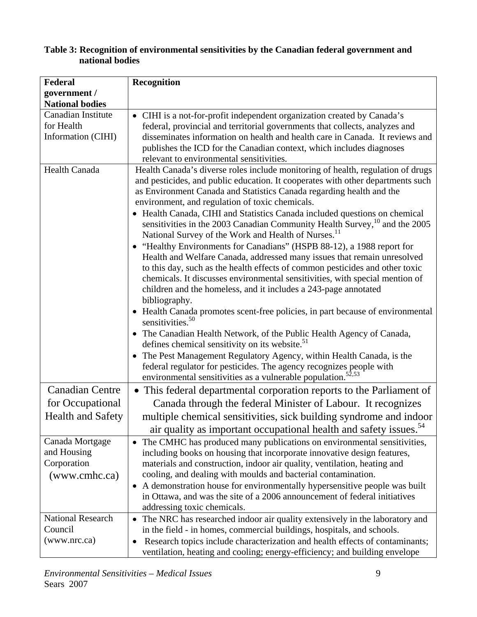#### <span id="page-15-0"></span>**Table 3: Recognition of environmental sensitivities by the Canadian federal government and national bodies**

| Federal                                                        | Recognition                                                                                                                                                                                                                                                                                                                                                                                                                                                                                                                                                                                                                                                                                                                                                                                                                                                                                                                                       |
|----------------------------------------------------------------|---------------------------------------------------------------------------------------------------------------------------------------------------------------------------------------------------------------------------------------------------------------------------------------------------------------------------------------------------------------------------------------------------------------------------------------------------------------------------------------------------------------------------------------------------------------------------------------------------------------------------------------------------------------------------------------------------------------------------------------------------------------------------------------------------------------------------------------------------------------------------------------------------------------------------------------------------|
| government /                                                   |                                                                                                                                                                                                                                                                                                                                                                                                                                                                                                                                                                                                                                                                                                                                                                                                                                                                                                                                                   |
| <b>National bodies</b>                                         |                                                                                                                                                                                                                                                                                                                                                                                                                                                                                                                                                                                                                                                                                                                                                                                                                                                                                                                                                   |
| Canadian Institute                                             | • CIHI is a not-for-profit independent organization created by Canada's                                                                                                                                                                                                                                                                                                                                                                                                                                                                                                                                                                                                                                                                                                                                                                                                                                                                           |
| for Health                                                     | federal, provincial and territorial governments that collects, analyzes and                                                                                                                                                                                                                                                                                                                                                                                                                                                                                                                                                                                                                                                                                                                                                                                                                                                                       |
| Information (CIHI)                                             | disseminates information on health and health care in Canada. It reviews and                                                                                                                                                                                                                                                                                                                                                                                                                                                                                                                                                                                                                                                                                                                                                                                                                                                                      |
|                                                                | publishes the ICD for the Canadian context, which includes diagnoses                                                                                                                                                                                                                                                                                                                                                                                                                                                                                                                                                                                                                                                                                                                                                                                                                                                                              |
|                                                                | relevant to environmental sensitivities.                                                                                                                                                                                                                                                                                                                                                                                                                                                                                                                                                                                                                                                                                                                                                                                                                                                                                                          |
| <b>Health Canada</b>                                           | Health Canada's diverse roles include monitoring of health, regulation of drugs<br>and pesticides, and public education. It cooperates with other departments such<br>as Environment Canada and Statistics Canada regarding health and the<br>environment, and regulation of toxic chemicals.<br>• Health Canada, CIHI and Statistics Canada included questions on chemical<br>sensitivities in the 2003 Canadian Community Health Survey, <sup>10</sup> and the 2005<br>National Survey of the Work and Health of Nurses. <sup>11</sup><br>• "Healthy Environments for Canadians" (HSPB 88-12), a 1988 report for<br>Health and Welfare Canada, addressed many issues that remain unresolved<br>to this day, such as the health effects of common pesticides and other toxic<br>chemicals. It discusses environmental sensitivities, with special mention of<br>children and the homeless, and it includes a 243-page annotated<br>bibliography. |
|                                                                | • Health Canada promotes scent-free policies, in part because of environmental<br>sensitivities. $50$<br>The Canadian Health Network, of the Public Health Agency of Canada,<br>defines chemical sensitivity on its website. <sup>51</sup><br>• The Pest Management Regulatory Agency, within Health Canada, is the<br>federal regulator for pesticides. The agency recognizes people with<br>environmental sensitivities as a vulnerable population. <sup>52,53</sup>                                                                                                                                                                                                                                                                                                                                                                                                                                                                            |
| <b>Canadian Centre</b>                                         | • This federal departmental corporation reports to the Parliament of                                                                                                                                                                                                                                                                                                                                                                                                                                                                                                                                                                                                                                                                                                                                                                                                                                                                              |
| for Occupational                                               | Canada through the federal Minister of Labour. It recognizes                                                                                                                                                                                                                                                                                                                                                                                                                                                                                                                                                                                                                                                                                                                                                                                                                                                                                      |
| <b>Health and Safety</b>                                       | multiple chemical sensitivities, sick building syndrome and indoor<br>air quality as important occupational health and safety issues. <sup>54</sup>                                                                                                                                                                                                                                                                                                                                                                                                                                                                                                                                                                                                                                                                                                                                                                                               |
| Canada Mortgage<br>and Housing<br>Corporation<br>(www.cmhc.ca) | The CMHC has produced many publications on environmental sensitivities,<br>including books on housing that incorporate innovative design features,<br>materials and construction, indoor air quality, ventilation, heating and<br>cooling, and dealing with moulds and bacterial contamination.<br>A demonstration house for environmentally hypersensitive people was built<br>in Ottawa, and was the site of a 2006 announcement of federal initiatives<br>addressing toxic chemicals.                                                                                                                                                                                                                                                                                                                                                                                                                                                          |
| <b>National Research</b>                                       | • The NRC has researched indoor air quality extensively in the laboratory and                                                                                                                                                                                                                                                                                                                                                                                                                                                                                                                                                                                                                                                                                                                                                                                                                                                                     |
| Council                                                        | in the field - in homes, commercial buildings, hospitals, and schools.                                                                                                                                                                                                                                                                                                                                                                                                                                                                                                                                                                                                                                                                                                                                                                                                                                                                            |
| (www.nrc.ca)                                                   | Research topics include characterization and health effects of contaminants;<br>$\bullet$<br>ventilation, heating and cooling; energy-efficiency; and building envelope                                                                                                                                                                                                                                                                                                                                                                                                                                                                                                                                                                                                                                                                                                                                                                           |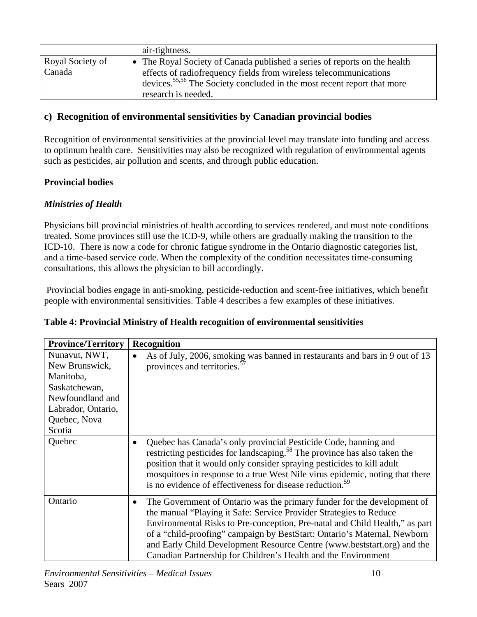<span id="page-16-0"></span>

|                  | air-tightness.                                                                      |
|------------------|-------------------------------------------------------------------------------------|
| Royal Society of | • The Royal Society of Canada published a series of reports on the health           |
| Canada           | effects of radiofrequency fields from wireless telecommunications                   |
|                  | devices. <sup>55,56</sup> The Society concluded in the most recent report that more |
|                  | research is needed.                                                                 |

#### **c) Recognition of environmental sensitivities by Canadian provincial bodies**

Recognition of environmental sensitivities at the provincial level may translate into funding and access to optimum health care. Sensitivities may also be recognized with regulation of environmental agents such as pesticides, air pollution and scents, and through public education.

#### **Provincial bodies**

#### *Ministries of Health*

Physicians bill provincial ministries of health according to services rendered, and must note conditions treated. Some provinces still use the ICD-9, while others are gradually making the transition to the ICD-10. There is now a code for chronic fatigue syndrome in the Ontario diagnostic categories list, and a time-based service code. When the complexity of the condition necessitates time-consuming consultations, this allows the physician to bill accordingly.

 Provincial bodies engage in anti-smoking, pesticide-reduction and scent-free initiatives, which benefit people with environmental sensitivities. Table 4 describes a few examples of these initiatives.

| <b>Province/Territory</b>                                                                                               | <b>Recognition</b>                                                                                                                                                                                                                                                                                                                                                                                                                                         |
|-------------------------------------------------------------------------------------------------------------------------|------------------------------------------------------------------------------------------------------------------------------------------------------------------------------------------------------------------------------------------------------------------------------------------------------------------------------------------------------------------------------------------------------------------------------------------------------------|
| Nunavut, NWT,<br>New Brunswick,<br>Manitoba,<br>Saskatchewan,<br>Newfoundland and<br>Labrador, Ontario,<br>Quebec, Nova | As of July, 2006, smoking was banned in restaurants and bars in 9 out of 13<br>$\bullet$<br>provinces and territories. <sup>57</sup>                                                                                                                                                                                                                                                                                                                       |
| Scotia                                                                                                                  |                                                                                                                                                                                                                                                                                                                                                                                                                                                            |
| Quebec                                                                                                                  | Quebec has Canada's only provincial Pesticide Code, banning and<br>$\bullet$<br>restricting pesticides for landscaping. <sup>58</sup> The province has also taken the<br>position that it would only consider spraying pesticides to kill adult<br>mosquitoes in response to a true West Nile virus epidemic, noting that there<br>is no evidence of effectiveness for disease reduction. <sup>59</sup>                                                    |
| Ontario                                                                                                                 | The Government of Ontario was the primary funder for the development of<br>٠<br>the manual "Playing it Safe: Service Provider Strategies to Reduce<br>Environmental Risks to Pre-conception, Pre-natal and Child Health," as part<br>of a "child-proofing" campaign by BestStart: Ontario's Maternal, Newborn<br>and Early Child Development Resource Centre (www.beststart.org) and the<br>Canadian Partnership for Children's Health and the Environment |

#### **Table 4: Provincial Ministry of Health recognition of environmental sensitivities**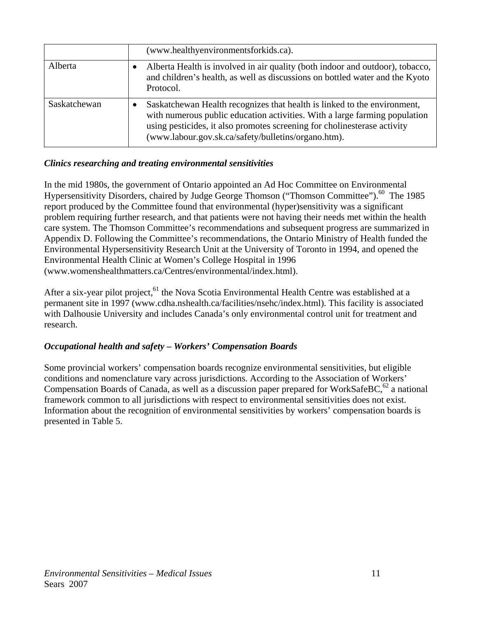|              | (www.healthyenvironmentsforkids.ca).                                                                                                                                                                                                                                                      |
|--------------|-------------------------------------------------------------------------------------------------------------------------------------------------------------------------------------------------------------------------------------------------------------------------------------------|
| Alberta      | Alberta Health is involved in air quality (both indoor and outdoor), tobacco,<br>and children's health, as well as discussions on bottled water and the Kyoto<br>Protocol.                                                                                                                |
| Saskatchewan | Saskatchewan Health recognizes that health is linked to the environment,<br>with numerous public education activities. With a large farming population<br>using pesticides, it also promotes screening for cholinesterase activity<br>(www.labour.gov.sk.ca/safety/bulletins/organo.htm). |

#### *Clinics researching and treating environmental sensitivities*

In the mid 1980s, the government of Ontario appointed an Ad Hoc Committee on Environmental Hypersensitivity Disorders, chaired by Judge George Thomson ("Thomson Committee").<sup>60</sup> The 1985 report produced by the Committee found that environmental (hyper)sensitivity was a significant problem requiring further research, and that patients were not having their needs met within the health care system. The Thomson Committee's recommendations and subsequent progress are summarized in Appendix D. Following the Committee's recommendations, the Ontario Ministry of Health funded the Environmental Hypersensitivity Research Unit at the University of Toronto in 1994, and opened the Environmental Health Clinic at Women's College Hospital in 1996 (www.womenshealthmatters.ca/Centres/environmental/index.html).

After a six-year pilot project,  $61$  the Nova Scotia Environmental Health Centre was established at a permanent site in 1997 (www.cdha.nshealth.ca/facilities/nsehc/index.html). This facility is associated with Dalhousie University and includes Canada's only environmental control unit for treatment and research.

#### *Occupational health and safety – Workers' Compensation Boards*

Some provincial workers' compensation boards recognize environmental sensitivities, but eligible conditions and nomenclature vary across jurisdictions. According to the Association of Workers' Compensation Boards of Canada, as well as a discussion paper prepared for WorkSafeBC,<sup>62</sup> a national framework common to all jurisdictions with respect to environmental sensitivities does not exist. Information about the recognition of environmental sensitivities by workers' compensation boards is presented in Table 5.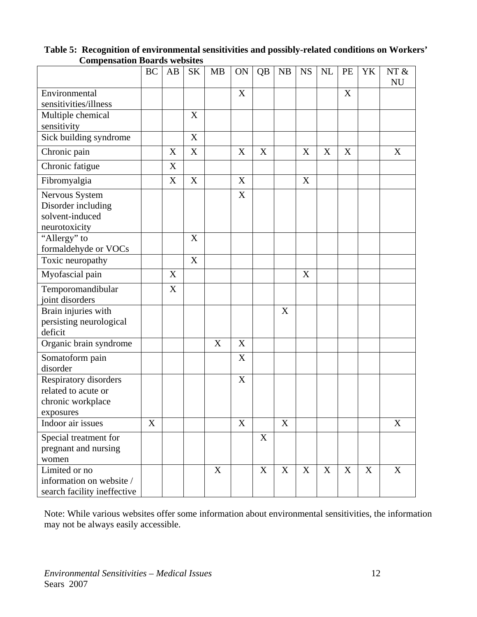|                                                                                | <b>BC</b>        | AB                        | <b>SK</b>                 | <b>MB</b>   | ON                        | QB               | <b>NB</b> | <b>NS</b> | NL          | PE | YK          | NT $\&$<br><b>NU</b> |
|--------------------------------------------------------------------------------|------------------|---------------------------|---------------------------|-------------|---------------------------|------------------|-----------|-----------|-------------|----|-------------|----------------------|
| Environmental                                                                  |                  |                           |                           |             | X                         |                  |           |           |             | X  |             |                      |
| sensitivities/illness                                                          |                  |                           |                           |             |                           |                  |           |           |             |    |             |                      |
| Multiple chemical                                                              |                  |                           | X                         |             |                           |                  |           |           |             |    |             |                      |
| sensitivity                                                                    |                  |                           |                           |             |                           |                  |           |           |             |    |             |                      |
| Sick building syndrome                                                         |                  |                           | $\boldsymbol{\mathrm{X}}$ |             |                           |                  |           |           |             |    |             |                      |
| Chronic pain                                                                   |                  | X                         | $\mathbf X$               |             | X                         | X                |           | X         | $\mathbf X$ | X  |             | X                    |
| Chronic fatigue                                                                |                  | $\boldsymbol{\mathrm{X}}$ |                           |             |                           |                  |           |           |             |    |             |                      |
| Fibromyalgia                                                                   |                  | $\mathbf X$               | $\mathbf X$               |             | X                         |                  |           | X         |             |    |             |                      |
| Nervous System<br>Disorder including<br>solvent-induced<br>neurotoxicity       |                  |                           |                           |             | X                         |                  |           |           |             |    |             |                      |
| "Allergy" to<br>formaldehyde or VOCs                                           |                  |                           | $\mathbf X$               |             |                           |                  |           |           |             |    |             |                      |
| Toxic neuropathy                                                               |                  |                           | X                         |             |                           |                  |           |           |             |    |             |                      |
| Myofascial pain                                                                |                  | X                         |                           |             |                           |                  |           | X         |             |    |             |                      |
| Temporomandibular<br>joint disorders                                           |                  | X                         |                           |             |                           |                  |           |           |             |    |             |                      |
| Brain injuries with<br>persisting neurological<br>deficit                      |                  |                           |                           |             |                           |                  | X         |           |             |    |             |                      |
| Organic brain syndrome                                                         |                  |                           |                           | X           | X                         |                  |           |           |             |    |             |                      |
| Somatoform pain<br>disorder                                                    |                  |                           |                           |             | X                         |                  |           |           |             |    |             |                      |
| Respiratory disorders<br>related to acute or<br>chronic workplace<br>exposures |                  |                           |                           |             | X                         |                  |           |           |             |    |             |                      |
| Indoor air issues                                                              | $\boldsymbol{X}$ |                           |                           |             | $\boldsymbol{\mathrm{X}}$ |                  | X         |           |             |    |             | X                    |
| Special treatment for<br>pregnant and nursing<br>women                         |                  |                           |                           |             |                           | $\boldsymbol{X}$ |           |           |             |    |             |                      |
| Limited or no<br>information on website /<br>search facility ineffective       |                  |                           |                           | $\mathbf X$ |                           | $\mathbf X$      | X         | X         | X           | X  | $\mathbf X$ | X                    |

<span id="page-18-0"></span>**Table 5: Recognition of environmental sensitivities and possibly-related conditions on Workers' Compensation Boards websites** 

Note: While various websites offer some information about environmental sensitivities, the information may not be always easily accessible.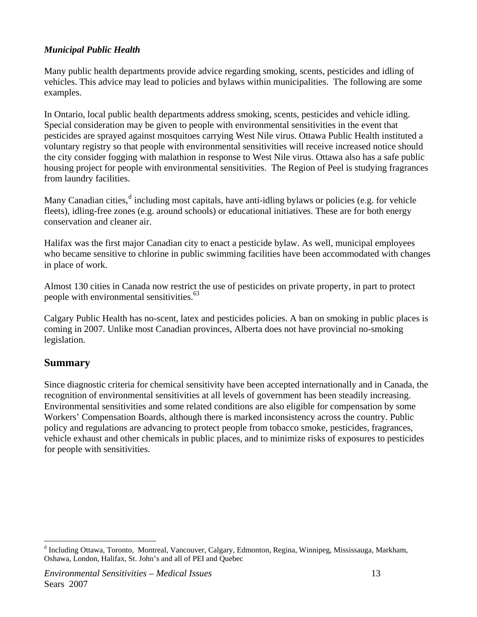#### <span id="page-19-0"></span>*Municipal Public Health*

Many public health departments provide advice regarding smoking, scents, pesticides and idling of vehicles. This advice may lead to policies and bylaws within municipalities. The following are some examples.

In Ontario, local public health departments address smoking, scents, pesticides and vehicle idling. Special consideration may be given to people with environmental sensitivities in the event that pesticides are sprayed against mosquitoes carrying West Nile virus. Ottawa Public Health instituted a voluntary registry so that people with environmental sensitivities will receive increased notice should the city consider fogging with malathion in response to West Nile virus. Ottawa also has a safe public housing project for people with environmental sensitivities. The Region of Peel is studying fragrances from laundry facilities.

Many Cana[d](#page-19-1)ian cities,<sup>d</sup> including most capitals, have anti-idling bylaws or policies (e.g. for vehicle fleets), idling-free zones (e.g. around schools) or educational initiatives. These are for both energy conservation and cleaner air.

Halifax was the first major Canadian city to enact a pesticide bylaw. As well, municipal employees who became sensitive to chlorine in public swimming facilities have been accommodated with changes in place of work.

Almost 130 cities in Canada now restrict the use of pesticides on private property, in part to protect people with environmental sensitivities.<sup>63</sup>

Calgary Public Health has no-scent, latex and pesticides policies. A ban on smoking in public places is coming in 2007. Unlike most Canadian provinces, Alberta does not have provincial no-smoking legislation.

### **Summary**

 $\overline{a}$ 

Since diagnostic criteria for chemical sensitivity have been accepted internationally and in Canada, the recognition of environmental sensitivities at all levels of government has been steadily increasing. Environmental sensitivities and some related conditions are also eligible for compensation by some Workers' Compensation Boards, although there is marked inconsistency across the country. Public policy and regulations are advancing to protect people from tobacco smoke, pesticides, fragrances, vehicle exhaust and other chemicals in public places, and to minimize risks of exposures to pesticides for people with sensitivities.

<span id="page-19-1"></span><sup>&</sup>lt;sup>d</sup> Including Ottawa, Toronto, Montreal, Vancouver, Calgary, Edmonton, Regina, Winnipeg, Mississauga, Markham, Oshawa, London, Halifax, St. John's and all of PEI and Quebec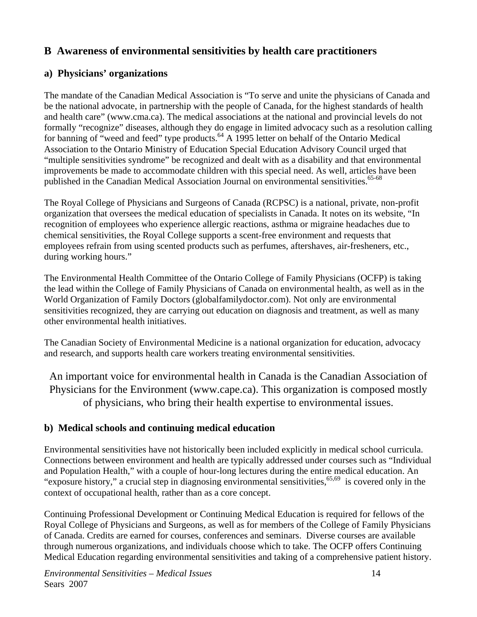## <span id="page-20-0"></span>**B Awareness of environmental sensitivities by health care practitioners**

### **a) Physicians' organizations**

The mandate of the Canadian Medical Association is "To serve and unite the physicians of Canada and be the national advocate, in partnership with the people of Canada, for the highest standards of health and health care" (www.cma.ca). The medical associations at the national and provincial levels do not formally "recognize" diseases, although they do engage in limited advocacy such as a resolution calling for banning of "weed and feed" type products.<sup>64</sup> A 1995 letter on behalf of the Ontario Medical Association to the Ontario Ministry of Education Special Education Advisory Council urged that "multiple sensitivities syndrome" be recognized and dealt with as a disability and that environmental improvements be made to accommodate children with this special need. As well, articles have been published in the Canadian Medical Association Journal on environmental sensitivities.<sup>65-68</sup>

The Royal College of Physicians and Surgeons of Canada (RCPSC) is a national, private, non-profit organization that oversees the medical education of specialists in Canada. It notes on its website, "In recognition of employees who experience allergic reactions, asthma or migraine headaches due to chemical sensitivities, the Royal College supports a scent-free environment and requests that employees refrain from using scented products such as perfumes, aftershaves, air-fresheners, etc., during working hours."

The Environmental Health Committee of the Ontario College of Family Physicians (OCFP) is taking the lead within the College of Family Physicians of Canada on environmental health, as well as in the World Organization of Family Doctors (globalfamilydoctor.com). Not only are environmental sensitivities recognized, they are carrying out education on diagnosis and treatment, as well as many other environmental health initiatives.

The Canadian Society of Environmental Medicine is a national organization for education, advocacy and research, and supports health care workers treating environmental sensitivities.

An important voice for environmental health in Canada is the Canadian Association of Physicians for the Environment (www.cape.ca). This organization is composed mostly of physicians, who bring their health expertise to environmental issues.

### **b) Medical schools and continuing medical education**

Environmental sensitivities have not historically been included explicitly in medical school curricula. Connections between environment and health are typically addressed under courses such as "Individual and Population Health," with a couple of hour-long lectures during the entire medical education. An "exposure history," a crucial step in diagnosing environmental sensitivities,  $65,69$  is covered only in the context of occupational health, rather than as a core concept.

Continuing Professional Development or Continuing Medical Education is required for fellows of the Royal College of Physicians and Surgeons, as well as for members of the College of Family Physicians of Canada. Credits are earned for courses, conferences and seminars. Diverse courses are available through numerous organizations, and individuals choose which to take. The OCFP offers Continuing Medical Education regarding environmental sensitivities and taking of a comprehensive patient history.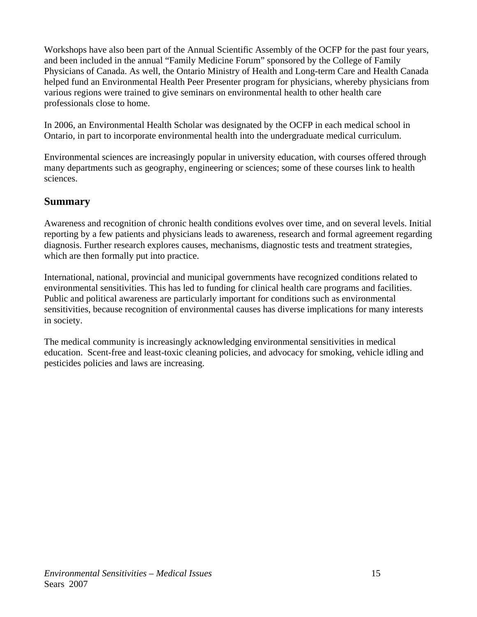<span id="page-21-0"></span>Workshops have also been part of the Annual Scientific Assembly of the OCFP for the past four years, and been included in the annual "Family Medicine Forum" sponsored by the College of Family Physicians of Canada. As well, the Ontario Ministry of Health and Long-term Care and Health Canada helped fund an Environmental Health Peer Presenter program for physicians, whereby physicians from various regions were trained to give seminars on environmental health to other health care professionals close to home.

In 2006, an Environmental Health Scholar was designated by the OCFP in each medical school in Ontario, in part to incorporate environmental health into the undergraduate medical curriculum.

Environmental sciences are increasingly popular in university education, with courses offered through many departments such as geography, engineering or sciences; some of these courses link to health sciences.

### **Summary**

Awareness and recognition of chronic health conditions evolves over time, and on several levels. Initial reporting by a few patients and physicians leads to awareness, research and formal agreement regarding diagnosis. Further research explores causes, mechanisms, diagnostic tests and treatment strategies, which are then formally put into practice.

International, national, provincial and municipal governments have recognized conditions related to environmental sensitivities. This has led to funding for clinical health care programs and facilities. Public and political awareness are particularly important for conditions such as environmental sensitivities, because recognition of environmental causes has diverse implications for many interests in society.

The medical community is increasingly acknowledging environmental sensitivities in medical education. Scent-free and least-toxic cleaning policies, and advocacy for smoking, vehicle idling and pesticides policies and laws are increasing.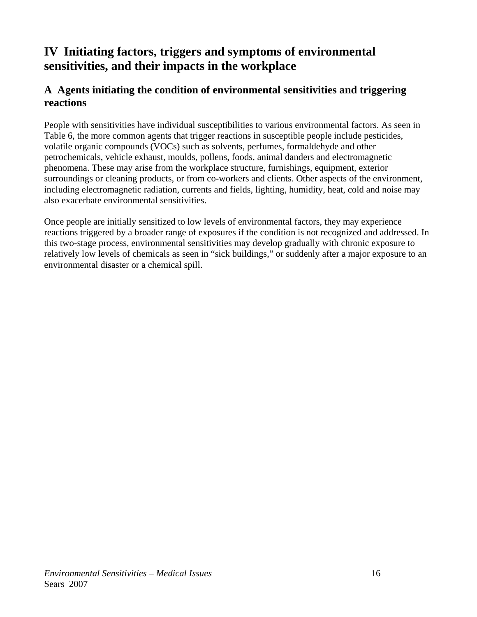# <span id="page-22-0"></span>**IV Initiating factors, triggers and symptoms of environmental sensitivities, and their impacts in the workplace**

## **A Agents initiating the condition of environmental sensitivities and triggering reactions**

People with sensitivities have individual susceptibilities to various environmental factors. As seen in Table 6, the more common agents that trigger reactions in susceptible people include pesticides, volatile organic compounds (VOCs) such as solvents, perfumes, formaldehyde and other petrochemicals, vehicle exhaust, moulds, pollens, foods, animal danders and electromagnetic phenomena. These may arise from the workplace structure, furnishings, equipment, exterior surroundings or cleaning products, or from co-workers and clients. Other aspects of the environment, including electromagnetic radiation, currents and fields, lighting, humidity, heat, cold and noise may also exacerbate environmental sensitivities.

Once people are initially sensitized to low levels of environmental factors, they may experience reactions triggered by a broader range of exposures if the condition is not recognized and addressed. In this two-stage process, environmental sensitivities may develop gradually with chronic exposure to relatively low levels of chemicals as seen in "sick buildings," or suddenly after a major exposure to an environmental disaster or a chemical spill.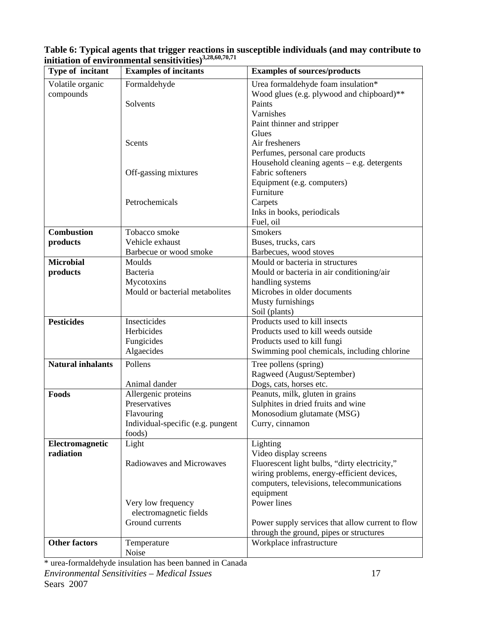| Type of incitant         | <b>Examples of incitants</b>      | <b>Examples of sources/products</b>              |
|--------------------------|-----------------------------------|--------------------------------------------------|
| Volatile organic         | Formaldehyde                      | Urea formaldehyde foam insulation*               |
| compounds                |                                   | Wood glues (e.g. plywood and chipboard)**        |
|                          | Solvents                          | Paints                                           |
|                          |                                   | Varnishes                                        |
|                          |                                   | Paint thinner and stripper                       |
|                          |                                   | Glues                                            |
|                          | Scents                            | Air fresheners                                   |
|                          |                                   | Perfumes, personal care products                 |
|                          |                                   | Household cleaning agents $-$ e.g. detergents    |
|                          | Off-gassing mixtures              | Fabric softeners                                 |
|                          |                                   | Equipment (e.g. computers)                       |
|                          |                                   | Furniture                                        |
|                          | Petrochemicals                    | Carpets                                          |
|                          |                                   | Inks in books, periodicals                       |
|                          |                                   | Fuel, oil                                        |
| <b>Combustion</b>        | Tobacco smoke                     | <b>Smokers</b>                                   |
| products                 | Vehicle exhaust                   | Buses, trucks, cars                              |
|                          | Barbecue or wood smoke            | Barbecues, wood stoves                           |
| <b>Microbial</b>         | Moulds                            | Mould or bacteria in structures                  |
| products                 | Bacteria                          | Mould or bacteria in air conditioning/air        |
|                          | Mycotoxins                        | handling systems                                 |
|                          | Mould or bacterial metabolites    | Microbes in older documents                      |
|                          |                                   | Musty furnishings                                |
|                          |                                   | Soil (plants)                                    |
| <b>Pesticides</b>        | Insecticides                      | Products used to kill insects                    |
|                          | Herbicides                        | Products used to kill weeds outside              |
|                          | Fungicides                        | Products used to kill fungi                      |
|                          | Algaecides                        | Swimming pool chemicals, including chlorine      |
| <b>Natural inhalants</b> | Pollens                           | Tree pollens (spring)                            |
|                          |                                   | Ragweed (August/September)                       |
|                          | Animal dander                     | Dogs, cats, horses etc.                          |
| Foods                    | Allergenic proteins               | Peanuts, milk, gluten in grains                  |
|                          | Preservatives                     | Sulphites in dried fruits and wine               |
|                          | Flavouring                        | Monosodium glutamate (MSG)                       |
|                          | Individual-specific (e.g. pungent | Curry, cinnamon                                  |
|                          | foods)                            |                                                  |
| Electromagnetic          | Light                             | Lighting                                         |
| radiation                |                                   | Video display screens                            |
|                          | Radiowaves and Microwaves         | Fluorescent light bulbs, "dirty electricity,"    |
|                          |                                   | wiring problems, energy-efficient devices,       |
|                          |                                   | computers, televisions, telecommunications       |
|                          |                                   | equipment                                        |
|                          | Very low frequency                | Power lines                                      |
|                          | electromagnetic fields            |                                                  |
|                          | Ground currents                   | Power supply services that allow current to flow |
|                          |                                   | through the ground, pipes or structures          |
| <b>Other factors</b>     | Temperature                       | Workplace infrastructure                         |
|                          | Noise                             |                                                  |

<span id="page-23-0"></span>**Table 6: Typical agents that trigger reactions in susceptible individuals (and may contribute to initiation of environmental sensitivities)3,28,60,70,71**

*Environmental Sensitivities – Medical Issues* 17 Sears 2007 \* urea-formaldehyde insulation has been banned in Canada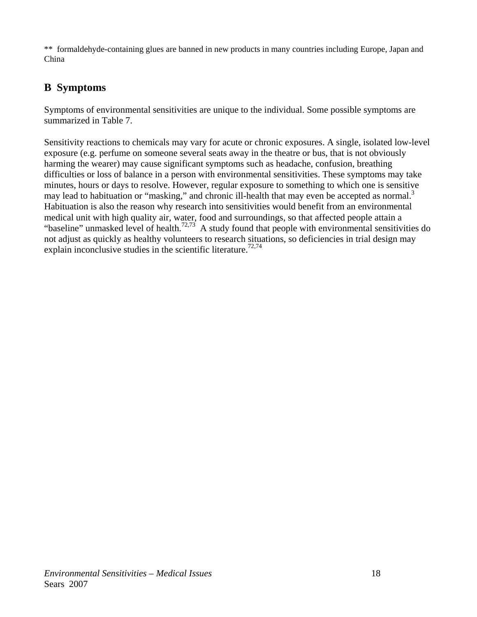<span id="page-24-0"></span>\*\* formaldehyde-containing glues are banned in new products in many countries including Europe, Japan and China

## **B Symptoms**

Symptoms of environmental sensitivities are unique to the individual. Some possible symptoms are summarized in Table 7.

Sensitivity reactions to chemicals may vary for acute or chronic exposures. A single, isolated low-level exposure (e.g. perfume on someone several seats away in the theatre or bus, that is not obviously harming the wearer) may cause significant symptoms such as headache, confusion, breathing difficulties or loss of balance in a person with environmental sensitivities. These symptoms may take minutes, hours or days to resolve. However, regular exposure to something to which one is sensitive may lead to habituation or "masking," and chronic ill-health that may even be accepted as normal.<sup>3</sup> Habituation is also the reason why research into sensitivities would benefit from an environmental medical unit with high quality air, water, food and surroundings, so that affected people attain a "baseline" unmasked level of health.<sup>72,73</sup> A study found that people with environmental sensitivities do not adjust as quickly as healthy volunteers to research situations, so deficiencies in trial design may explain inconclusive studies in the scientific literature.<sup>72,74</sup>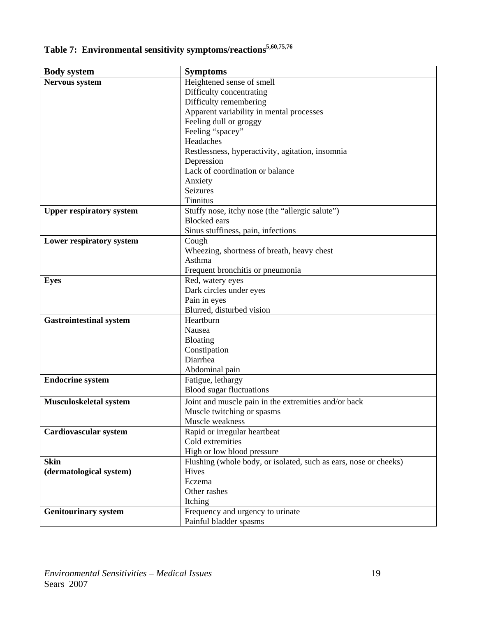<span id="page-25-0"></span>

| Table 7: Environmental sensitivity symptoms/reactions <sup>5,60,75,76</sup> |  |  |
|-----------------------------------------------------------------------------|--|--|
|                                                                             |  |  |

| <b>Body system</b>              | <b>Symptoms</b>                                                  |
|---------------------------------|------------------------------------------------------------------|
| Nervous system                  | Heightened sense of smell                                        |
|                                 | Difficulty concentrating                                         |
|                                 | Difficulty remembering                                           |
|                                 | Apparent variability in mental processes                         |
|                                 | Feeling dull or groggy                                           |
|                                 | Feeling "spacey"                                                 |
|                                 | Headaches                                                        |
|                                 | Restlessness, hyperactivity, agitation, insomnia                 |
|                                 | Depression                                                       |
|                                 | Lack of coordination or balance                                  |
|                                 | Anxiety                                                          |
|                                 | Seizures                                                         |
|                                 | <b>Tinnitus</b>                                                  |
| <b>Upper respiratory system</b> | Stuffy nose, itchy nose (the "allergic salute")                  |
|                                 | <b>Blocked</b> ears                                              |
|                                 | Sinus stuffiness, pain, infections                               |
| Lower respiratory system        | Cough                                                            |
|                                 | Wheezing, shortness of breath, heavy chest                       |
|                                 | Asthma                                                           |
|                                 | Frequent bronchitis or pneumonia                                 |
| <b>Eyes</b>                     | Red, watery eyes                                                 |
|                                 | Dark circles under eyes                                          |
|                                 | Pain in eyes                                                     |
|                                 | Blurred, disturbed vision                                        |
| <b>Gastrointestinal system</b>  | Heartburn                                                        |
|                                 | Nausea                                                           |
|                                 | Bloating                                                         |
|                                 | Constipation                                                     |
|                                 | Diarrhea                                                         |
|                                 | Abdominal pain                                                   |
| <b>Endocrine system</b>         | Fatigue, lethargy                                                |
|                                 | <b>Blood sugar fluctuations</b>                                  |
| Musculoskeletal system          | Joint and muscle pain in the extremities and/or back             |
|                                 | Muscle twitching or spasms                                       |
|                                 | Muscle weakness                                                  |
| Cardiovascular system           | Rapid or irregular heartbeat                                     |
|                                 | Cold extremities                                                 |
|                                 | High or low blood pressure                                       |
| <b>Skin</b>                     | Flushing (whole body, or isolated, such as ears, nose or cheeks) |
| (dermatological system)         | Hives                                                            |
|                                 | Eczema                                                           |
|                                 | Other rashes                                                     |
|                                 | Itching                                                          |
| <b>Genitourinary system</b>     | Frequency and urgency to urinate                                 |
|                                 | Painful bladder spasms                                           |
|                                 |                                                                  |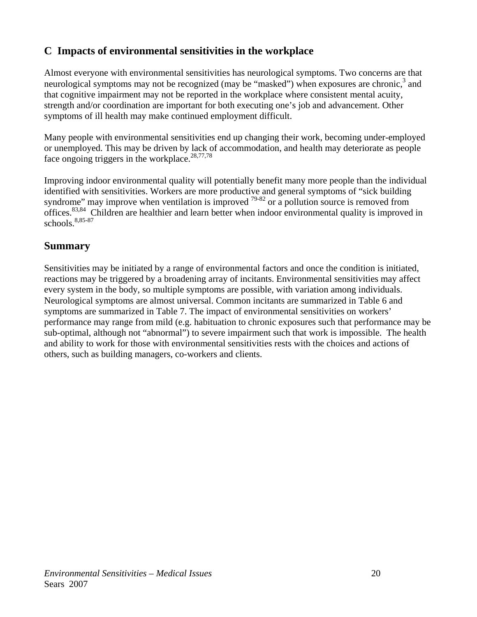## <span id="page-26-0"></span>**C Impacts of environmental sensitivities in the workplace**

Almost everyone with environmental sensitivities has neurological symptoms. Two concerns are that neurological symptoms may not be recognized (may be "masked") when exposures are chronic, $3$  and that cognitive impairment may not be reported in the workplace where consistent mental acuity, strength and/or coordination are important for both executing one's job and advancement. Other symptoms of ill health may make continued employment difficult.

Many people with environmental sensitivities end up changing their work, becoming under-employed or unemployed. This may be driven by lack of accommodation, and health may deteriorate as people face ongoing triggers in the workplace.<sup>28,77,78</sup>

Improving indoor environmental quality will potentially benefit many more people than the individual identified with sensitivities. Workers are more productive and general symptoms of "sick building syndrome" may improve when ventilation is improved  $^{79-82}$  or a pollution source is removed from offices.83,84 Children are healthier and learn better when indoor environmental quality is improved in schools.8,85-87

### **Summary**

Sensitivities may be initiated by a range of environmental factors and once the condition is initiated, reactions may be triggered by a broadening array of incitants. Environmental sensitivities may affect every system in the body, so multiple symptoms are possible, with variation among individuals. Neurological symptoms are almost universal. Common incitants are summarized in Table 6 and symptoms are summarized in Table 7. The impact of environmental sensitivities on workers' performance may range from mild (e.g. habituation to chronic exposures such that performance may be sub-optimal, although not "abnormal") to severe impairment such that work is impossible. The health and ability to work for those with environmental sensitivities rests with the choices and actions of others, such as building managers, co-workers and clients.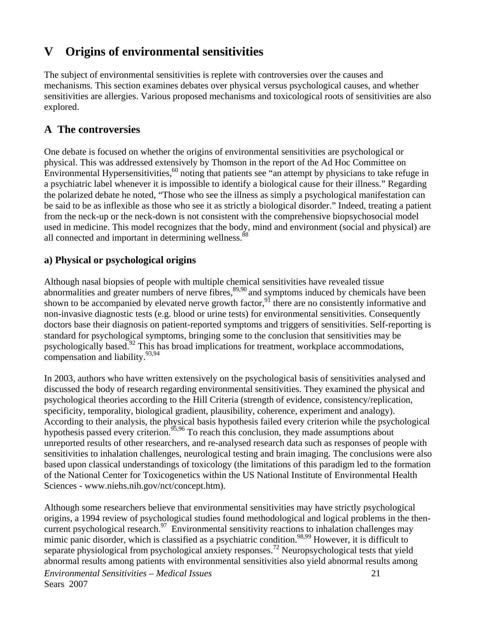# <span id="page-27-0"></span>**V Origins of environmental sensitivities**

The subject of environmental sensitivities is replete with controversies over the causes and mechanisms. This section examines debates over physical versus psychological causes, and whether sensitivities are allergies. Various proposed mechanisms and toxicological roots of sensitivities are also explored.

## **A The controversies**

One debate is focused on whether the origins of environmental sensitivities are psychological or physical. This was addressed extensively by Thomson in the report of the Ad Hoc Committee on Environmental Hypersensitivities,  $60$  noting that patients see "an attempt by physicians to take refuge in a psychiatric label whenever it is impossible to identify a biological cause for their illness." Regarding the polarized debate he noted, "Those who see the illness as simply a psychological manifestation can be said to be as inflexible as those who see it as strictly a biological disorder." Indeed, treating a patient from the neck-up or the neck-down is not consistent with the comprehensive biopsychosocial model used in medicine. This model recognizes that the body, mind and environment (social and physical) are all connected and important in determining wellness.<sup>88</sup>

### **a) Physical or psychological origins**

Although nasal biopsies of people with multiple chemical sensitivities have revealed tissue abnormalities and greater numbers of nerve fibres,  $89,90$  and symptoms induced by chemicals have been shown to be accompanied by elevated nerve growth factor,<sup>91</sup> there are no consistently informative and non-invasive diagnostic tests (e.g. blood or urine tests) for environmental sensitivities. Consequently doctors base their diagnosis on patient-reported symptoms and triggers of sensitivities. Self-reporting is standard for psychological symptoms, bringing some to the conclusion that sensitivities may be psychologically based.92 This has broad implications for treatment, workplace accommodations, compensation and liability.<sup>93,94</sup>

In 2003, authors who have written extensively on the psychological basis of sensitivities analysed and discussed the body of research regarding environmental sensitivities. They examined the physical and psychological theories according to the Hill Criteria (strength of evidence, consistency/replication, specificity, temporality, biological gradient, plausibility, coherence, experiment and analogy). According to their analysis, the physical basis hypothesis failed every criterion while the psychological hypothesis passed every criterion.<sup>95,96</sup> To reach this conclusion, they made assumptions about unreported results of other researchers, and re-analysed research data such as responses of people with sensitivities to inhalation challenges, neurological testing and brain imaging. The conclusions were also based upon classical understandings of toxicology (the limitations of this paradigm led to the formation of the National Center for Toxicogenetics within the US National Institute of Environmental Health Sciences - www.niehs.nih.gov/nct/concept.htm).

*Environmental Sensitivities – Medical Issues* 21 Sears 2007 Although some researchers believe that environmental sensitivities may have strictly psychological origins, a 1994 review of psychological studies found methodological and logical problems in the thencurrent psychological research.<sup>97</sup> Environmental sensitivity reactions to inhalation challenges may mimic panic disorder, which is classified as a psychiatric condition.<sup>98,99</sup> However, it is difficult to separate physiological from psychological anxiety responses.<sup>72</sup> Neuropsychological tests that yield abnormal results among patients with environmental sensitivities also yield abnormal results among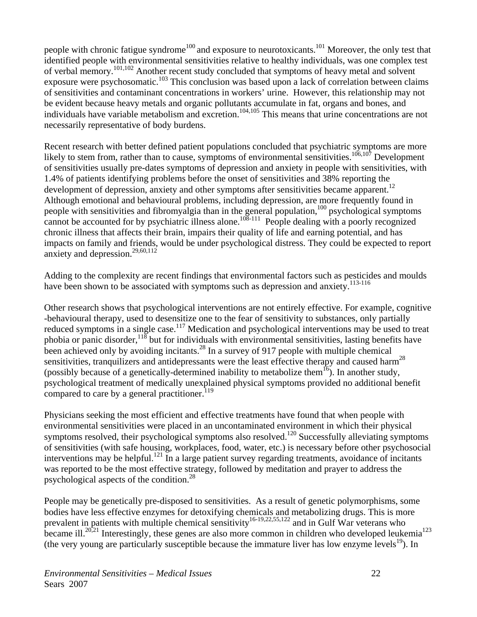people with chronic fatigue syndrome<sup>100</sup> and exposure to neurotoxicants.<sup>101</sup> Moreover, the only test that identified people with environmental sensitivities relative to healthy individuals, was one complex test of verbal memory.101,102 Another recent study concluded that symptoms of heavy metal and solvent exposure were psychosomatic.<sup>103</sup> This conclusion was based upon a lack of correlation between claims of sensitivities and contaminant concentrations in workers' urine. However, this relationship may not be evident because heavy metals and organic pollutants accumulate in fat, organs and bones, and individuals have variable metabolism and excretion.<sup>104,105</sup> This means that urine concentrations are not necessarily representative of body burdens.

Recent research with better defined patient populations concluded that psychiatric symptoms are more likely to stem from, rather than to cause, symptoms of environmental sensitivities.<sup>106,107</sup> Development of sensitivities usually pre-dates symptoms of depression and anxiety in people with sensitivities, with 1.4% of patients identifying problems before the onset of sensitivities and 38% reporting the development of depression, anxiety and other symptoms after sensitivities became apparent.<sup>12</sup> Although emotional and behavioural problems, including depression, are more frequently found in people with sensitivities and fibromyalgia than in the general population,<sup>100</sup> psychological symptoms cannot be accounted for by psychiatric illness alone.<sup>108-111</sup> People dealing with a poorly recognized chronic illness that affects their brain, impairs their quality of life and earning potential, and has impacts on family and friends, would be under psychological distress. They could be expected to report anxiety and depression.<sup>29,60,112</sup>

Adding to the complexity are recent findings that environmental factors such as pesticides and moulds have been shown to be associated with symptoms such as depression and anxiety.<sup>113-116</sup>

Other research shows that psychological interventions are not entirely effective. For example, cognitive -behavioural therapy, used to desensitize one to the fear of sensitivity to substances, only partially reduced symptoms in a single case.<sup>117</sup> Medication and psychological interventions may be used to treat phobia or panic disorder,  $118$  but for individuals with environmental sensitivities, lasting benefits have been achieved only by avoiding incitants.<sup>28</sup> In a survey of 917 people with multiple chemical sensitivities, tranquilizers and antidepressants were the least effective therapy and caused harm<sup>28</sup> (possibly because of a genetically-determined inability to metabolize them<sup>16</sup>). In another study, psychological treatment of medically unexplained physical symptoms provided no additional benefit compared to care by a general practitioner.<sup>119</sup>

Physicians seeking the most efficient and effective treatments have found that when people with environmental sensitivities were placed in an uncontaminated environment in which their physical symptoms resolved, their psychological symptoms also resolved.<sup>120</sup> Successfully alleviating symptoms of sensitivities (with safe housing, workplaces, food, water, etc.) is necessary before other psychosocial interventions may be helpful.<sup>121</sup> In a large patient survey regarding treatments, avoidance of incitants was reported to be the most effective strategy, followed by meditation and prayer to address the psychological aspects of the condition.28

People may be genetically pre-disposed to sensitivities. As a result of genetic polymorphisms, some bodies have less effective enzymes for detoxifying chemicals and metabolizing drugs. This is more prevalent in patients with multiple chemical sensitivity<sup>16-19,22,55,122</sup> and in Gulf War veterans who became ill.<sup>20,21</sup> Interestingly, these genes are also more common in children who developed leukemia<sup>123</sup> (the very young are particularly susceptible because the immature liver has low enzyme levels<sup>19</sup>). In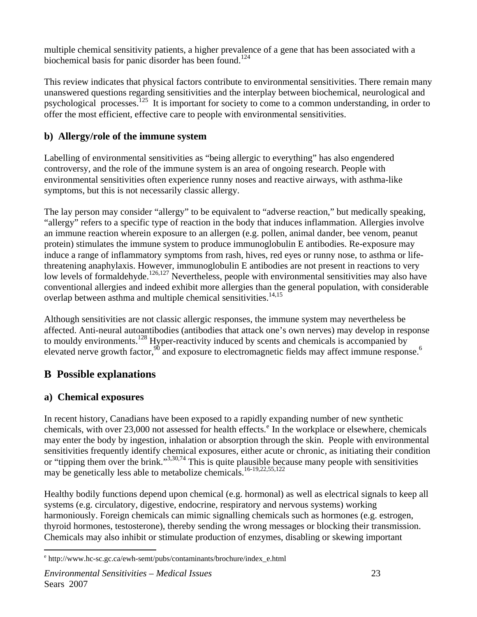<span id="page-29-0"></span>multiple chemical sensitivity patients, a higher prevalence of a gene that has been associated with a biochemical basis for panic disorder has been found.<sup>124</sup>

This review indicates that physical factors contribute to environmental sensitivities. There remain many unanswered questions regarding sensitivities and the interplay between biochemical, neurological and psychological processes.125 It is important for society to come to a common understanding, in order to offer the most efficient, effective care to people with environmental sensitivities.

### **b) Allergy/role of the immune system**

Labelling of environmental sensitivities as "being allergic to everything" has also engendered controversy, and the role of the immune system is an area of ongoing research. People with environmental sensitivities often experience runny noses and reactive airways, with asthma-like symptoms, but this is not necessarily classic allergy.

The lay person may consider "allergy" to be equivalent to "adverse reaction," but medically speaking, "allergy" refers to a specific type of reaction in the body that induces inflammation. Allergies involve an immune reaction wherein exposure to an allergen (e.g. pollen, animal dander, bee venom, peanut protein) stimulates the immune system to produce immunoglobulin E antibodies. Re-exposure may induce a range of inflammatory symptoms from rash, hives, red eyes or runny nose, to asthma or lifethreatening anaphylaxis. However, immunoglobulin E antibodies are not present in reactions to very low levels of formaldehyde.<sup>126,127</sup> Nevertheless, people with environmental sensitivities may also have conventional allergies and indeed exhibit more allergies than the general population, with considerable overlap between asthma and multiple chemical sensitivities.<sup>14,15</sup>

Although sensitivities are not classic allergic responses, the immune system may nevertheless be affected. Anti-neural autoantibodies (antibodies that attack one's own nerves) may develop in response to mouldy environments.<sup>128</sup> Hyper-reactivity induced by scents and chemicals is accompanied by elevated nerve growth factor,  $90^{\circ}$  and exposure to electromagnetic fields may affect immune response.<sup>6</sup>

## **B Possible explanations**

### **a) Chemical exposures**

 $\overline{a}$ 

In recent history, Canadians have been exposed to a rapidly expanding number of new synthetic ch[e](#page-29-1)micals, with over 23,000 not assessed for health effects.<sup>e</sup> In the workplace or elsewhere, chemicals may enter the body by ingestion, inhalation or absorption through the skin. People with environmental sensitivities frequently identify chemical exposures, either acute or chronic, as initiating their condition or "tipping them over the brink."<sup>3,30,74</sup> This is quite plausible because many people with sensitivities may be genetically less able to metabolize chemicals.<sup>16-19,22,55,122</sup>

Healthy bodily functions depend upon chemical (e.g. hormonal) as well as electrical signals to keep all systems (e.g. circulatory, digestive, endocrine, respiratory and nervous systems) working harmoniously. Foreign chemicals can mimic signalling chemicals such as hormones (e.g. estrogen, thyroid hormones, testosterone), thereby sending the wrong messages or blocking their transmission. Chemicals may also inhibit or stimulate production of enzymes, disabling or skewing important

<span id="page-29-1"></span><sup>&</sup>lt;sup>e</sup> http://www.hc-sc.gc.ca/ewh-semt/pubs/contaminants/brochure/index\_e.html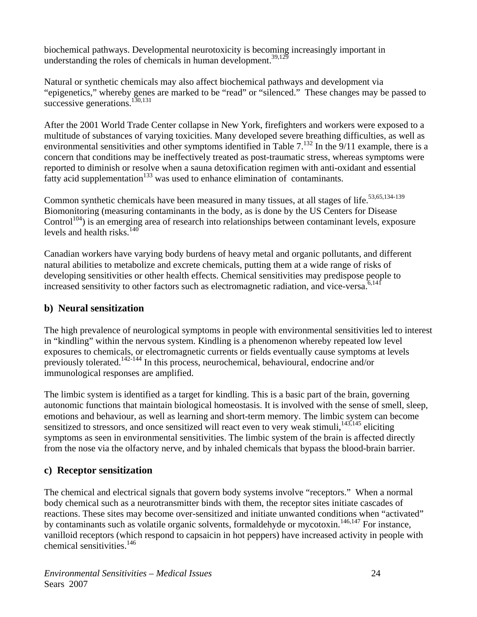<span id="page-30-0"></span>biochemical pathways. Developmental neurotoxicity is becoming increasingly important in understanding the roles of chemicals in human development.<sup>39,12</sup>

Natural or synthetic chemicals may also affect biochemical pathways and development via "epigenetics," whereby genes are marked to be "read" or "silenced." These changes may be passed to successive generations.<sup>130,131</sup>

After the 2001 World Trade Center collapse in New York, firefighters and workers were exposed to a multitude of substances of varying toxicities. Many developed severe breathing difficulties, as well as environmental sensitivities and other symptoms identified in Table  $7^{132}$  In the 9/11 example, there is a concern that conditions may be ineffectively treated as post-traumatic stress, whereas symptoms were reported to diminish or resolve when a sauna detoxification regimen with anti-oxidant and essential fatty acid supplementation<sup>133</sup> was used to enhance elimination of contaminants.

Common synthetic chemicals have been measured in many tissues, at all stages of life.<sup>53,65,134-139</sup> Biomonitoring (measuring contaminants in the body, as is done by the US Centers for Disease  $Control<sup>104</sup>$ ) is an emerging area of research into relationships between contaminant levels, exposure levels and health risks $140$ 

Canadian workers have varying body burdens of heavy metal and organic pollutants, and different natural abilities to metabolize and excrete chemicals, putting them at a wide range of risks of developing sensitivities or other health effects. Chemical sensitivities may predispose people to increased sensitivity to other factors such as electromagnetic radiation, and vice-versa. $6,141$ 

#### **b) Neural sensitization**

The high prevalence of neurological symptoms in people with environmental sensitivities led to interest in "kindling" within the nervous system. Kindling is a phenomenon whereby repeated low level exposures to chemicals, or electromagnetic currents or fields eventually cause symptoms at levels previously tolerated.142-144 In this process, neurochemical, behavioural, endocrine and/or immunological responses are amplified.

The limbic system is identified as a target for kindling. This is a basic part of the brain, governing autonomic functions that maintain biological homeostasis. It is involved with the sense of smell, sleep, emotions and behaviour, as well as learning and short-term memory. The limbic system can become sensitized to stressors, and once sensitized will react even to very weak stimuli,<sup>143,145</sup> eliciting symptoms as seen in environmental sensitivities. The limbic system of the brain is affected directly from the nose via the olfactory nerve, and by inhaled chemicals that bypass the blood-brain barrier.

### **c) Receptor sensitization**

The chemical and electrical signals that govern body systems involve "receptors." When a normal body chemical such as a neurotransmitter binds with them, the receptor sites initiate cascades of reactions. These sites may become over-sensitized and initiate unwanted conditions when "activated" by contaminants such as volatile organic solvents, formaldehyde or mycotoxin.<sup>146,147</sup> For instance, vanilloid receptors (which respond to capsaicin in hot peppers) have increased activity in people with chemical sensitivities.<sup>146</sup>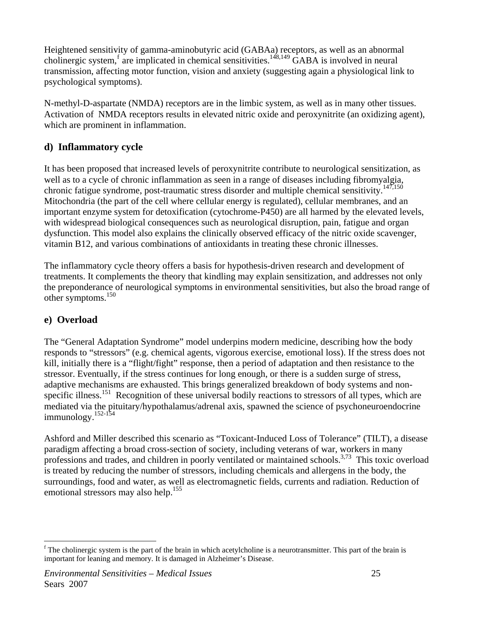<span id="page-31-0"></span>Heightened sensitivity of gamma-aminobutyric acid (GABAa) receptors, as well as an abnormal cholinergic system,<sup>[f](#page-31-1)</sup> are implicated in chemical sensitivities.<sup>148,149</sup> GABA is involved in neural transmission, affecting motor function, vision and anxiety (suggesting again a physiological link to psychological symptoms).

N-methyl-D-aspartate (NMDA) receptors are in the limbic system, as well as in many other tissues. Activation of NMDA receptors results in elevated nitric oxide and peroxynitrite (an oxidizing agent), which are prominent in inflammation.

### **d) Inflammatory cycle**

It has been proposed that increased levels of peroxynitrite contribute to neurological sensitization, as well as to a cycle of chronic inflammation as seen in a range of diseases including fibromyalgia, chronic fatigue syndrome, post-traumatic stress disorder and multiple chemical sensitivity.<sup>147,150</sup> Mitochondria (the part of the cell where cellular energy is regulated), cellular membranes, and an important enzyme system for detoxification (cytochrome-P450) are all harmed by the elevated levels, with widespread biological consequences such as neurological disruption, pain, fatigue and organ dysfunction. This model also explains the clinically observed efficacy of the nitric oxide scavenger, vitamin B12, and various combinations of antioxidants in treating these chronic illnesses.

The inflammatory cycle theory offers a basis for hypothesis-driven research and development of treatments. It complements the theory that kindling may explain sensitization, and addresses not only the preponderance of neurological symptoms in environmental sensitivities, but also the broad range of other symptoms.150

### **e) Overload**

The "General Adaptation Syndrome" model underpins modern medicine, describing how the body responds to "stressors" (e.g. chemical agents, vigorous exercise, emotional loss). If the stress does not kill, initially there is a "flight/fight" response, then a period of adaptation and then resistance to the stressor. Eventually, if the stress continues for long enough, or there is a sudden surge of stress, adaptive mechanisms are exhausted. This brings generalized breakdown of body systems and nonspecific illness.<sup>151</sup> Recognition of these universal bodily reactions to stressors of all types, which are mediated via the pituitary/hypothalamus/adrenal axis, spawned the science of psychoneuroendocrine immunology.<sup>152-154</sup>

Ashford and Miller described this scenario as "Toxicant-Induced Loss of Tolerance" (TILT), a disease paradigm affecting a broad cross-section of society, including veterans of war, workers in many professions and trades, and children in poorly ventilated or maintained schools.3,73 This toxic overload is treated by reducing the number of stressors, including chemicals and allergens in the body, the surroundings, food and water, as well as electromagnetic fields, currents and radiation. Reduction of emotional stressors may also help.<sup>155</sup>

<span id="page-31-1"></span> $\overline{a}$ <sup>f</sup> The cholinergic system is the part of the brain in which acetylcholine is a neurotransmitter. This part of the brain is important for leaning and memory. It is damaged in Alzheimer's Disease.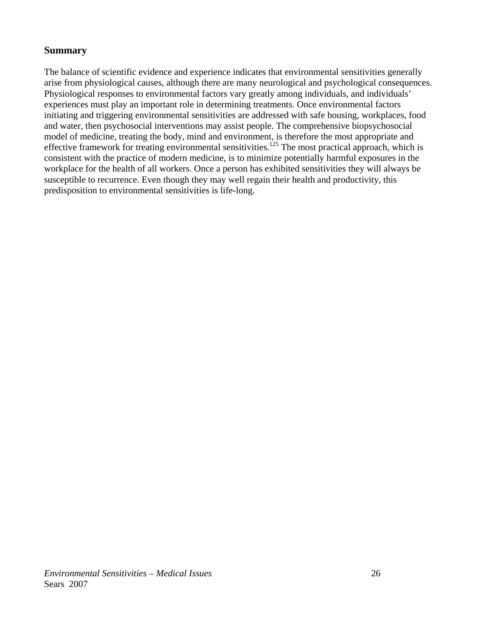#### <span id="page-32-0"></span>**Summary**

The balance of scientific evidence and experience indicates that environmental sensitivities generally arise from physiological causes, although there are many neurological and psychological consequences. Physiological responses to environmental factors vary greatly among individuals, and individuals' experiences must play an important role in determining treatments. Once environmental factors initiating and triggering environmental sensitivities are addressed with safe housing, workplaces, food and water, then psychosocial interventions may assist people. The comprehensive biopsychosocial model of medicine, treating the body, mind and environment, is therefore the most appropriate and effective framework for treating environmental sensitivities.<sup>125</sup> The most practical approach, which is consistent with the practice of modern medicine, is to minimize potentially harmful exposures in the workplace for the health of all workers. Once a person has exhibited sensitivities they will always be susceptible to recurrence. Even though they may well regain their health and productivity, this predisposition to environmental sensitivities is life-long.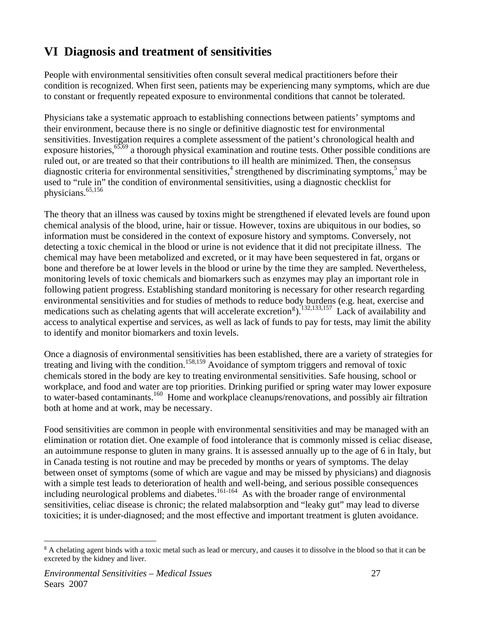# <span id="page-33-0"></span>**VI Diagnosis and treatment of sensitivities**

People with environmental sensitivities often consult several medical practitioners before their condition is recognized. When first seen, patients may be experiencing many symptoms, which are due to constant or frequently repeated exposure to environmental conditions that cannot be tolerated.

Physicians take a systematic approach to establishing connections between patients' symptoms and their environment, because there is no single or definitive diagnostic test for environmental sensitivities. Investigation requires a complete assessment of the patient's chronological health and exposure histories,<sup>65,69</sup> a thorough physical examination and routine tests. Other possible conditions are ruled out, or are treated so that their contributions to ill health are minimized. Then, the consensus diagnostic criteria for environmental sensitivities,<sup>4</sup> strengthened by discriminating symptoms,<sup>5</sup> may be used to "rule in" the condition of environmental sensitivities, using a diagnostic checklist for physicians.<sup>65,156</sup>

The theory that an illness was caused by toxins might be strengthened if elevated levels are found upon chemical analysis of the blood, urine, hair or tissue. However, toxins are ubiquitous in our bodies, so information must be considered in the context of exposure history and symptoms. Conversely, not detecting a toxic chemical in the blood or urine is not evidence that it did not precipitate illness. The chemical may have been metabolized and excreted, or it may have been sequestered in fat, organs or bone and therefore be at lower levels in the blood or urine by the time they are sampled. Nevertheless, monitoring levels of toxic chemicals and biomarkers such as enzymes may play an important role in following patient progress. Establishing standard monitoring is necessary for other research regarding environmental sensitivities and for studies of methods to reduce body burdens (e.g. heat, exercise and medications such as chelatin[g](#page-33-1) agents that will accelerate excretion<sup>g</sup>).<sup>132,133,157</sup> Lack of availability and access to analytical expertise and services, as well as lack of funds to pay for tests, may limit the ability to identify and monitor biomarkers and toxin levels.

Once a diagnosis of environmental sensitivities has been established, there are a variety of strategies for treating and living with the condition.<sup>158,159</sup> Avoidance of symptom triggers and removal of toxic chemicals stored in the body are key to treating environmental sensitivities. Safe housing, school or workplace, and food and water are top priorities. Drinking purified or spring water may lower exposure to water-based contaminants.<sup>160</sup> Home and workplace cleanups/renovations, and possibly air filtration both at home and at work, may be necessary.

Food sensitivities are common in people with environmental sensitivities and may be managed with an elimination or rotation diet. One example of food intolerance that is commonly missed is celiac disease, an autoimmune response to gluten in many grains. It is assessed annually up to the age of 6 in Italy, but in Canada testing is not routine and may be preceded by months or years of symptoms. The delay between onset of symptoms (some of which are vague and may be missed by physicians) and diagnosis with a simple test leads to deterioration of health and well-being, and serious possible consequences including neurological problems and diabetes.<sup>161-164</sup> As with the broader range of environmental sensitivities, celiac disease is chronic; the related malabsorption and "leaky gut" may lead to diverse toxicities; it is under-diagnosed; and the most effective and important treatment is gluten avoidance.

 $\overline{a}$ 

<span id="page-33-1"></span><sup>&</sup>lt;sup>g</sup> A chelating agent binds with a toxic metal such as lead or mercury, and causes it to dissolve in the blood so that it can be excreted by the kidney and liver.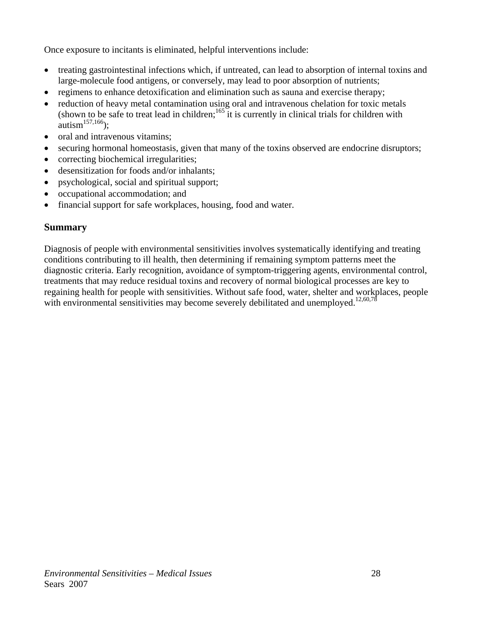<span id="page-34-0"></span>Once exposure to incitants is eliminated, helpful interventions include:

- treating gastrointestinal infections which, if untreated, can lead to absorption of internal toxins and large-molecule food antigens, or conversely, may lead to poor absorption of nutrients;
- regimens to enhance detoxification and elimination such as sauna and exercise therapy;
- reduction of heavy metal contamination using oral and intravenous chelation for toxic metals (shown to be safe to treat lead in children;  $165$  it is currently in clinical trials for children with autism<sup>157,166</sup>);
- oral and intravenous vitamins;
- securing hormonal homeostasis, given that many of the toxins observed are endocrine disruptors;
- correcting biochemical irregularities;
- desensitization for foods and/or inhalants;
- psychological, social and spiritual support;
- occupational accommodation; and
- financial support for safe workplaces, housing, food and water.

#### **Summary**

Diagnosis of people with environmental sensitivities involves systematically identifying and treating conditions contributing to ill health, then determining if remaining symptom patterns meet the diagnostic criteria. Early recognition, avoidance of symptom-triggering agents, environmental control, treatments that may reduce residual toxins and recovery of normal biological processes are key to regaining health for people with sensitivities. Without safe food, water, shelter and workplaces, people with environmental sensitivities may become severely debilitated and unemployed.<sup>12,60,78</sup>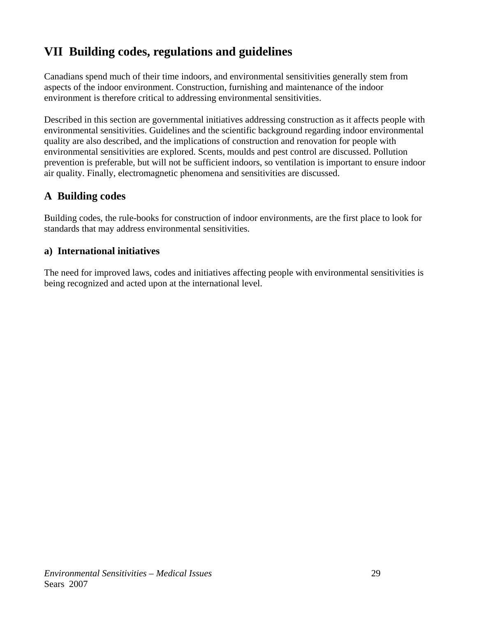# <span id="page-35-0"></span>**VII Building codes, regulations and guidelines**

Canadians spend much of their time indoors, and environmental sensitivities generally stem from aspects of the indoor environment. Construction, furnishing and maintenance of the indoor environment is therefore critical to addressing environmental sensitivities.

Described in this section are governmental initiatives addressing construction as it affects people with environmental sensitivities. Guidelines and the scientific background regarding indoor environmental quality are also described, and the implications of construction and renovation for people with environmental sensitivities are explored. Scents, moulds and pest control are discussed. Pollution prevention is preferable, but will not be sufficient indoors, so ventilation is important to ensure indoor air quality. Finally, electromagnetic phenomena and sensitivities are discussed.

## **A Building codes**

Building codes, the rule-books for construction of indoor environments, are the first place to look for standards that may address environmental sensitivities.

### **a) International initiatives**

The need for improved laws, codes and initiatives affecting people with environmental sensitivities is being recognized and acted upon at the international level.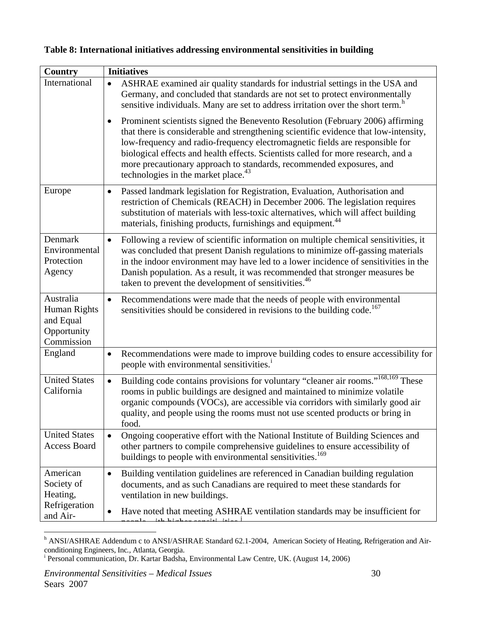|  |  | Table 8: International initiatives addressing environmental sensitivities in building |  |
|--|--|---------------------------------------------------------------------------------------|--|
|  |  |                                                                                       |  |

| <b>Country</b>                                                      | <b>Initiatives</b>                                                                                                                                                                                                                                                                                                                                                                                                                                                                  |
|---------------------------------------------------------------------|-------------------------------------------------------------------------------------------------------------------------------------------------------------------------------------------------------------------------------------------------------------------------------------------------------------------------------------------------------------------------------------------------------------------------------------------------------------------------------------|
| International                                                       | ASHRAE examined air quality standards for industrial settings in the USA and<br>$\bullet$<br>Germany, and concluded that standards are not set to protect environmentally<br>sensitive individuals. Many are set to address irritation over the short term. <sup>h</sup>                                                                                                                                                                                                            |
|                                                                     | Prominent scientists signed the Benevento Resolution (February 2006) affirming<br>$\bullet$<br>that there is considerable and strengthening scientific evidence that low-intensity,<br>low-frequency and radio-frequency electromagnetic fields are responsible for<br>biological effects and health effects. Scientists called for more research, and a<br>more precautionary approach to standards, recommended exposures, and<br>technologies in the market place. <sup>43</sup> |
| Europe                                                              | Passed landmark legislation for Registration, Evaluation, Authorisation and<br>$\bullet$<br>restriction of Chemicals (REACH) in December 2006. The legislation requires<br>substitution of materials with less-toxic alternatives, which will affect building<br>materials, finishing products, furnishings and equipment. <sup>44</sup>                                                                                                                                            |
| Denmark<br>Environmental<br>Protection<br>Agency                    | Following a review of scientific information on multiple chemical sensitivities, it<br>$\bullet$<br>was concluded that present Danish regulations to minimize off-gassing materials<br>in the indoor environment may have led to a lower incidence of sensitivities in the<br>Danish population. As a result, it was recommended that stronger measures be<br>taken to prevent the development of sensitivities. <sup>46</sup>                                                      |
| Australia<br>Human Rights<br>and Equal<br>Opportunity<br>Commission | Recommendations were made that the needs of people with environmental<br>$\bullet$<br>sensitivities should be considered in revisions to the building code. <sup>167</sup>                                                                                                                                                                                                                                                                                                          |
| England                                                             | Recommendations were made to improve building codes to ensure accessibility for<br>$\bullet$<br>people with environmental sensitivities. <sup>1</sup>                                                                                                                                                                                                                                                                                                                               |
| <b>United States</b><br>California                                  | Building code contains provisions for voluntary "cleaner air rooms." <sup>168,169</sup> These<br>$\bullet$<br>rooms in public buildings are designed and maintained to minimize volatile<br>organic compounds (VOCs), are accessible via corridors with similarly good air<br>quality, and people using the rooms must not use scented products or bring in<br>food.                                                                                                                |
| <b>United States</b><br><b>Access Board</b>                         | Ongoing cooperative effort with the National Institute of Building Sciences and<br>$\bullet$<br>other partners to compile comprehensive guidelines to ensure accessibility of<br>buildings to people with environmental sensitivities. <sup>169</sup>                                                                                                                                                                                                                               |
| American<br>Society of<br>Heating,                                  | Building ventilation guidelines are referenced in Canadian building regulation<br>$\bullet$<br>documents, and as such Canadians are required to meet these standards for<br>ventilation in new buildings.                                                                                                                                                                                                                                                                           |
| Refrigeration<br>and Air-                                           | Have noted that meeting ASHRAE ventilation standards may be insufficient for<br>$\bullet$                                                                                                                                                                                                                                                                                                                                                                                           |

<span id="page-36-0"></span>h<br>
<sup>h</sup> ANSI/ASHRAE Addendum c to ANSI/ASHRAE Standard 62.1-2004, American Society of Heating, Refrigeration and Airconditioning Engineers, Inc*.,* Atlanta, Georgia. <sup>i</sup>

<span id="page-36-1"></span><sup>&</sup>lt;sup>1</sup> Personal communication, Dr. Kartar Badsha, Environmental Law Centre, UK. (August 14, 2006)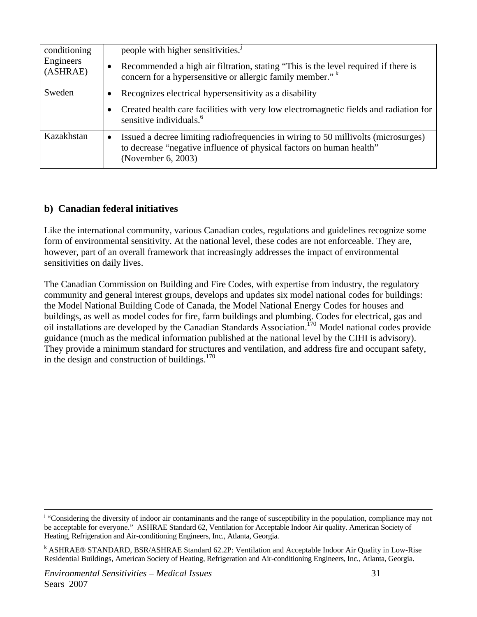| conditioning<br>Engineers<br>(ASHRAE) | people with higher sensitivities. <sup>1</sup><br>Recommended a high air filtration, stating "This is the level required if there is<br>concern for a hypersensitive or allergic family member." <sup>k</sup> |
|---------------------------------------|---------------------------------------------------------------------------------------------------------------------------------------------------------------------------------------------------------------|
| Sweden                                | Recognizes electrical hypersensitivity as a disability<br>Created health care facilities with very low electromagnetic fields and radiation for<br>sensitive individuals. $6$                                 |
| Kazakhstan                            | Issued a decree limiting radiofrequencies in wiring to 50 millivolts (microsurges)<br>$\bullet$<br>to decrease "negative influence of physical factors on human health"<br>(November 6, 2003)                 |

#### **b) Canadian federal initiatives**

Like the international community, various Canadian codes, regulations and guidelines recognize some form of environmental sensitivity. At the national level, these codes are not enforceable. They are, however, part of an overall framework that increasingly addresses the impact of environmental sensitivities on daily lives.

The Canadian Commission on Building and Fire Codes, with expertise from industry, the regulatory community and general interest groups, develops and updates six model national codes for buildings: the Model National Building Code of Canada, the Model National Energy Codes for houses and buildings, as well as model codes for fire, farm buildings and plumbing. Codes for electrical, gas and oil installations are developed by the Canadian Standards Association.<sup>170</sup> Model national codes provide guidance (much as the medical information published at the national level by the CIHI is advisory). They provide a minimum standard for structures and ventilation, and address fire and occupant safety, in the design and construction of buildings. $170$ 

<span id="page-37-0"></span><sup>|&</sup>lt;br>j <sup>j</sup> "Considering the diversity of indoor air contaminants and the range of susceptibility in the population, compliance may not be acceptable for everyone." ASHRAE Standard 62, Ventilation for Acceptable Indoor Air quality. American Society of Heating, Refrigeration and Air-conditioning Engineers, Inc*.,* Atlanta, Georgia.

<span id="page-37-1"></span><sup>&</sup>lt;sup>k</sup> ASHRAE® STANDARD, BSR/ASHRAE Standard 62.2P: Ventilation and Acceptable Indoor Air Quality in Low-Rise Residential Buildings, American Society of Heating, Refrigeration and Air-conditioning Engineers, Inc*.,* Atlanta, Georgia.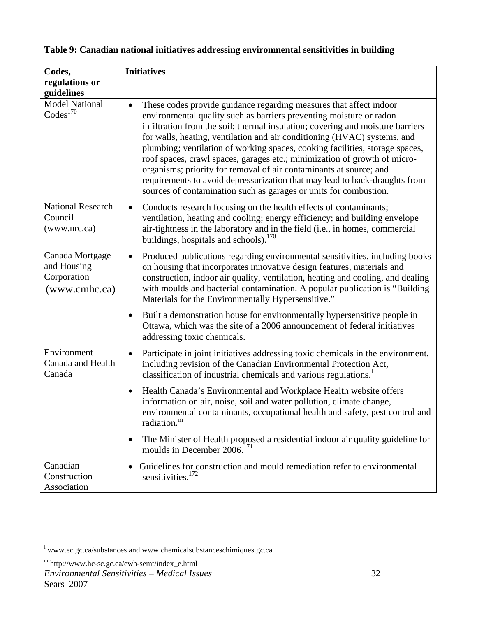| Codes,                                                         | <b>Initiatives</b>                                                                                                                                                                                                                                                                                                                                                                                                                                                                                                                                                                                                                                                                            |
|----------------------------------------------------------------|-----------------------------------------------------------------------------------------------------------------------------------------------------------------------------------------------------------------------------------------------------------------------------------------------------------------------------------------------------------------------------------------------------------------------------------------------------------------------------------------------------------------------------------------------------------------------------------------------------------------------------------------------------------------------------------------------|
| regulations or                                                 |                                                                                                                                                                                                                                                                                                                                                                                                                                                                                                                                                                                                                                                                                               |
| guidelines<br><b>Model National</b><br>$\mathrm{Codes}^{170}$  | These codes provide guidance regarding measures that affect indoor<br>environmental quality such as barriers preventing moisture or radon<br>infiltration from the soil; thermal insulation; covering and moisture barriers<br>for walls, heating, ventilation and air conditioning (HVAC) systems, and<br>plumbing; ventilation of working spaces, cooking facilities, storage spaces,<br>roof spaces, crawl spaces, garages etc.; minimization of growth of micro-<br>organisms; priority for removal of air contaminants at source; and<br>requirements to avoid depressurization that may lead to back-draughts from<br>sources of contamination such as garages or units for combustion. |
| <b>National Research</b><br>Council<br>(www.nrc.ca)            | Conducts research focusing on the health effects of contaminants;<br>$\bullet$<br>ventilation, heating and cooling; energy efficiency; and building envelope<br>air-tightness in the laboratory and in the field (i.e., in homes, commercial<br>buildings, hospitals and schools). <sup>170</sup>                                                                                                                                                                                                                                                                                                                                                                                             |
| Canada Mortgage<br>and Housing<br>Corporation<br>(www.cmhc.ca) | Produced publications regarding environmental sensitivities, including books<br>on housing that incorporates innovative design features, materials and<br>construction, indoor air quality, ventilation, heating and cooling, and dealing<br>with moulds and bacterial contamination. A popular publication is "Building<br>Materials for the Environmentally Hypersensitive."                                                                                                                                                                                                                                                                                                                |
|                                                                | Built a demonstration house for environmentally hypersensitive people in<br>Ottawa, which was the site of a 2006 announcement of federal initiatives<br>addressing toxic chemicals.                                                                                                                                                                                                                                                                                                                                                                                                                                                                                                           |
| Environment<br>Canada and Health<br>Canada                     | Participate in joint initiatives addressing toxic chemicals in the environment,<br>٠<br>including revision of the Canadian Environmental Protection Act,<br>classification of industrial chemicals and various regulations. <sup>1</sup>                                                                                                                                                                                                                                                                                                                                                                                                                                                      |
|                                                                | Health Canada's Environmental and Workplace Health website offers<br>$\bullet$<br>information on air, noise, soil and water pollution, climate change,<br>environmental contaminants, occupational health and safety, pest control and<br>radiation. <sup>m</sup>                                                                                                                                                                                                                                                                                                                                                                                                                             |
|                                                                | The Minister of Health proposed a residential indoor air quality guideline for<br>$\bullet$<br>moulds in December 2006. <sup>171</sup>                                                                                                                                                                                                                                                                                                                                                                                                                                                                                                                                                        |
| Canadian<br>Construction<br>Association                        | Guidelines for construction and mould remediation refer to environmental<br>sensitivities. <sup>172</sup>                                                                                                                                                                                                                                                                                                                                                                                                                                                                                                                                                                                     |

## **Table 9: Canadian national initiatives addressing environmental sensitivities in building**

<span id="page-38-1"></span><span id="page-38-0"></span> l [www.ec.gc.ca/substances](http://www.ec.gc.ca/substances) and [www.chemicalsubstanceschimiques.gc.ca](http://www.chemicalsubstanceschimiques.gc.ca/)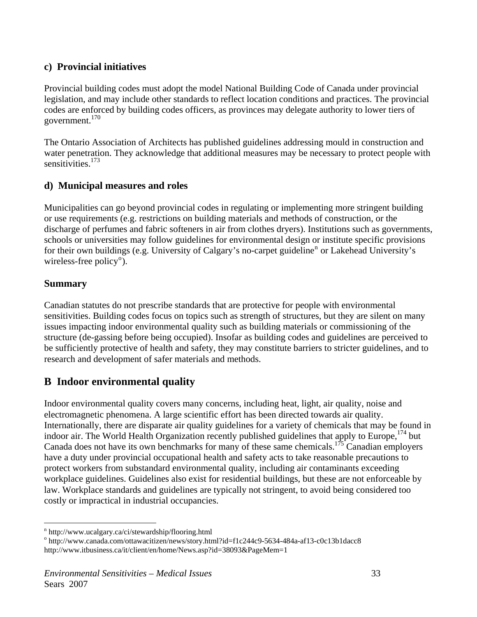#### **c) Provincial initiatives**

Provincial building codes must adopt the model National Building Code of Canada under provincial legislation, and may include other standards to reflect location conditions and practices. The provincial codes are enforced by building codes officers, as provinces may delegate authority to lower tiers of government.170

The Ontario Association of Architects has published guidelines addressing mould in construction and water penetration. They acknowledge that additional measures may be necessary to protect people with sensitivities.<sup>173</sup>

#### **d) Municipal measures and roles**

Municipalities can go beyond provincial codes in regulating or implementing more stringent building or use requirements (e.g. restrictions on building materials and methods of construction, or the discharge of perfumes and fabric softeners in air from clothes dryers). Institutions such as governments, schools or universities may follow guidelines for environmental design or institute specific provisions for their ow[n](#page-39-0) buildings (e.g. University of Calgary's no-carpet guideline<sup>n</sup> or Lakehead University's wireless-free p[o](#page-39-1)licy<sup>o</sup>).

#### **Summary**

Canadian statutes do not prescribe standards that are protective for people with environmental sensitivities. Building codes focus on topics such as strength of structures, but they are silent on many issues impacting indoor environmental quality such as building materials or commissioning of the structure (de-gassing before being occupied). Insofar as building codes and guidelines are perceived to be sufficiently protective of health and safety, they may constitute barriers to stricter guidelines, and to research and development of safer materials and methods.

## **B Indoor environmental quality**

Indoor environmental quality covers many concerns, including heat, light, air quality, noise and electromagnetic phenomena. A large scientific effort has been directed towards air quality. Internationally, there are disparate air quality guidelines for a variety of chemicals that may be found in indoor air. The World Health Organization recently published guidelines that apply to Europe, <sup>174</sup> but Canada does not have its own benchmarks for many of these same chemicals.<sup>175</sup> Canadian employers have a duty under provincial occupational health and safety acts to take reasonable precautions to protect workers from substandard environmental quality, including air contaminants exceeding workplace guidelines. Guidelines also exist for residential buildings, but these are not enforceable by law. Workplace standards and guidelines are typically not stringent, to avoid being considered too costly or impractical in industrial occupancies.

 $\overline{a}$ <sup>n</sup> http://www.ucalgary.ca/ci/stewardship/flooring.html<br><sup>0</sup> http://www.conode.com/ottowacitizen/nows/story.htm

<span id="page-39-1"></span><span id="page-39-0"></span>http://www.canada.com/ottawacitizen/news/story.html?id=f1c244c9-5634-484a-af13-c0c13b1dacc8 http://www.itbusiness.ca/it/client/en/home/News.asp?id=38093&PageMem=1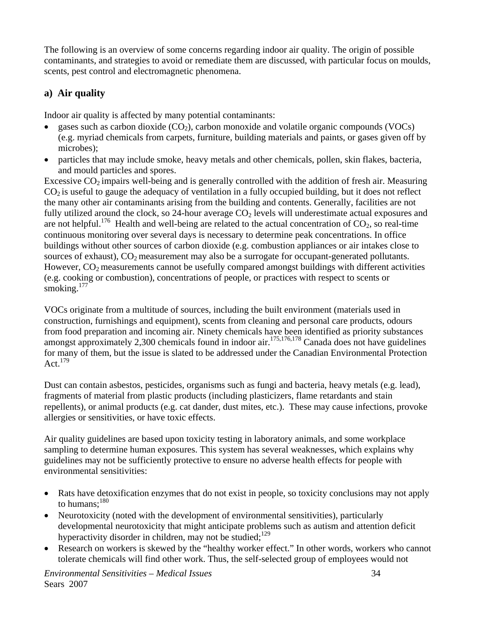The following is an overview of some concerns regarding indoor air quality. The origin of possible contaminants, and strategies to avoid or remediate them are discussed, with particular focus on moulds, scents, pest control and electromagnetic phenomena.

## **a) Air quality**

Indoor air quality is affected by many potential contaminants:

- gases such as carbon dioxide  $(CO<sub>2</sub>)$ , carbon monoxide and volatile organic compounds (VOCs) (e.g. myriad chemicals from carpets, furniture, building materials and paints, or gases given off by microbes);
- particles that may include smoke, heavy metals and other chemicals, pollen, skin flakes, bacteria, and mould particles and spores.

Excessive  $CO<sub>2</sub>$  impairs well-being and is generally controlled with the addition of fresh air. Measuring  $CO<sub>2</sub>$  is useful to gauge the adequacy of ventilation in a fully occupied building, but it does not reflect the many other air contaminants arising from the building and contents. Generally, facilities are not fully utilized around the clock, so 24-hour average  $CO<sub>2</sub>$  levels will underestimate actual exposures and are not helpful.<sup>176</sup> Health and well-being are related to the actual concentration of  $CO_2$ , so real-time continuous monitoring over several days is necessary to determine peak concentrations. In office buildings without other sources of carbon dioxide (e.g. combustion appliances or air intakes close to sources of exhaust),  $CO<sub>2</sub>$  measurement may also be a surrogate for occupant-generated pollutants. However,  $CO<sub>2</sub>$  measurements cannot be usefully compared amongst buildings with different activities (e.g. cooking or combustion), concentrations of people, or practices with respect to scents or smoking.<sup>177</sup>

VOCs originate from a multitude of sources, including the built environment (materials used in construction, furnishings and equipment), scents from cleaning and personal care products, odours from food preparation and incoming air. Ninety chemicals have been identified as priority substances amongst approximately 2,300 chemicals found in indoor air.<sup>175,176,178</sup> Canada does not have guidelines for many of them, but the issue is slated to be addressed under the Canadian Environmental Protection Act. $179$ 

Dust can contain asbestos, pesticides, organisms such as fungi and bacteria, heavy metals (e.g. lead), fragments of material from plastic products (including plasticizers, flame retardants and stain repellents), or animal products (e.g. cat dander, dust mites, etc.). These may cause infections, provoke allergies or sensitivities, or have toxic effects.

Air quality guidelines are based upon toxicity testing in laboratory animals, and some workplace sampling to determine human exposures. This system has several weaknesses, which explains why guidelines may not be sufficiently protective to ensure no adverse health effects for people with environmental sensitivities:

- Rats have detoxification enzymes that do not exist in people, so toxicity conclusions may not apply to humans: $180$
- Neurotoxicity (noted with the development of environmental sensitivities), particularly developmental neurotoxicity that might anticipate problems such as autism and attention deficit hyperactivity disorder in children, may not be studied; $^{129}$
- Research on workers is skewed by the "healthy worker effect." In other words, workers who cannot tolerate chemicals will find other work. Thus, the self-selected group of employees would not

*Environmental Sensitivities – Medical Issues* 34 Sears 2007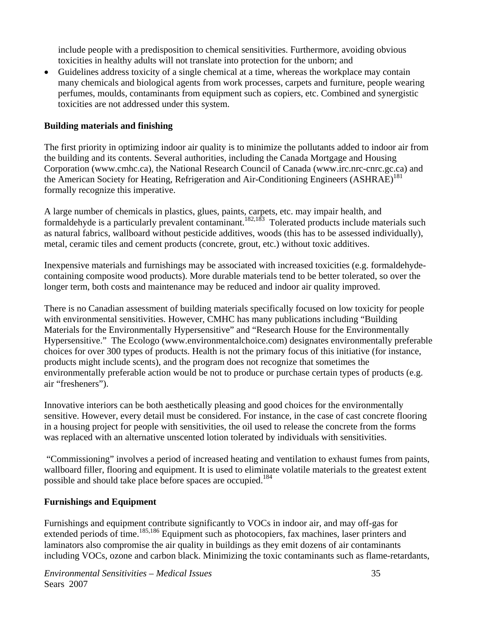include people with a predisposition to chemical sensitivities. Furthermore, avoiding obvious toxicities in healthy adults will not translate into protection for the unborn; and

• Guidelines address toxicity of a single chemical at a time, whereas the workplace may contain many chemicals and biological agents from work processes, carpets and furniture, people wearing perfumes, moulds, contaminants from equipment such as copiers, etc. Combined and synergistic toxicities are not addressed under this system.

#### **Building materials and finishing**

The first priority in optimizing indoor air quality is to minimize the pollutants added to indoor air from the building and its contents. Several authorities, including the Canada Mortgage and Housing Corporation (www.cmhc.ca), the National Research Council of Canada (www.irc.nrc-cnrc.gc.ca) and the American Society for Heating, Refrigeration and Air-Conditioning Engineers (ASHRAE)<sup>181</sup> formally recognize this imperative.

A large number of chemicals in plastics, glues, paints, carpets, etc. may impair health, and formaldehyde is a particularly prevalent contaminant.<sup>182,183</sup> Tolerated products include materials such as natural fabrics, wallboard without pesticide additives, woods (this has to be assessed individually), metal, ceramic tiles and cement products (concrete, grout, etc.) without toxic additives.

Inexpensive materials and furnishings may be associated with increased toxicities (e.g. formaldehydecontaining composite wood products). More durable materials tend to be better tolerated, so over the longer term, both costs and maintenance may be reduced and indoor air quality improved.

There is no Canadian assessment of building materials specifically focused on low toxicity for people with environmental sensitivities. However, CMHC has many publications including "Building Materials for the Environmentally Hypersensitive" and "Research House for the Environmentally Hypersensitive." The Ecologo (www.environmentalchoice.com) designates environmentally preferable choices for over 300 types of products. Health is not the primary focus of this initiative (for instance, products might include scents), and the program does not recognize that sometimes the environmentally preferable action would be not to produce or purchase certain types of products (e.g. air "fresheners").

Innovative interiors can be both aesthetically pleasing and good choices for the environmentally sensitive. However, every detail must be considered. For instance, in the case of cast concrete flooring in a housing project for people with sensitivities, the oil used to release the concrete from the forms was replaced with an alternative unscented lotion tolerated by individuals with sensitivities.

 "Commissioning" involves a period of increased heating and ventilation to exhaust fumes from paints, wallboard filler, flooring and equipment. It is used to eliminate volatile materials to the greatest extent possible and should take place before spaces are occupied.<sup>184</sup>

#### **Furnishings and Equipment**

Furnishings and equipment contribute significantly to VOCs in indoor air, and may off-gas for extended periods of time.<sup>185,186</sup> Equipment such as photocopiers, fax machines, laser printers and laminators also compromise the air quality in buildings as they emit dozens of air contaminants including VOCs, ozone and carbon black. Minimizing the toxic contaminants such as flame-retardants,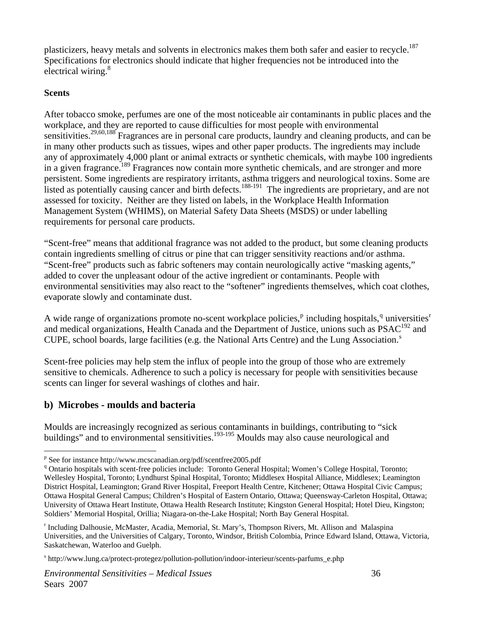plasticizers, heavy metals and solvents in electronics makes them both safer and easier to recycle.<sup>187</sup> Specifications for electronics should indicate that higher frequencies not be introduced into the electrical wiring.<sup>8</sup>

#### **Scents**

 $\overline{a}$ 

After tobacco smoke, perfumes are one of the most noticeable air contaminants in public places and the workplace, and they are reported to cause difficulties for most people with environmental sensitivities.<sup>29,60,188</sup> Fragrances are in personal care products, laundry and cleaning products, and can be in many other products such as tissues, wipes and other paper products. The ingredients may include any of approximately 4,000 plant or animal extracts or synthetic chemicals, with maybe 100 ingredients in a given fragrance.<sup>189</sup> Fragrances now contain more synthetic chemicals, and are stronger and more persistent. Some ingredients are respiratory irritants, asthma triggers and neurological toxins. Some are listed as potentially causing cancer and birth defects.<sup>188-191</sup> The ingredients are proprietary, and are not assessed for toxicity. Neither are they listed on labels, in the Workplace Health Information Management System (WHIMS), on Material Safety Data Sheets (MSDS) or under labelling requirements for personal care products.

"Scent-free" means that additional fragrance was not added to the product, but some cleaning products contain ingredients smelling of citrus or pine that can trigger sensitivity reactions and/or asthma. "Scent-free" products such as fabric softeners may contain neurologically active "masking agents," added to cover the unpleasant odour of the active ingredient or contaminants. People with environmental sensitivities may also react to the "softener" ingredients themselves, which coat clothes, evaporate slowly and contaminate dust.

A wide range of organizations [p](#page-42-0)romote no-scent workplace policies,<sup>p</sup> including hospitals,<sup>[q](#page-42-1)</sup> unive[r](#page-42-2)sities<sup>r</sup> and medical organizations, Health Canada and the Department of Justice, unions such as  $PSAC<sup>192</sup>$  and CUPE, [s](#page-42-3)chool boards, large facilities (e.g. the National Arts Centre) and the Lung Association.<sup>s</sup>

Scent-free policies may help stem the influx of people into the group of those who are extremely sensitive to chemicals. Adherence to such a policy is necessary for people with sensitivities because scents can linger for several washings of clothes and hair.

#### **b) Microbes - moulds and bacteria**

Moulds are increasingly recognized as serious contaminants in buildings, contributing to "sick buildings" and to environmental sensitivities.<sup>193-195</sup> Moulds may also cause neurological and

<span id="page-42-0"></span>p<br>
<sup>p</sup> See for instance http://www.mcscanadian.org/pdf/scentfree2005.pdf<br>
<sup>q</sup> Ontario beguitals with seent free policies include: Terente General I

<span id="page-42-1"></span>Ontario hospitals with scent-free policies include: Toronto General Hospital; Women's College Hospital, Toronto; Wellesley Hospital, Toronto; Lyndhurst Spinal Hospital, Toronto; Middlesex Hospital Alliance, Middlesex; Leamington District Hospital, Leamington; Grand River Hospital, Freeport Health Centre, Kitchener; Ottawa Hospital Civic Campus; Ottawa Hospital General Campus; Children's Hospital of Eastern Ontario, Ottawa; Queensway-Carleton Hospital, Ottawa; University of Ottawa Heart Institute, Ottawa Health Research Institute; Kingston General Hospital; Hotel Dieu, Kingston; Soldiers' Memorial Hospital, Orillia; Niagara-on-the-Lake Hospital; North Bay General Hospital.

<span id="page-42-2"></span>r Including Dalhousie, McMaster, Acadia, Memorial, St. Mary's, Thompson Rivers, Mt. Allison and Malaspina Universities, and the Universities of Calgary, Toronto, Windsor, British Colombia, Prince Edward Island, Ottawa, Victoria, Saskatchewan, Waterloo and Guelph.

<span id="page-42-3"></span>s http://www.lung.ca/protect-protegez/pollution-pollution/indoor-interieur/scents-parfums\_e.php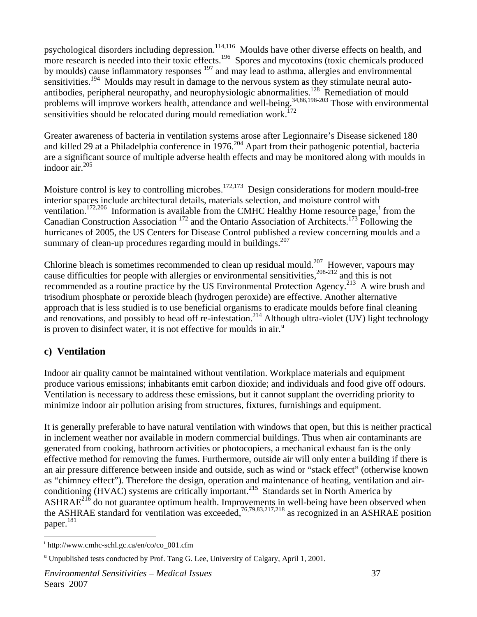psychological disorders including depression.<sup>114,116</sup> Moulds have other diverse effects on health, and more research is needed into their toxic effects.<sup>196</sup> Spores and mycotoxins (toxic chemicals produced by moulds) cause inflammatory responses  $197$  and may lead to asthma, allergies and environmental sensitivities.<sup>194</sup> Moulds may result in damage to the nervous system as they stimulate neural autoantibodies, peripheral neuropathy, and neurophysiologic abnormalities.<sup>128</sup> Remediation of mould problems will improve workers health, attendance and well-being.<sup>34,86,198-203</sup> Those with environmental sensitivities should be relocated during mould remediation work.<sup>172</sup>

Greater awareness of bacteria in ventilation systems arose after Legionnaire's Disease sickened 180 and killed 29 at a Philadelphia conference in 1976.<sup>204</sup> Apart from their pathogenic potential, bacteria are a significant source of multiple adverse health effects and may be monitored along with moulds in indoor air.205

Moisture control is key to controlling microbes.<sup>172,173</sup> Design considerations for modern mould-free interior spaces include architectural details, materials selection, and moisture control with ven[t](#page-43-0)ilation.<sup>172,206</sup> Information is available from the CMHC Healthy Home resource page,<sup>t</sup> from the Canadian Construction Association 172 and the Ontario Association of Architects.173 Following the hurricanes of 2005, the US Centers for Disease Control published a review concerning moulds and a summary of clean-up procedures regarding mould in buildings.<sup>207</sup>

Chlorine bleach is sometimes recommended to clean up residual mould.<sup>207</sup> However, vapours may cause difficulties for people with allergies or environmental sensitivities,  $208-212$  and this is not recommended as a routine practice by the US Environmental Protection Agency.<sup>213</sup> A wire brush and trisodium phosphate or peroxide bleach (hydrogen peroxide) are effective. Another alternative approach that is less studied is to use beneficial organisms to eradicate moulds before final cleaning and renovations, and possibly to head off re-infestation.<sup>214</sup> Although ultra-violet (UV) light technology is proven to disinfect water, it is not effective for mo[u](#page-43-1)lds in air. $^{\mathrm{u}}$ 

#### **c) Ventilation**

 $\overline{a}$ 

Indoor air quality cannot be maintained without ventilation. Workplace materials and equipment produce various emissions; inhabitants emit carbon dioxide; and individuals and food give off odours. Ventilation is necessary to address these emissions, but it cannot supplant the overriding priority to minimize indoor air pollution arising from structures, fixtures, furnishings and equipment.

It is generally preferable to have natural ventilation with windows that open, but this is neither practical in inclement weather nor available in modern commercial buildings. Thus when air contaminants are generated from cooking, bathroom activities or photocopiers, a mechanical exhaust fan is the only effective method for removing the fumes. Furthermore, outside air will only enter a building if there is an air pressure difference between inside and outside, such as wind or "stack effect" (otherwise known as "chimney effect"). Therefore the design, operation and maintenance of heating, ventilation and airconditioning (HVAC) systems are critically important.<sup>215</sup> Standards set in North America by ASHRAE $^{21\overline{6}}$  do not guarantee optimum health. Improvements in well-being have been observed when the ASHRAE standard for ventilation was exceeded,<sup>76,79,83,217,218</sup> as recognized in an ASHRAE position paper.<sup>181</sup>

<span id="page-43-0"></span>t http://www.cmhc-schl.gc.ca/en/co/co\_001.cfm

<span id="page-43-1"></span><sup>&</sup>lt;sup>u</sup> Unpublished tests conducted by Prof. Tang G. Lee, University of Calgary, April 1, 2001.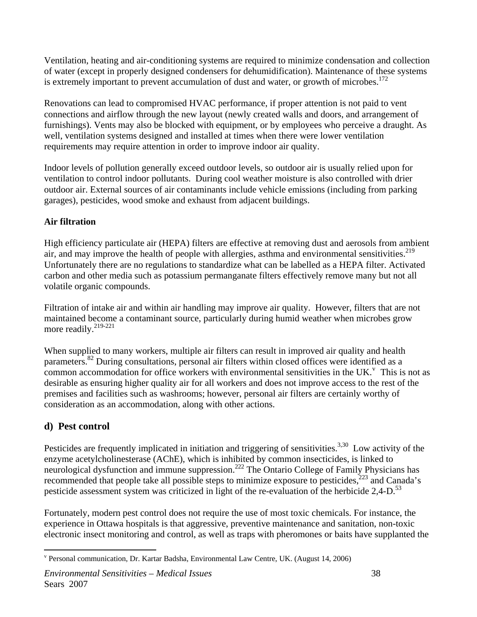Ventilation, heating and air-conditioning systems are required to minimize condensation and collection of water (except in properly designed condensers for dehumidification). Maintenance of these systems is extremely important to prevent accumulation of dust and water, or growth of microbes.<sup>172</sup>

Renovations can lead to compromised HVAC performance, if proper attention is not paid to vent connections and airflow through the new layout (newly created walls and doors, and arrangement of furnishings). Vents may also be blocked with equipment, or by employees who perceive a draught. As well, ventilation systems designed and installed at times when there were lower ventilation requirements may require attention in order to improve indoor air quality.

Indoor levels of pollution generally exceed outdoor levels, so outdoor air is usually relied upon for ventilation to control indoor pollutants. During cool weather moisture is also controlled with drier outdoor air. External sources of air contaminants include vehicle emissions (including from parking garages), pesticides, wood smoke and exhaust from adjacent buildings.

#### **Air filtration**

High efficiency particulate air (HEPA) filters are effective at removing dust and aerosols from ambient air, and may improve the health of people with allergies, asthma and environmental sensitivities.<sup>219</sup> Unfortunately there are no regulations to standardize what can be labelled as a HEPA filter. Activated carbon and other media such as potassium permanganate filters effectively remove many but not all volatile organic compounds.

Filtration of intake air and within air handling may improve air quality. However, filters that are not maintained become a contaminant source, particularly during humid weather when microbes grow more readily.<sup>219-221</sup>

When supplied to many workers, multiple air filters can result in improved air quality and health parameters.<sup>82</sup> During consultations, personal air filters within closed offices were identified as a common accommodation for office workers with en[v](#page-44-0)ironmental sensitivities in the UK. $^{\circ}$  This is not as desirable as ensuring higher quality air for all workers and does not improve access to the rest of the premises and facilities such as washrooms; however, personal air filters are certainly worthy of consideration as an accommodation, along with other actions.

#### **d) Pest control**

 $\overline{a}$ 

Pesticides are frequently implicated in initiation and triggering of sensitivities.<sup>3,30</sup> Low activity of the enzyme acetylcholinesterase (AChE), which is inhibited by common insecticides, is linked to neurological dysfunction and immune suppression.<sup>222</sup> The Ontario College of Family Physicians has recommended that people take all possible steps to minimize exposure to pesticides,<sup>223</sup> and Canada's pesticide assessment system was criticized in light of the re-evaluation of the herbicide 2,4-D.<sup>53</sup>

Fortunately, modern pest control does not require the use of most toxic chemicals. For instance, the experience in Ottawa hospitals is that aggressive, preventive maintenance and sanitation, non-toxic electronic insect monitoring and control, as well as traps with pheromones or baits have supplanted the

<span id="page-44-0"></span>v Personal communication, Dr. Kartar Badsha, Environmental Law Centre, UK. (August 14, 2006)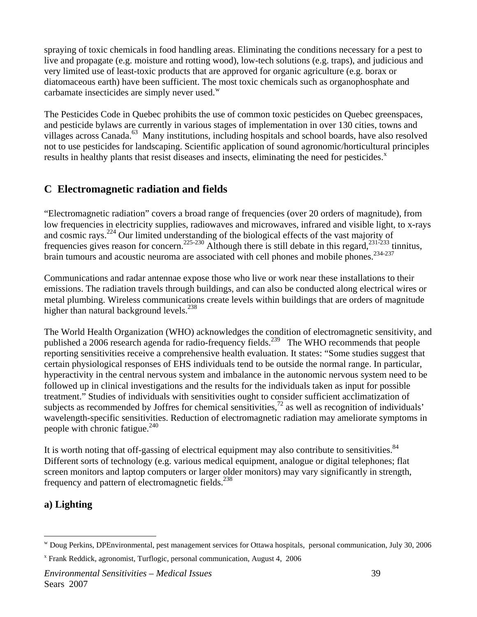spraying of toxic chemicals in food handling areas. Eliminating the conditions necessary for a pest to live and propagate (e.g. moisture and rotting wood), low-tech solutions (e.g. traps), and judicious and very limited use of least-toxic products that are approved for organic agriculture (e.g. borax or diatomaceous earth) have been sufficient. The most toxic chemicals such as organophosphate and carbamate insecticides are simply never used. $^w$  $^w$ 

The Pesticides Code in Quebec prohibits the use of common toxic pesticides on Quebec greenspaces, and pesticide bylaws are currently in various stages of implementation in over 130 cities, towns and villages across Canada.<sup>63</sup> Many institutions, including hospitals and school boards, have also resolved not to use pesticides for landscaping. Scientific application of sound agronomic/horticultural principles results in healthy plants that resist diseases and insects, eliminating the need for pesticides.<sup>[x](#page-45-1)</sup>

## **C Electromagnetic radiation and fields**

"Electromagnetic radiation" covers a broad range of frequencies (over 20 orders of magnitude), from low frequencies in electricity supplies, radiowaves and microwaves, infrared and visible light, to x-rays and cosmic rays.224 Our limited understanding of the biological effects of the vast majority of frequencies gives reason for concern.<sup>225-230</sup> Although there is still debate in this regard,<sup>231-233</sup> tinnitus, brain tumours and acoustic neuroma are associated with cell phones and mobile phones.<sup>234-237</sup>

Communications and radar antennae expose those who live or work near these installations to their emissions. The radiation travels through buildings, and can also be conducted along electrical wires or metal plumbing. Wireless communications create levels within buildings that are orders of magnitude higher than natural background levels. $^{238}$ 

The World Health Organization (WHO) acknowledges the condition of electromagnetic sensitivity, and published a 2006 research agenda for radio-frequency fields.<sup>239</sup> The WHO recommends that people reporting sensitivities receive a comprehensive health evaluation. It states: "Some studies suggest that certain physiological responses of EHS individuals tend to be outside the normal range. In particular, hyperactivity in the central nervous system and imbalance in the autonomic nervous system need to be followed up in clinical investigations and the results for the individuals taken as input for possible treatment." Studies of individuals with sensitivities ought to consider sufficient acclimatization of subjects as recommended by Joffres for chemical sensitivities,<sup>72</sup> as well as recognition of individuals' wavelength-specific sensitivities. Reduction of electromagnetic radiation may ameliorate symptoms in people with chronic fatigue. $^{240}$ 

It is worth noting that off-gassing of electrical equipment may also contribute to sensitivities.<sup>84</sup> Different sorts of technology (e.g. various medical equipment, analogue or digital telephones; flat screen monitors and laptop computers or larger older monitors) may vary significantly in strength, frequency and pattern of electromagnetic fields.<sup>238</sup>

#### **a) Lighting**

 $\overline{a}$ 

<span id="page-45-0"></span>w Doug Perkins, DPEnvironmental, pest management services for Ottawa hospitals, personal communication, July 30, 2006

<span id="page-45-1"></span>x Frank Reddick, agronomist, Turflogic, personal communication, August 4, 2006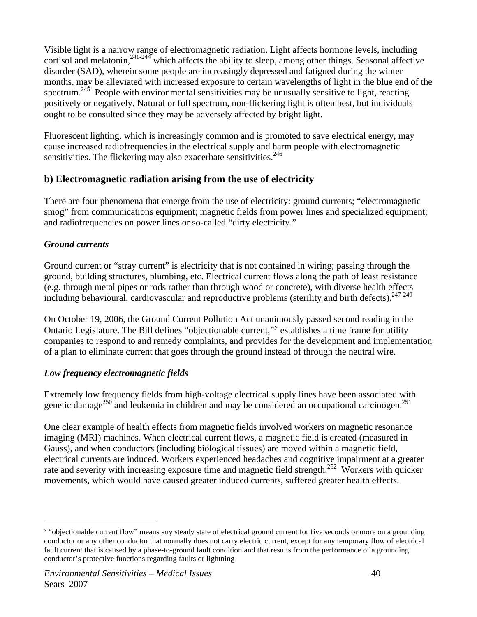Visible light is a narrow range of electromagnetic radiation. Light affects hormone levels, including cortisol and melatonin,<sup>241-244</sup> which affects the ability to sleep, among other things. Seasonal affective disorder (SAD), wherein some people are increasingly depressed and fatigued during the winter months, may be alleviated with increased exposure to certain wavelengths of light in the blue end of the spectrum.<sup>245</sup> People with environmental sensitivities may be unusually sensitive to light, reacting positively or negatively. Natural or full spectrum, non-flickering light is often best, but individuals ought to be consulted since they may be adversely affected by bright light.

Fluorescent lighting, which is increasingly common and is promoted to save electrical energy, may cause increased radiofrequencies in the electrical supply and harm people with electromagnetic sensitivities. The flickering may also exacerbate sensitivities. $246$ 

#### **b) Electromagnetic radiation arising from the use of electricity**

There are four phenomena that emerge from the use of electricity: ground currents; "electromagnetic smog" from communications equipment; magnetic fields from power lines and specialized equipment; and radiofrequencies on power lines or so-called "dirty electricity."

#### *Ground currents*

 $\overline{a}$ 

Ground current or "stray current" is electricity that is not contained in wiring; passing through the ground, building structures, plumbing, etc. Electrical current flows along the path of least resistance (e.g. through metal pipes or rods rather than through wood or concrete), with diverse health effects including behavioural, cardiovascular and reproductive problems (sterility and birth defects).<sup>247-249</sup>

On October 19, 2006, the Ground Current Pollution Act unanimously passed second reading in the Ontario Legislature. The Bill defines "objectionable current," establishes a time frame for utilit[y](#page-46-0) companies to respond to and remedy complaints, and provides for the development and implementation of a plan to eliminate current that goes through the ground instead of through the neutral wire.

#### *Low frequency electromagnetic fields*

Extremely low frequency fields from high-voltage electrical supply lines have been associated with genetic damage<sup>250</sup> and leukemia in children and may be considered an occupational carcinogen.<sup>251</sup>

One clear example of health effects from magnetic fields involved workers on magnetic resonance imaging (MRI) machines. When electrical current flows, a magnetic field is created (measured in Gauss), and when conductors (including biological tissues) are moved within a magnetic field, electrical currents are induced. Workers experienced headaches and cognitive impairment at a greater rate and severity with increasing exposure time and magnetic field strength.<sup>252</sup> Workers with quicker movements, which would have caused greater induced currents, suffered greater health effects.

<span id="page-46-0"></span><sup>&</sup>lt;sup>y</sup> "objectionable current flow" means any steady state of electrical ground current for five seconds or more on a grounding conductor or any other conductor that normally does not carry electric current, except for any temporary flow of electrical fault current that is caused by a phase-to-ground fault condition and that results from the performance of a grounding conductor's protective functions regarding faults or lightning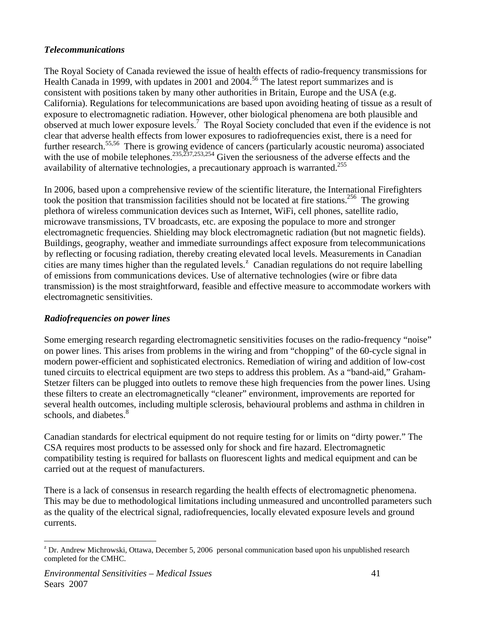#### *Telecommunications*

The Royal Society of Canada reviewed the issue of health effects of radio-frequency transmissions for Health Canada in 1999, with updates in 2001 and 2004.<sup>56</sup> The latest report summarizes and is consistent with positions taken by many other authorities in Britain, Europe and the USA (e.g. California). Regulations for telecommunications are based upon avoiding heating of tissue as a result of exposure to electromagnetic radiation. However, other biological phenomena are both plausible and observed at much lower exposure levels.<sup>7</sup> The Royal Society concluded that even if the evidence is not clear that adverse health effects from lower exposures to radiofrequencies exist, there is a need for further research.<sup>55,56</sup> There is growing evidence of cancers (particularly acoustic neuroma) associated with the use of mobile telephones.<sup>235,237,253,254</sup> Given the seriousness of the adverse effects and the availability of alternative technologies, a precautionary approach is warranted.<sup>255</sup>

In 2006, based upon a comprehensive review of the scientific literature, the International Firefighters took the position that transmission facilities should not be located at fire stations.<sup>256</sup> The growing plethora of wireless communication devices such as Internet, WiFi, cell phones, satellite radio, microwave transmissions, TV broadcasts, etc. are exposing the populace to more and stronger electromagnetic frequencies. Shielding may block electromagnetic radiation (but not magnetic fields). Buildings, geography, weather and immediate surroundings affect exposure from telecommunications by reflecting or focusing radiation, thereby creating elevated local levels. Measurements in Canadian cities are many times higher than the regulated levels.<sup>2</sup> Canadian regulations do not require labelling of emissions from communications devices. Use of alternative technologies (wire or fibre data transmission) is the most straightforward, feasible and effective measure to accommodate workers with electromagnetic sensitivities.

#### *Radiofrequencies on power lines*

Some emerging research regarding electromagnetic sensitivities focuses on the radio-frequency "noise" on power lines. This arises from problems in the wiring and from "chopping" of the 60-cycle signal in modern power-efficient and sophisticated electronics. Remediation of wiring and addition of low-cost tuned circuits to electrical equipment are two steps to address this problem. As a "band-aid," Graham-Stetzer filters can be plugged into outlets to remove these high frequencies from the power lines. Using these filters to create an electromagnetically "cleaner" environment, improvements are reported for several health outcomes, including multiple sclerosis, behavioural problems and asthma in children in schools, and diabetes.<sup>8</sup>

Canadian standards for electrical equipment do not require testing for or limits on "dirty power." The CSA requires most products to be assessed only for shock and fire hazard. Electromagnetic compatibility testing is required for ballasts on fluorescent lights and medical equipment and can be carried out at the request of manufacturers.

There is a lack of consensus in research regarding the health effects of electromagnetic phenomena. This may be due to methodological limitations including unmeasured and uncontrolled parameters such as the quality of the electrical signal, radiofrequencies, locally elevated exposure levels and ground currents.

 $\overline{a}$ 

<span id="page-47-0"></span> $Z^2$  Dr. Andrew Michrowski, Ottawa, December 5, 2006 personal communication based upon his unpublished research completed for the CMHC.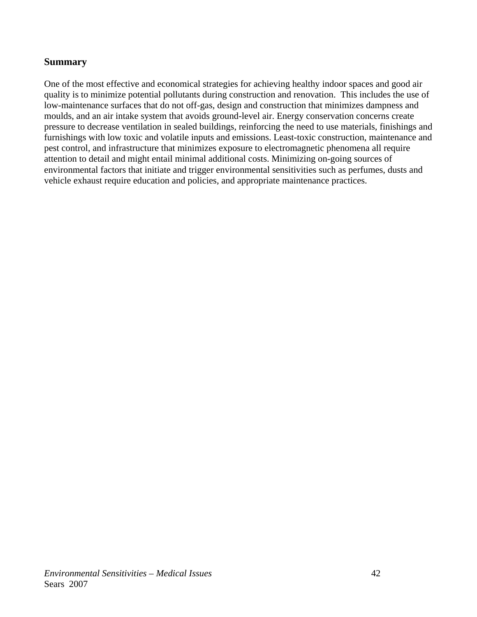#### **Summary**

One of the most effective and economical strategies for achieving healthy indoor spaces and good air quality is to minimize potential pollutants during construction and renovation. This includes the use of low-maintenance surfaces that do not off-gas, design and construction that minimizes dampness and moulds, and an air intake system that avoids ground-level air. Energy conservation concerns create pressure to decrease ventilation in sealed buildings, reinforcing the need to use materials, finishings and furnishings with low toxic and volatile inputs and emissions. Least-toxic construction, maintenance and pest control, and infrastructure that minimizes exposure to electromagnetic phenomena all require attention to detail and might entail minimal additional costs. Minimizing on-going sources of environmental factors that initiate and trigger environmental sensitivities such as perfumes, dusts and vehicle exhaust require education and policies, and appropriate maintenance practices.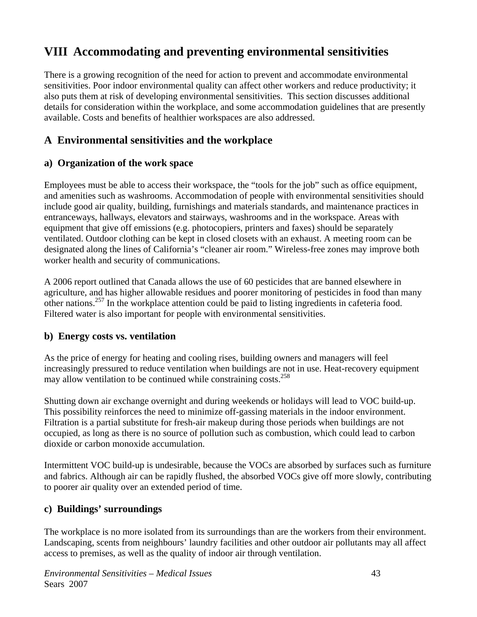# **VIII Accommodating and preventing environmental sensitivities**

There is a growing recognition of the need for action to prevent and accommodate environmental sensitivities. Poor indoor environmental quality can affect other workers and reduce productivity; it also puts them at risk of developing environmental sensitivities. This section discusses additional details for consideration within the workplace, and some accommodation guidelines that are presently available. Costs and benefits of healthier workspaces are also addressed.

## **A Environmental sensitivities and the workplace**

#### **a) Organization of the work space**

Employees must be able to access their workspace, the "tools for the job" such as office equipment, and amenities such as washrooms. Accommodation of people with environmental sensitivities should include good air quality, building, furnishings and materials standards, and maintenance practices in entranceways, hallways, elevators and stairways, washrooms and in the workspace. Areas with equipment that give off emissions (e.g. photocopiers, printers and faxes) should be separately ventilated. Outdoor clothing can be kept in closed closets with an exhaust. A meeting room can be designated along the lines of California's "cleaner air room." Wireless-free zones may improve both worker health and security of communications.

A 2006 report outlined that Canada allows the use of 60 pesticides that are banned elsewhere in agriculture, and has higher allowable residues and poorer monitoring of pesticides in food than many other nations.257 In the workplace attention could be paid to listing ingredients in cafeteria food. Filtered water is also important for people with environmental sensitivities.

#### **b) Energy costs vs. ventilation**

As the price of energy for heating and cooling rises, building owners and managers will feel increasingly pressured to reduce ventilation when buildings are not in use. Heat-recovery equipment may allow ventilation to be continued while constraining costs.258

Shutting down air exchange overnight and during weekends or holidays will lead to VOC build-up. This possibility reinforces the need to minimize off-gassing materials in the indoor environment. Filtration is a partial substitute for fresh-air makeup during those periods when buildings are not occupied, as long as there is no source of pollution such as combustion, which could lead to carbon dioxide or carbon monoxide accumulation.

Intermittent VOC build-up is undesirable, because the VOCs are absorbed by surfaces such as furniture and fabrics. Although air can be rapidly flushed, the absorbed VOCs give off more slowly, contributing to poorer air quality over an extended period of time.

#### **c) Buildings' surroundings**

The workplace is no more isolated from its surroundings than are the workers from their environment. Landscaping, scents from neighbours' laundry facilities and other outdoor air pollutants may all affect access to premises, as well as the quality of indoor air through ventilation.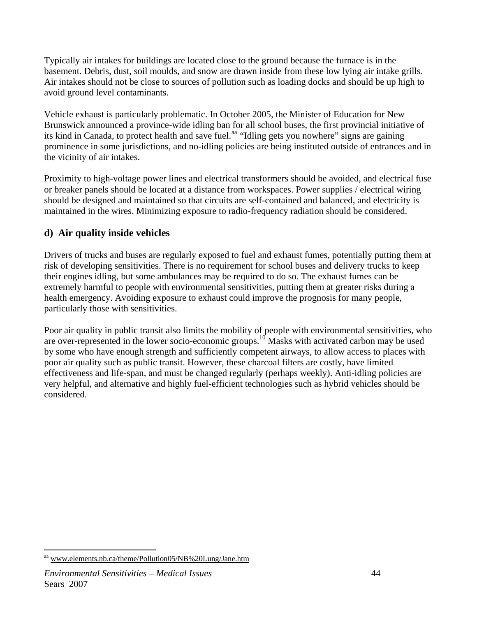Typically air intakes for buildings are located close to the ground because the furnace is in the basement. Debris, dust, soil moulds, and snow are drawn inside from these low lying air intake grills. Air intakes should not be close to sources of pollution such as loading docks and should be up high to avoid ground level contaminants.

Vehicle exhaust is particularly problematic. In October 2005, the Minister of Education for New Brunswick announced a province-wide idling ban for all school buses, the first provincial initiative of its kind in Canada, to protect health and save fuel.<sup>[aa](#page-50-0)</sup> "Idling gets you nowhere" signs are gaining prominence in some jurisdictions, and no-idling policies are being instituted outside of entrances and in the vicinity of air intakes.

Proximity to high-voltage power lines and electrical transformers should be avoided, and electrical fuse or breaker panels should be located at a distance from workspaces. Power supplies / electrical wiring should be designed and maintained so that circuits are self-contained and balanced, and electricity is maintained in the wires. Minimizing exposure to radio-frequency radiation should be considered.

#### **d) Air quality inside vehicles**

Drivers of trucks and buses are regularly exposed to fuel and exhaust fumes, potentially putting them at risk of developing sensitivities. There is no requirement for school buses and delivery trucks to keep their engines idling, but some ambulances may be required to do so. The exhaust fumes can be extremely harmful to people with environmental sensitivities, putting them at greater risks during a health emergency. Avoiding exposure to exhaust could improve the prognosis for many people, particularly those with sensitivities.

Poor air quality in public transit also limits the mobility of people with environmental sensitivities, who are over-represented in the lower socio-economic groups.<sup>10</sup> Masks with activated carbon may be used by some who have enough strength and sufficiently competent airways, to allow access to places with poor air quality such as public transit. However, these charcoal filters are costly, have limited effectiveness and life-span, and must be changed regularly (perhaps weekly). Anti-idling policies are very helpful, and alternative and highly fuel-efficient technologies such as hybrid vehicles should be considered.

 $\overline{a}$ 

<span id="page-50-0"></span><sup>&</sup>lt;sup>aa</sup> www.elements.nb.ca/theme/Pollution05/NB%20Lung/Jane.htm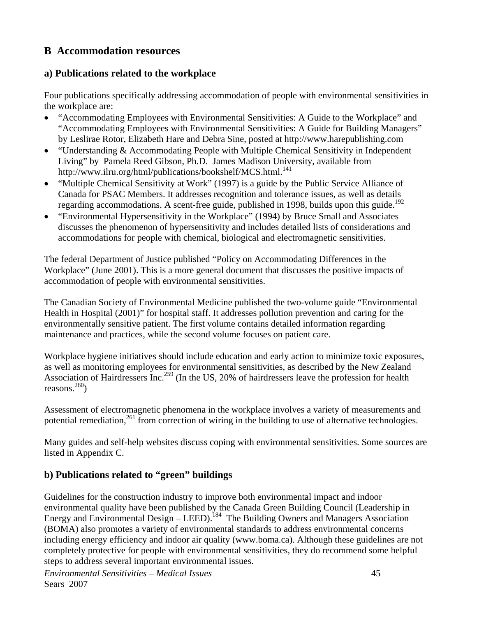# **B Accommodation resources**

#### **a) Publications related to the workplace**

Four publications specifically addressing accommodation of people with environmental sensitivities in the workplace are:

- "Accommodating Employees with Environmental Sensitivities: A Guide to the Workplace" and "Accommodating Employees with Environmental Sensitivities: A Guide for Building Managers" by Leslirae Rotor, Elizabeth Hare and Debra Sine, posted at http://www.harepublishing.com
- "Understanding & Accommodating People with Multiple Chemical Sensitivity in Independent Living" by Pamela Reed Gibson, Ph.D. James Madison University, available from http://www.ilru.org/html/publications/bookshelf/MCS.html.<sup>141</sup>
- "Multiple Chemical Sensitivity at Work" (1997) is a guide by the Public Service Alliance of Canada for PSAC Members. It addresses recognition and tolerance issues, as well as details regarding accommodations. A scent-free guide, published in 1998, builds upon this guide.<sup>192</sup>
- "Environmental Hypersensitivity in the Workplace" (1994) by Bruce Small and Associates discusses the phenomenon of hypersensitivity and includes detailed lists of considerations and accommodations for people with chemical, biological and electromagnetic sensitivities.

The federal Department of Justice published "Policy on Accommodating Differences in the Workplace" (June 2001). This is a more general document that discusses the positive impacts of accommodation of people with environmental sensitivities.

The Canadian Society of Environmental Medicine published the two-volume guide "Environmental Health in Hospital (2001)" for hospital staff. It addresses pollution prevention and caring for the environmentally sensitive patient. The first volume contains detailed information regarding maintenance and practices, while the second volume focuses on patient care.

Workplace hygiene initiatives should include education and early action to minimize toxic exposures, as well as monitoring employees for environmental sensitivities, as described by the New Zealand Association of Hairdressers Inc.<sup>259</sup> (In the US, 20% of hairdressers leave the profession for health reasons. $260$ 

Assessment of electromagnetic phenomena in the workplace involves a variety of measurements and potential remediation,<sup>261</sup> from correction of wiring in the building to use of alternative technologies.

Many guides and self-help websites discuss coping with environmental sensitivities. Some sources are listed in Appendix C.

## **b) Publications related to "green" buildings**

Guidelines for the construction industry to improve both environmental impact and indoor environmental quality have been published by the Canada Green Building Council (Leadership in Energy and Environmental Design – LEED).<sup>184</sup> The Building Owners and Managers Association (BOMA) also promotes a variety of environmental standards to address environmental concerns including energy efficiency and indoor air quality (www.boma.ca). Although these guidelines are not completely protective for people with environmental sensitivities, they do recommend some helpful steps to address several important environmental issues.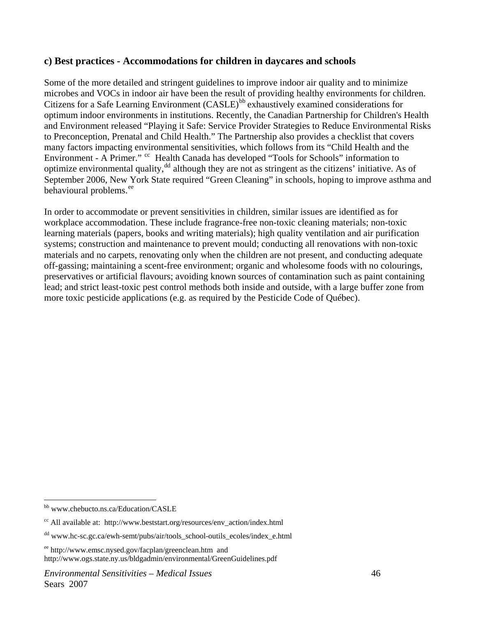#### **c) Best practices - Accommodations for children in daycares and schools**

Some of the more detailed and stringent guidelines to improve indoor air quality and to minimize microbes and VOCs in indoor air have been the result of providing healthy environments for children. Citizens for a Safe Learning Environment  $(CASLE)^{bb}$  $(CASLE)^{bb}$  $(CASLE)^{bb}$  exhaustively examined considerations for optimum indoor environments in institutions. Recently, the Canadian Partnership for Children's Health and Environment released "Playing it Safe: Service Provider Strategies to Reduce Environmental Risks to Preconception, Prenatal and Child Health." The Partnership also provides a checklist that covers many factors impacting environmental sensitivities, which follows from its "Child Health and the Environment - A Primer." <sup>[cc](#page-52-1)</sup> Health Canada has developed "Tools for Schools" information to optimize environmental quality, $^{dd}$  $^{dd}$  $^{dd}$  although they are not as stringent as the citizens' initiative. As of September 2006, New York State required "Green Cleaning" in schools, hoping to improve asthma and behavioural problems.<sup>[ee](#page-52-3)</sup>

In order to accommodate or prevent sensitivities in children, similar issues are identified as for workplace accommodation. These include fragrance-free non-toxic cleaning materials; non-toxic learning materials (papers, books and writing materials); high quality ventilation and air purification systems; construction and maintenance to prevent mould; conducting all renovations with non-toxic materials and no carpets, renovating only when the children are not present, and conducting adequate off-gassing; maintaining a scent-free environment; organic and wholesome foods with no colourings, preservatives or artificial flavours; avoiding known sources of contamination such as paint containing lead; and strict least-toxic pest control methods both inside and outside, with a large buffer zone from more toxic pesticide applications (e.g. as required by the Pesticide Code of Québec).

 $\overline{a}$ 

<span id="page-52-0"></span>bb www.chebucto.ns.ca/Education/CASLE

<span id="page-52-1"></span> $cc$  All available at: http://www.beststart.org/resources/env\_action/index.html

<span id="page-52-2"></span><sup>&</sup>lt;sup>dd</sup> www.hc-sc.gc.ca/ewh-semt/pubs/air/tools\_school-outils\_ecoles/index\_e.html

<span id="page-52-3"></span>ee http://www.emsc.nysed.gov/facplan/greenclean.htm and http://www.ogs.state.ny.us/bldgadmin/environmental/GreenGuidelines.pdf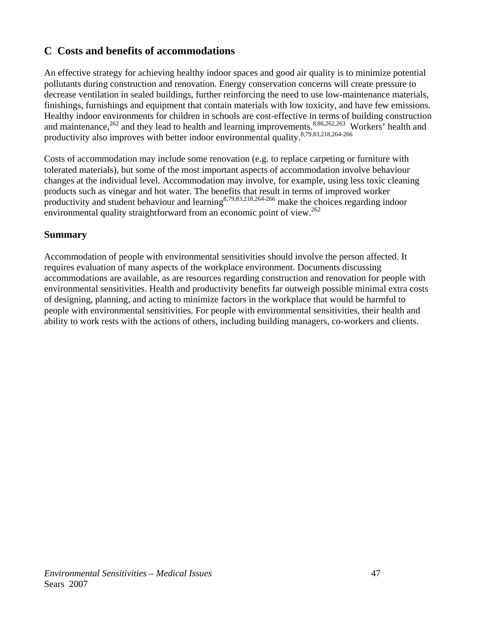# **C Costs and benefits of accommodations**

An effective strategy for achieving healthy indoor spaces and good air quality is to minimize potential pollutants during construction and renovation. Energy conservation concerns will create pressure to decrease ventilation in sealed buildings, further reinforcing the need to use low-maintenance materials, finishings, furnishings and equipment that contain materials with low toxicity, and have few emissions. Healthy indoor environments for children in schools are cost-effective in terms of building construction and maintenance,<sup>262</sup> and they lead to health and learning improvements.<sup>8,86,262,263</sup> Workers' health and productivity also improves with better indoor environmental quality.<sup>8,79,83,218,264-266</sup>

Costs of accommodation may include some renovation (e.g. to replace carpeting or furniture with tolerated materials), but some of the most important aspects of accommodation involve behaviour changes at the individual level. Accommodation may involve, for example, using less toxic cleaning products such as vinegar and hot water. The benefits that result in terms of improved worker productivity and student behaviour and learning  $8,79,83,218,264-266$  make the choices regarding indoor environmental quality straightforward from an economic point of view.<sup>262</sup>

#### **Summary**

Accommodation of people with environmental sensitivities should involve the person affected. It requires evaluation of many aspects of the workplace environment. Documents discussing accommodations are available, as are resources regarding construction and renovation for people with environmental sensitivities. Health and productivity benefits far outweigh possible minimal extra costs of designing, planning, and acting to minimize factors in the workplace that would be harmful to people with environmental sensitivities. For people with environmental sensitivities, their health and ability to work rests with the actions of others, including building managers, co-workers and clients.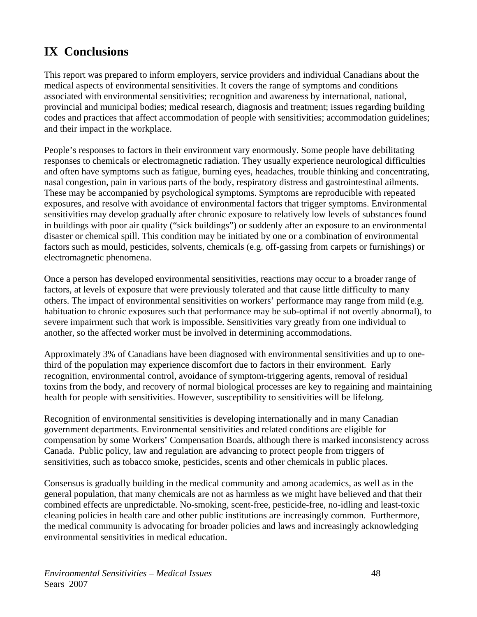# **IX Conclusions**

This report was prepared to inform employers, service providers and individual Canadians about the medical aspects of environmental sensitivities. It covers the range of symptoms and conditions associated with environmental sensitivities; recognition and awareness by international, national, provincial and municipal bodies; medical research, diagnosis and treatment; issues regarding building codes and practices that affect accommodation of people with sensitivities; accommodation guidelines; and their impact in the workplace.

People's responses to factors in their environment vary enormously. Some people have debilitating responses to chemicals or electromagnetic radiation. They usually experience neurological difficulties and often have symptoms such as fatigue, burning eyes, headaches, trouble thinking and concentrating, nasal congestion, pain in various parts of the body, respiratory distress and gastrointestinal ailments. These may be accompanied by psychological symptoms. Symptoms are reproducible with repeated exposures, and resolve with avoidance of environmental factors that trigger symptoms. Environmental sensitivities may develop gradually after chronic exposure to relatively low levels of substances found in buildings with poor air quality ("sick buildings") or suddenly after an exposure to an environmental disaster or chemical spill. This condition may be initiated by one or a combination of environmental factors such as mould, pesticides, solvents, chemicals (e.g. off-gassing from carpets or furnishings) or electromagnetic phenomena.

Once a person has developed environmental sensitivities, reactions may occur to a broader range of factors, at levels of exposure that were previously tolerated and that cause little difficulty to many others. The impact of environmental sensitivities on workers' performance may range from mild (e.g. habituation to chronic exposures such that performance may be sub-optimal if not overtly abnormal), to severe impairment such that work is impossible. Sensitivities vary greatly from one individual to another, so the affected worker must be involved in determining accommodations.

Approximately 3% of Canadians have been diagnosed with environmental sensitivities and up to onethird of the population may experience discomfort due to factors in their environment. Early recognition, environmental control, avoidance of symptom-triggering agents, removal of residual toxins from the body, and recovery of normal biological processes are key to regaining and maintaining health for people with sensitivities. However, susceptibility to sensitivities will be lifelong.

Recognition of environmental sensitivities is developing internationally and in many Canadian government departments. Environmental sensitivities and related conditions are eligible for compensation by some Workers' Compensation Boards, although there is marked inconsistency across Canada. Public policy, law and regulation are advancing to protect people from triggers of sensitivities, such as tobacco smoke, pesticides, scents and other chemicals in public places.

Consensus is gradually building in the medical community and among academics, as well as in the general population, that many chemicals are not as harmless as we might have believed and that their combined effects are unpredictable. No-smoking, scent-free, pesticide-free, no-idling and least-toxic cleaning policies in health care and other public institutions are increasingly common. Furthermore, the medical community is advocating for broader policies and laws and increasingly acknowledging environmental sensitivities in medical education.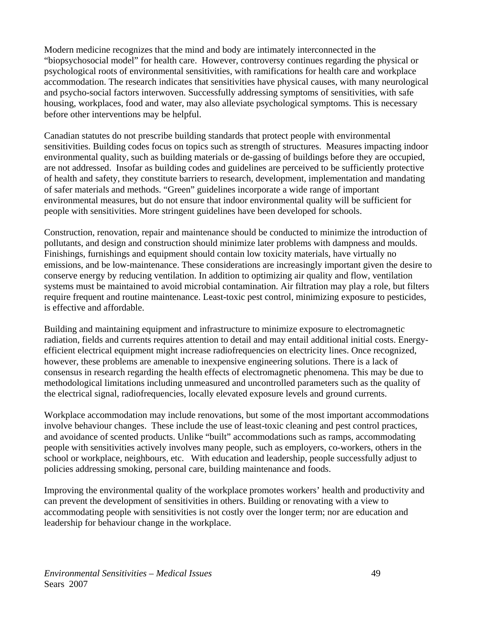Modern medicine recognizes that the mind and body are intimately interconnected in the "biopsychosocial model" for health care. However, controversy continues regarding the physical or psychological roots of environmental sensitivities, with ramifications for health care and workplace accommodation. The research indicates that sensitivities have physical causes, with many neurological and psycho-social factors interwoven. Successfully addressing symptoms of sensitivities, with safe housing, workplaces, food and water, may also alleviate psychological symptoms. This is necessary before other interventions may be helpful.

Canadian statutes do not prescribe building standards that protect people with environmental sensitivities. Building codes focus on topics such as strength of structures. Measures impacting indoor environmental quality, such as building materials or de-gassing of buildings before they are occupied, are not addressed. Insofar as building codes and guidelines are perceived to be sufficiently protective of health and safety, they constitute barriers to research, development, implementation and mandating of safer materials and methods. "Green" guidelines incorporate a wide range of important environmental measures, but do not ensure that indoor environmental quality will be sufficient for people with sensitivities. More stringent guidelines have been developed for schools.

Construction, renovation, repair and maintenance should be conducted to minimize the introduction of pollutants, and design and construction should minimize later problems with dampness and moulds. Finishings, furnishings and equipment should contain low toxicity materials, have virtually no emissions, and be low-maintenance. These considerations are increasingly important given the desire to conserve energy by reducing ventilation. In addition to optimizing air quality and flow, ventilation systems must be maintained to avoid microbial contamination. Air filtration may play a role, but filters require frequent and routine maintenance. Least-toxic pest control, minimizing exposure to pesticides, is effective and affordable.

Building and maintaining equipment and infrastructure to minimize exposure to electromagnetic radiation, fields and currents requires attention to detail and may entail additional initial costs. Energyefficient electrical equipment might increase radiofrequencies on electricity lines. Once recognized, however, these problems are amenable to inexpensive engineering solutions. There is a lack of consensus in research regarding the health effects of electromagnetic phenomena. This may be due to methodological limitations including unmeasured and uncontrolled parameters such as the quality of the electrical signal, radiofrequencies, locally elevated exposure levels and ground currents.

Workplace accommodation may include renovations, but some of the most important accommodations involve behaviour changes. These include the use of least-toxic cleaning and pest control practices, and avoidance of scented products. Unlike "built" accommodations such as ramps, accommodating people with sensitivities actively involves many people, such as employers, co-workers, others in the school or workplace, neighbours, etc. With education and leadership, people successfully adjust to policies addressing smoking, personal care, building maintenance and foods.

Improving the environmental quality of the workplace promotes workers' health and productivity and can prevent the development of sensitivities in others. Building or renovating with a view to accommodating people with sensitivities is not costly over the longer term; nor are education and leadership for behaviour change in the workplace.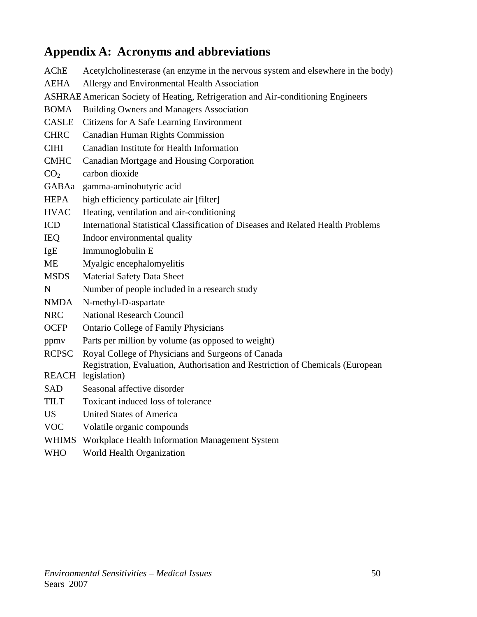# **Appendix A: Acronyms and abbreviations**

AChE Acetylcholinesterase (an enzyme in the nervous system and elsewhere in the body) AEHA Allergy and Environmental Health Association ASHRAE American Society of Heating, Refrigeration and Air-conditioning Engineers BOMA Building Owners and Managers Association CASLE Citizens for A Safe Learning Environment CHRC Canadian Human Rights Commission CIHI Canadian Institute for Health Information CMHC Canadian Mortgage and Housing Corporation  $CO<sub>2</sub>$  carbon dioxide GABAa gamma-aminobutyric acid HEPA high efficiency particulate air [filter] HVAC Heating, ventilation and air-conditioning ICD International Statistical Classification of Diseases and Related Health Problems IEQ Indoor environmental quality IgE Immunoglobulin E ME Myalgic encephalomyelitis MSDS Material Safety Data Sheet N Number of people included in a research study NMDA N-methyl-D-aspartate NRC National Research Council OCFP Ontario College of Family Physicians ppmv Parts per million by volume (as opposed to weight) RCPSC Royal College of Physicians and Surgeons of Canada REACH legislation) Registration, Evaluation, Authorisation and Restriction of Chemicals (European SAD Seasonal affective disorder TILT Toxicant induced loss of tolerance US United States of America VOC Volatile organic compounds WHIMS Workplace Health Information Management System WHO World Health Organization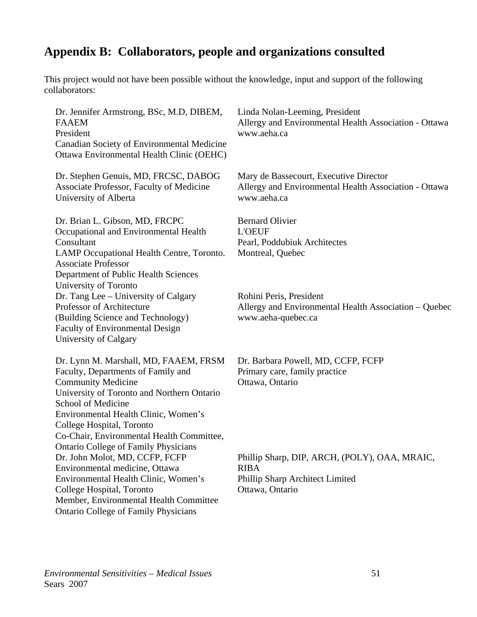# **Appendix B: Collaborators, people and organizations consulted**

This project would not have been possible without the knowledge, input and support of the following collaborators:

| Dr. Jennifer Armstrong, BSc, M.D, DIBEM,<br><b>FAAEM</b><br>President<br>Canadian Society of Environmental Medicine<br>Ottawa Environmental Health Clinic (OEHC)                                                                                                                               | Linda Nolan-Leeming, President<br>Allergy and Environmental Health Association - Ottawa<br>www.aeha.ca             |
|------------------------------------------------------------------------------------------------------------------------------------------------------------------------------------------------------------------------------------------------------------------------------------------------|--------------------------------------------------------------------------------------------------------------------|
| Dr. Stephen Genuis, MD, FRCSC, DABOG<br>Associate Professor, Faculty of Medicine<br>University of Alberta                                                                                                                                                                                      | Mary de Bassecourt, Executive Director<br>Allergy and Environmental Health Association - Ottawa<br>www.aeha.ca     |
| Dr. Brian L. Gibson, MD, FRCPC<br>Occupational and Environmental Health<br>Consultant<br>LAMP Occupational Health Centre, Toronto.<br><b>Associate Professor</b><br>Department of Public Health Sciences                                                                                       | <b>Bernard Olivier</b><br><b>L'OEUF</b><br>Pearl, Poddubiuk Architectes<br>Montreal, Quebec                        |
| University of Toronto<br>Dr. Tang Lee – University of Calgary<br>Professor of Architecture<br>(Building Science and Technology)<br><b>Faculty of Environmental Design</b><br>University of Calgary                                                                                             | Rohini Peris, President<br>Allergy and Environmental Health Association – Quebec<br>www.aeha-quebec.ca             |
| Dr. Lynn M. Marshall, MD, FAAEM, FRSM<br>Faculty, Departments of Family and<br><b>Community Medicine</b><br>University of Toronto and Northern Ontario<br>School of Medicine<br>Environmental Health Clinic, Women's<br>College Hospital, Toronto<br>Co-Chair, Environmental Health Committee, | Dr. Barbara Powell, MD, CCFP, FCFP<br>Primary care, family practice<br>Ottawa, Ontario                             |
| <b>Ontario College of Family Physicians</b><br>Dr. John Molot, MD, CCFP, FCFP<br>Environmental medicine, Ottawa<br>Environmental Health Clinic, Women's<br>College Hospital, Toronto<br>Member, Environmental Health Committee<br><b>Ontario College of Family Physicians</b>                  | Phillip Sharp, DIP, ARCH, (POLY), OAA, MRAIC,<br><b>RIBA</b><br>Phillip Sharp Architect Limited<br>Ottawa, Ontario |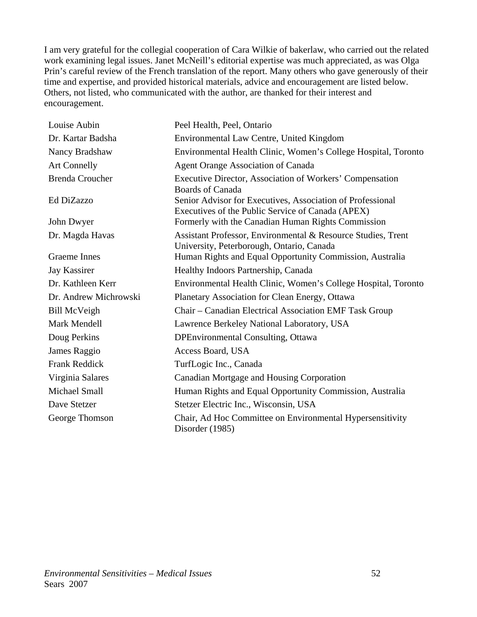I am very grateful for the collegial cooperation of Cara Wilkie of bakerlaw, who carried out the related work examining legal issues. Janet McNeill's editorial expertise was much appreciated, as was Olga Prin's careful review of the French translation of the report. Many others who gave generously of their time and expertise, and provided historical materials, advice and encouragement are listed below. Others, not listed, who communicated with the author, are thanked for their interest and encouragement.

| Louise Aubin           | Peel Health, Peel, Ontario                                                                                      |
|------------------------|-----------------------------------------------------------------------------------------------------------------|
| Dr. Kartar Badsha      | Environmental Law Centre, United Kingdom                                                                        |
| Nancy Bradshaw         | Environmental Health Clinic, Women's College Hospital, Toronto                                                  |
| <b>Art Connelly</b>    | <b>Agent Orange Association of Canada</b>                                                                       |
| <b>Brenda Croucher</b> | Executive Director, Association of Workers' Compensation<br><b>Boards of Canada</b>                             |
| Ed DiZazzo             | Senior Advisor for Executives, Association of Professional<br>Executives of the Public Service of Canada (APEX) |
| John Dwyer             | Formerly with the Canadian Human Rights Commission                                                              |
| Dr. Magda Havas        | Assistant Professor, Environmental & Resource Studies, Trent<br>University, Peterborough, Ontario, Canada       |
| <b>Graeme</b> Innes    | Human Rights and Equal Opportunity Commission, Australia                                                        |
| Jay Kassirer           | Healthy Indoors Partnership, Canada                                                                             |
| Dr. Kathleen Kerr      | Environmental Health Clinic, Women's College Hospital, Toronto                                                  |
| Dr. Andrew Michrowski  | Planetary Association for Clean Energy, Ottawa                                                                  |
| <b>Bill McVeigh</b>    | Chair – Canadian Electrical Association EMF Task Group                                                          |
| Mark Mendell           | Lawrence Berkeley National Laboratory, USA                                                                      |
| Doug Perkins           | <b>DPEnvironmental Consulting, Ottawa</b>                                                                       |
| James Raggio           | Access Board, USA                                                                                               |
| <b>Frank Reddick</b>   | TurfLogic Inc., Canada                                                                                          |
| Virginia Salares       | Canadian Mortgage and Housing Corporation                                                                       |
| Michael Small          | Human Rights and Equal Opportunity Commission, Australia                                                        |
| Dave Stetzer           | Stetzer Electric Inc., Wisconsin, USA                                                                           |
| George Thomson         | Chair, Ad Hoc Committee on Environmental Hypersensitivity<br>Disorder (1985)                                    |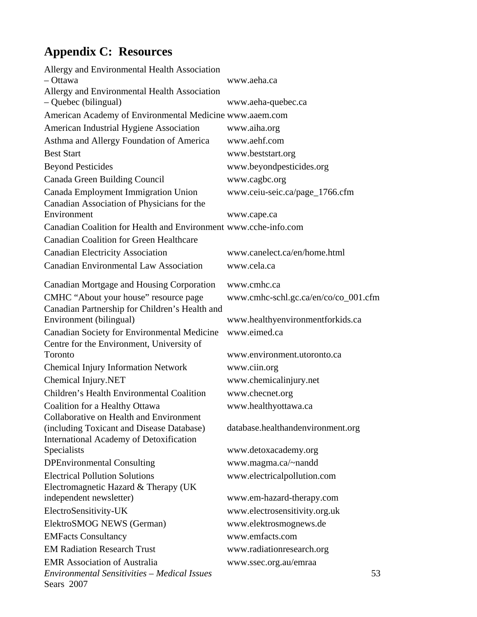# **Appendix C: Resources**

| Allergy and Environmental Health Association                      |                                      |
|-------------------------------------------------------------------|--------------------------------------|
| - Ottawa                                                          | www.aeha.ca                          |
| Allergy and Environmental Health Association                      |                                      |
| - Quebec (bilingual)                                              | www.aeha-quebec.ca                   |
| American Academy of Environmental Medicine www.aaem.com           |                                      |
| American Industrial Hygiene Association                           | www.aiha.org                         |
| Asthma and Allergy Foundation of America                          | www.aehf.com                         |
| <b>Best Start</b>                                                 | www.beststart.org                    |
| <b>Beyond Pesticides</b>                                          | www.beyondpesticides.org             |
| Canada Green Building Council                                     | www.cagbc.org                        |
| Canada Employment Immigration Union                               | www.ceiu-seic.ca/page_1766.cfm       |
| Canadian Association of Physicians for the                        |                                      |
| Environment                                                       | www.cape.ca                          |
| Canadian Coalition for Health and Environment www.cche-info.com   |                                      |
| <b>Canadian Coalition for Green Healthcare</b>                    |                                      |
| <b>Canadian Electricity Association</b>                           | www.canelect.ca/en/home.html         |
| <b>Canadian Environmental Law Association</b>                     | www.cela.ca                          |
| Canadian Mortgage and Housing Corporation                         | www.cmhc.ca                          |
| CMHC "About your house" resource page                             | www.cmhc-schl.gc.ca/en/co/co_001.cfm |
| Canadian Partnership for Children's Health and                    |                                      |
| Environment (bilingual)                                           | www.healthyenvironmentforkids.ca     |
| Canadian Society for Environmental Medicine                       | www.eimed.ca                         |
| Centre for the Environment, University of<br>Toronto              | www.environment.utoronto.ca          |
|                                                                   |                                      |
| <b>Chemical Injury Information Network</b>                        | www.ciin.org                         |
| Chemical Injury.NET                                               | www.chemicalinjury.net               |
| Children's Health Environmental Coalition                         | www.checnet.org                      |
| Coalition for a Healthy Ottawa                                    | www.healthyottawa.ca                 |
| Collaborative on Health and Environment                           |                                      |
| (including Toxicant and Disease Database)                         | database.healthandenvironment.org    |
| <b>International Academy of Detoxification</b><br>Specialists     | www.detoxacademy.org                 |
| <b>DPEnvironmental Consulting</b>                                 | www.magma.ca/~nandd                  |
| <b>Electrical Pollution Solutions</b>                             |                                      |
| Electromagnetic Hazard & Therapy (UK)                             | www.electricalpollution.com          |
| independent newsletter)                                           | www.em-hazard-therapy.com            |
| ElectroSensitivity-UK                                             | www.electrosensitivity.org.uk        |
| ElektroSMOG NEWS (German)                                         | www.elektrosmognews.de               |
|                                                                   | www.emfacts.com                      |
| <b>EMFacts Consultancy</b>                                        |                                      |
| <b>EM Radiation Research Trust</b>                                | www.radiationresearch.org            |
| <b>EMR</b> Association of Australia                               | www.ssec.org.au/emraa                |
| <b>Environmental Sensitivities - Medical Issues</b><br>Sears 2007 | 53                                   |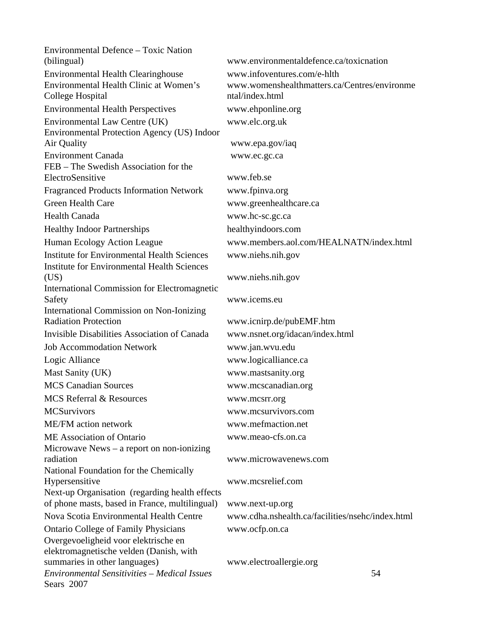*Environmental Sensitivities – Medical Issues* 54 Sears 2007 Environmental Defence – Toxic Nation (bilingual) [www.environmentaldefence.ca/toxicnation](http://www.environmentaldefence.ca/toxicnation) Environmental Health Clearinghouse [www.infoventures.com/e-hlth](http://www.infoventures.com/e-hlth) Environmental Health Clinic at Women's College Hospital [www.womenshealthmatters.ca/Centres/environme](http://www.womenshealthmatters.ca/Centres/environmental/index.html) [ntal/index.html](http://www.womenshealthmatters.ca/Centres/environmental/index.html) Environmental Health Perspectives www.ehponline.org Environmental Law Centre (UK) [www.elc.org.uk](http://www.elc.org.uk/) Environmental Protection Agency (US) Indoor Air Quality www.epa.gov/iaq Environment Canada www.ec.gc.ca FEB – The Swedish Association for the ElectroSensitive [www.feb.se](http://www.feb.se/)  Fragranced Products Information Network [www.fpinva.org](http://www.fpinva.org/)  Green Health Care www.greenhealthcare.ca Health Canada www.hc-sc.gc.ca Healthy Indoor Partnerships [healthyindoors.com](http://healthyindoors.com/)  Human Ecology Action League [www.members.aol.com/HEALNATN/index.html](http://www.members.aol.com/HEALNATN/index.html) Institute for Environmental Health Sciences [www.niehs.nih.gov](http://www.niehs.nih.gov/) Institute for Environmental Health Sciences (US) [www.niehs.nih.gov](http://www.niehs.nih.gov/) International Commission for Electromagnetic Safety [www.icems.eu](http://www.icems.eu/)  International Commission on Non-Ionizing Radiation Protection [www.icnirp.de/pubEMF.htm](http://www.icnirp.de/pubEMF.htm)  Invisible Disabilities Association of Canada [www.nsnet.org/idacan/index.html](http://www.nsnet.org/idacan/index.html) Job Accommodation Network [www.jan.wvu.edu](http://www.jan.wvu.edu/) Logic Alliance [www.logicalliance.ca](http://www.logicalliance.ca/)  Mast Sanity (UK) [www.mastsanity.org](http://www.mastsanity.org/)  MCS Canadian Sources [www.mcscanadian.org](http://www.mcscanadian.org/)  MCS Referral & Resources [www.mcsrr.org](http://www.mcsrr.org/)  MCSurvivors www.mcsurvivors.com ME/FM action network www.mefmaction.net ME Association of Ontario www.meao-cfs.on.ca Microwave News – a report on non-ionizing radiation [www.microwavenews.com](http://www.microwavenews.com/) National Foundation for the Chemically Hypersensitive [www.mcsrelief.com](http://www.mcsrelief.com/) Next-up Organisation (regarding health effects of phone masts, based in France, multilingual) www.next-up.org Nova Scotia Environmental Health Centre [www.cdha.nshealth.ca/facilities/nsehc/index.html](http://www.cdha.nshealth.ca/facilities/nsehc/index.html) Ontario College of Family Physicians www.ocfp.on.ca Overgevoeligheid voor elektrische en elektromagnetische velden (Danish, with summaries in other languages) [www.electroallergie.org](http://www.electroallergie.org/)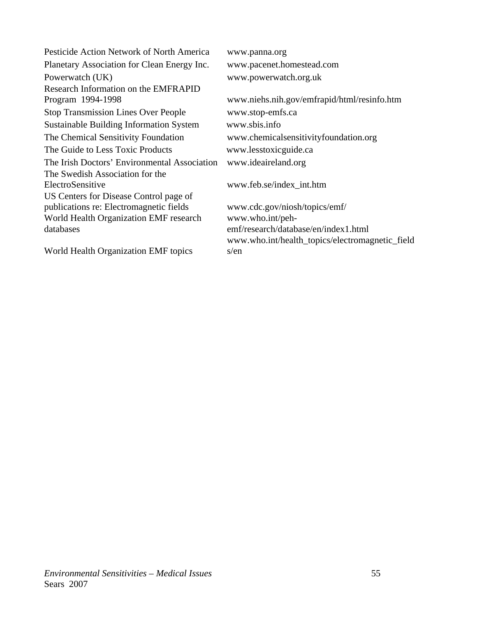Pesticide Action Network of North America [www.panna.org](http://www.panna.org/) Planetary Association for Clean Energy Inc. www.pacenet.homestead.com Powerwatch (UK) www.powerwatch.org.uk Research Information on the EMFRAPID Program 1994-1998 www.niehs.nih.gov/emfrapid/html/resinfo.htm Stop Transmission Lines Over People [www.stop-emfs.ca](http://www.stop-emfs.ca/) Sustainable Building Information System [www.sbis.info](http://www.sbis.info/)  The Chemical Sensitivity Foundation [www.chemicalsensitivityfoundation.org](http://www.chemicalsensitivityfoundation.org/) The Guide to Less Toxic Products [www.lesstoxicguide.ca](http://www.lesstoxicguide.ca/) The Irish Doctors' Environmental Association [www.ideaireland.org](http://www.ideaireland.org/)  The Swedish Association for the ElectroSensitive [www.feb.se/index\\_int.htm](http://www.feb.se/index_int.htm) US Centers for Disease Control page of publications re: Electromagnetic fields www.cdc.gov/niosh/topics/emf/ World Health Organization EMF research databases [www.who.int/peh](http://www.who.int/peh-emf/research/database/en/index1.html)[emf/research/database/en/index1.html](http://www.who.int/peh-emf/research/database/en/index1.html)  World Health Organization EMF topics [www.who.int/health\\_topics/electromagnetic\\_field](http://www.who.int/health_topics/electromagnetic_fields/en) [s/en](http://www.who.int/health_topics/electromagnetic_fields/en)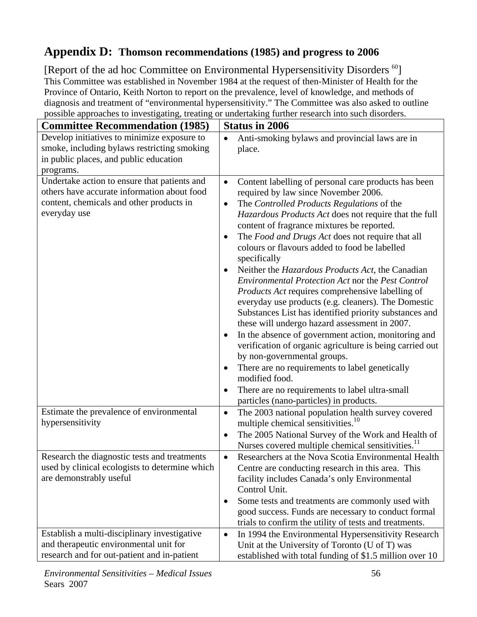# **Appendix D: Thomson recommendations (1985) and progress to 2006**

[Report of the ad hoc Committee on Environmental Hypersensitivity Disorders <sup>60</sup>] This Committee was established in November 1984 at the request of then-Minister of Health for the Province of Ontario, Keith Norton to report on the prevalence, level of knowledge, and methods of diagnosis and treatment of "environmental hypersensitivity." The Committee was also asked to outline possible approaches to investigating, treating or undertaking further research into such disorders.

| <b>Committee Recommendation (1985)</b>                                                                                                                  | <b>Status in 2006</b>                                                                                                                                                                                                                                                                                                                                                                                                                                                                                                                                                                                                                                                                                                                                                                                                                                                                                                                                                                                                                                            |
|---------------------------------------------------------------------------------------------------------------------------------------------------------|------------------------------------------------------------------------------------------------------------------------------------------------------------------------------------------------------------------------------------------------------------------------------------------------------------------------------------------------------------------------------------------------------------------------------------------------------------------------------------------------------------------------------------------------------------------------------------------------------------------------------------------------------------------------------------------------------------------------------------------------------------------------------------------------------------------------------------------------------------------------------------------------------------------------------------------------------------------------------------------------------------------------------------------------------------------|
| Develop initiatives to minimize exposure to<br>smoke, including bylaws restricting smoking<br>in public places, and public education<br>programs.       | Anti-smoking bylaws and provincial laws are in<br>$\bullet$<br>place.                                                                                                                                                                                                                                                                                                                                                                                                                                                                                                                                                                                                                                                                                                                                                                                                                                                                                                                                                                                            |
| Undertake action to ensure that patients and<br>others have accurate information about food<br>content, chemicals and other products in<br>everyday use | Content labelling of personal care products has been<br>$\bullet$<br>required by law since November 2006.<br>The Controlled Products Regulations of the<br>$\bullet$<br>Hazardous Products Act does not require that the full<br>content of fragrance mixtures be reported.<br>The Food and Drugs Act does not require that all<br>colours or flavours added to food be labelled<br>specifically<br>Neither the Hazardous Products Act, the Canadian<br><b>Environmental Protection Act nor the Pest Control</b><br><i>Products Act</i> requires comprehensive labelling of<br>everyday use products (e.g. cleaners). The Domestic<br>Substances List has identified priority substances and<br>these will undergo hazard assessment in 2007.<br>In the absence of government action, monitoring and<br>verification of organic agriculture is being carried out<br>by non-governmental groups.<br>There are no requirements to label genetically<br>modified food.<br>There are no requirements to label ultra-small<br>particles (nano-particles) in products. |
| Estimate the prevalence of environmental<br>hypersensitivity                                                                                            | The 2003 national population health survey covered<br>$\bullet$<br>multiple chemical sensitivities. <sup>10</sup><br>The 2005 National Survey of the Work and Health of<br>$\bullet$<br>Nurses covered multiple chemical sensitivities. <sup>11</sup>                                                                                                                                                                                                                                                                                                                                                                                                                                                                                                                                                                                                                                                                                                                                                                                                            |
| Research the diagnostic tests and treatments<br>used by clinical ecologists to determine which<br>are demonstrably useful                               | Researchers at the Nova Scotia Environmental Health<br>$\bullet$<br>Centre are conducting research in this area. This<br>facility includes Canada's only Environmental<br>Control Unit.<br>Some tests and treatments are commonly used with<br>$\bullet$<br>good success. Funds are necessary to conduct formal<br>trials to confirm the utility of tests and treatments.                                                                                                                                                                                                                                                                                                                                                                                                                                                                                                                                                                                                                                                                                        |
| Establish a multi-disciplinary investigative<br>and therapeutic environmental unit for<br>research and for out-patient and in-patient                   | In 1994 the Environmental Hypersensitivity Research<br>$\bullet$<br>Unit at the University of Toronto (U of T) was<br>established with total funding of \$1.5 million over 10                                                                                                                                                                                                                                                                                                                                                                                                                                                                                                                                                                                                                                                                                                                                                                                                                                                                                    |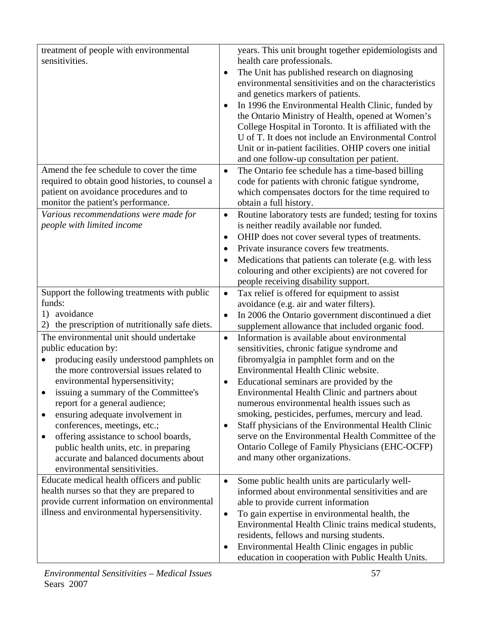| treatment of people with environmental              | years. This unit brought together epidemiologists and                |
|-----------------------------------------------------|----------------------------------------------------------------------|
| sensitivities.                                      | health care professionals.                                           |
|                                                     | The Unit has published research on diagnosing                        |
|                                                     | environmental sensitivities and on the characteristics               |
|                                                     |                                                                      |
|                                                     | and genetics markers of patients.                                    |
|                                                     | In 1996 the Environmental Health Clinic, funded by                   |
|                                                     | the Ontario Ministry of Health, opened at Women's                    |
|                                                     | College Hospital in Toronto. It is affiliated with the               |
|                                                     |                                                                      |
|                                                     | U of T. It does not include an Environmental Control                 |
|                                                     | Unit or in-patient facilities. OHIP covers one initial               |
|                                                     | and one follow-up consultation per patient.                          |
| Amend the fee schedule to cover the time            | The Ontario fee schedule has a time-based billing<br>$\bullet$       |
| required to obtain good histories, to counsel a     | code for patients with chronic fatigue syndrome,                     |
|                                                     |                                                                      |
| patient on avoidance procedures and to              | which compensates doctors for the time required to                   |
| monitor the patient's performance.                  | obtain a full history.                                               |
| Various recommendations were made for               | Routine laboratory tests are funded; testing for toxins<br>$\bullet$ |
| people with limited income                          | is neither readily available nor funded.                             |
|                                                     | OHIP does not cover several types of treatments.<br>$\bullet$        |
|                                                     | Private insurance covers few treatments.                             |
|                                                     |                                                                      |
|                                                     | Medications that patients can tolerate (e.g. with less               |
|                                                     | colouring and other excipients) are not covered for                  |
|                                                     | people receiving disability support.                                 |
| Support the following treatments with public        | Tax relief is offered for equipment to assist<br>$\bullet$           |
| funds:                                              |                                                                      |
|                                                     | avoidance (e.g. air and water filters).                              |
| avoidance<br>1)                                     | In 2006 the Ontario government discontinued a diet<br>$\bullet$      |
| the prescription of nutritionally safe diets.<br>2) | supplement allowance that included organic food.                     |
| The environmental unit should undertake             | Information is available about environmental<br>$\bullet$            |
| public education by:                                | sensitivities, chronic fatigue syndrome and                          |
|                                                     |                                                                      |
| producing easily understood pamphlets on            | fibromyalgia in pamphlet form and on the                             |
| the more controversial issues related to            | Environmental Health Clinic website.                                 |
| environmental hypersensitivity;                     | Educational seminars are provided by the                             |
| issuing a summary of the Committee's                | Environmental Health Clinic and partners about                       |
| report for a general audience;                      | numerous environmental health issues such as                         |
|                                                     |                                                                      |
| ensuring adequate involvement in<br>٠               | smoking, pesticides, perfumes, mercury and lead.                     |
| conferences, meetings, etc.;                        | Staff physicians of the Environmental Health Clinic                  |
| offering assistance to school boards,<br>٠          | serve on the Environmental Health Committee of the                   |
| public health units, etc. in preparing              | Ontario College of Family Physicians (EHC-OCFP)                      |
| accurate and balanced documents about               | and many other organizations.                                        |
|                                                     |                                                                      |
| environmental sensitivities.                        |                                                                      |
| Educate medical health officers and public          | Some public health units are particularly well-<br>$\bullet$         |
| health nurses so that they are prepared to          | informed about environmental sensitivities and are                   |
| provide current information on environmental        | able to provide current information                                  |
| illness and environmental hypersensitivity.         |                                                                      |
|                                                     | To gain expertise in environmental health, the<br>$\bullet$          |
|                                                     | Environmental Health Clinic trains medical students,                 |
|                                                     | residents, fellows and nursing students.                             |
|                                                     | Environmental Health Clinic engages in public                        |
|                                                     | education in cooperation with Public Health Units.                   |
|                                                     |                                                                      |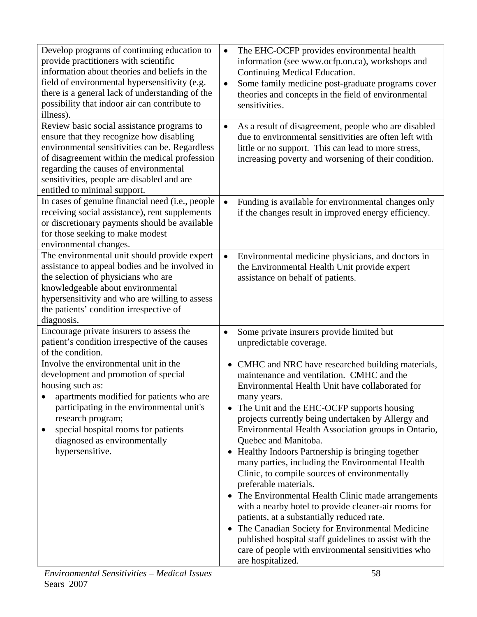| Develop programs of continuing education to<br>provide practitioners with scientific<br>information about theories and beliefs in the<br>field of environmental hypersensitivity (e.g.<br>there is a general lack of understanding of the<br>possibility that indoor air can contribute to<br>illness).          | The EHC-OCFP provides environmental health<br>$\bullet$<br>information (see www.ocfp.on.ca), workshops and<br>Continuing Medical Education.<br>Some family medicine post-graduate programs cover<br>$\bullet$<br>theories and concepts in the field of environmental<br>sensitivities.                                                                                                                                                                                                                                                                                                                                                                                                                                                                                                                                                                                                                      |
|------------------------------------------------------------------------------------------------------------------------------------------------------------------------------------------------------------------------------------------------------------------------------------------------------------------|-------------------------------------------------------------------------------------------------------------------------------------------------------------------------------------------------------------------------------------------------------------------------------------------------------------------------------------------------------------------------------------------------------------------------------------------------------------------------------------------------------------------------------------------------------------------------------------------------------------------------------------------------------------------------------------------------------------------------------------------------------------------------------------------------------------------------------------------------------------------------------------------------------------|
| Review basic social assistance programs to<br>ensure that they recognize how disabling<br>environmental sensitivities can be. Regardless<br>of disagreement within the medical profession<br>regarding the causes of environmental<br>sensitivities, people are disabled and are<br>entitled to minimal support. | As a result of disagreement, people who are disabled<br>$\bullet$<br>due to environmental sensitivities are often left with<br>little or no support. This can lead to more stress,<br>increasing poverty and worsening of their condition.                                                                                                                                                                                                                                                                                                                                                                                                                                                                                                                                                                                                                                                                  |
| In cases of genuine financial need (i.e., people<br>receiving social assistance), rent supplements<br>or discretionary payments should be available<br>for those seeking to make modest<br>environmental changes.                                                                                                | Funding is available for environmental changes only<br>$\bullet$<br>if the changes result in improved energy efficiency.                                                                                                                                                                                                                                                                                                                                                                                                                                                                                                                                                                                                                                                                                                                                                                                    |
| The environmental unit should provide expert<br>assistance to appeal bodies and be involved in<br>the selection of physicians who are<br>knowledgeable about environmental<br>hypersensitivity and who are willing to assess<br>the patients' condition irrespective of<br>diagnosis.                            | Environmental medicine physicians, and doctors in<br>$\bullet$<br>the Environmental Health Unit provide expert<br>assistance on behalf of patients.                                                                                                                                                                                                                                                                                                                                                                                                                                                                                                                                                                                                                                                                                                                                                         |
| Encourage private insurers to assess the<br>patient's condition irrespective of the causes<br>of the condition.                                                                                                                                                                                                  | Some private insurers provide limited but<br>$\bullet$<br>unpredictable coverage.                                                                                                                                                                                                                                                                                                                                                                                                                                                                                                                                                                                                                                                                                                                                                                                                                           |
| Involve the environmental unit in the<br>development and promotion of special<br>housing such as:<br>apartments modified for patients who are<br>participating in the environmental unit's<br>research program;<br>special hospital rooms for patients<br>diagnosed as environmentally<br>hypersensitive.        | • CMHC and NRC have researched building materials,<br>maintenance and ventilation. CMHC and the<br>Environmental Health Unit have collaborated for<br>many years.<br>The Unit and the EHC-OCFP supports housing<br>$\bullet$<br>projects currently being undertaken by Allergy and<br>Environmental Health Association groups in Ontario,<br>Quebec and Manitoba.<br>• Healthy Indoors Partnership is bringing together<br>many parties, including the Environmental Health<br>Clinic, to compile sources of environmentally<br>preferable materials.<br>• The Environmental Health Clinic made arrangements<br>with a nearby hotel to provide cleaner-air rooms for<br>patients, at a substantially reduced rate.<br>The Canadian Society for Environmental Medicine<br>published hospital staff guidelines to assist with the<br>care of people with environmental sensitivities who<br>are hospitalized. |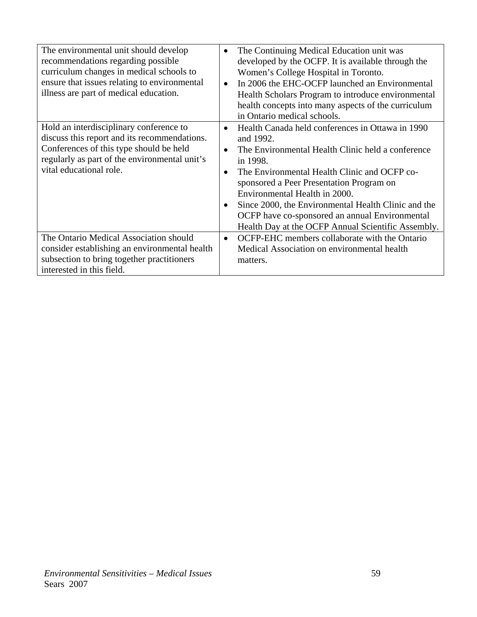| The environmental unit should develop<br>recommendations regarding possible<br>curriculum changes in medical schools to<br>ensure that issues relating to environmental<br>illness are part of medical education. | The Continuing Medical Education unit was<br>$\bullet$<br>developed by the OCFP. It is available through the<br>Women's College Hospital in Toronto.<br>In 2006 the EHC-OCFP launched an Environmental<br>$\bullet$<br>Health Scholars Program to introduce environmental<br>health concepts into many aspects of the curriculum<br>in Ontario medical schools.                                                                                                   |
|-------------------------------------------------------------------------------------------------------------------------------------------------------------------------------------------------------------------|-------------------------------------------------------------------------------------------------------------------------------------------------------------------------------------------------------------------------------------------------------------------------------------------------------------------------------------------------------------------------------------------------------------------------------------------------------------------|
| Hold an interdisciplinary conference to<br>discuss this report and its recommendations.<br>Conferences of this type should be held<br>regularly as part of the environmental unit's<br>vital educational role.    | Health Canada held conferences in Ottawa in 1990<br>$\bullet$<br>and 1992.<br>The Environmental Health Clinic held a conference<br>$\bullet$<br>in 1998.<br>The Environmental Health Clinic and OCFP co-<br>$\bullet$<br>sponsored a Peer Presentation Program on<br>Environmental Health in 2000.<br>Since 2000, the Environmental Health Clinic and the<br>OCFP have co-sponsored an annual Environmental<br>Health Day at the OCFP Annual Scientific Assembly. |
| The Ontario Medical Association should<br>consider establishing an environmental health<br>subsection to bring together practitioners<br>interested in this field.                                                | OCFP-EHC members collaborate with the Ontario<br>$\bullet$<br>Medical Association on environmental health<br>matters.                                                                                                                                                                                                                                                                                                                                             |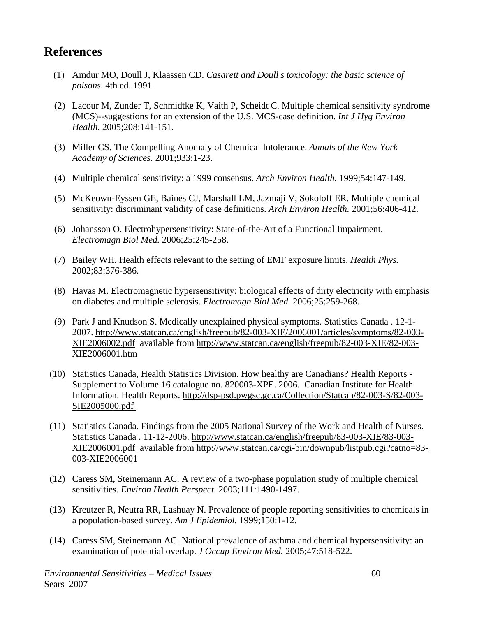# **References**

- (1) Amdur MO, Doull J, Klaassen CD. *Casarett and Doull's toxicology: the basic science of poisons*. 4th ed. 1991.
- (2) Lacour M, Zunder T, Schmidtke K, Vaith P, Scheidt C. Multiple chemical sensitivity syndrome (MCS)--suggestions for an extension of the U.S. MCS-case definition. *Int J Hyg Environ Health.* 2005;208:141-151.
- (3) Miller CS. The Compelling Anomaly of Chemical Intolerance. *Annals of the New York Academy of Sciences.* 2001;933:1-23.
- (4) Multiple chemical sensitivity: a 1999 consensus. *Arch Environ Health.* 1999;54:147-149.
- (5) McKeown-Eyssen GE, Baines CJ, Marshall LM, Jazmaji V, Sokoloff ER. Multiple chemical sensitivity: discriminant validity of case definitions. *Arch Environ Health.* 2001;56:406-412.
- (6) Johansson O. Electrohypersensitivity: State-of-the-Art of a Functional Impairment. *Electromagn Biol Med.* 2006;25:245-258.
- (7) Bailey WH. Health effects relevant to the setting of EMF exposure limits. *Health Phys.* 2002;83:376-386.
- (8) Havas M. Electromagnetic hypersensitivity: biological effects of dirty electricity with emphasis on diabetes and multiple sclerosis. *Electromagn Biol Med.* 2006;25:259-268.
- (9) Park J and Knudson S. Medically unexplained physical symptoms. Statistics Canada . 12-1- 2007. http://www.statcan.ca/english/freepub/82-003-XIE/2006001/articles/symptoms/82-003- XIE2006002.pdf available from http://www.statcan.ca/english/freepub/82-003-XIE/82-003- XIE2006001.htm
- (10) Statistics Canada, Health Statistics Division. How healthy are Canadians? Health Reports Supplement to Volume 16 catalogue no. 820003-XPE. 2006. Canadian Institute for Health Information. Health Reports. http://dsp-psd.pwgsc.gc.ca/Collection/Statcan/82-003-S/82-003- SIE2005000.pdf
- (11) Statistics Canada. Findings from the 2005 National Survey of the Work and Health of Nurses. Statistics Canada . 11-12-2006. http://www.statcan.ca/english/freepub/83-003-XIE/83-003- XIE2006001.pdf available from http://www.statcan.ca/cgi-bin/downpub/listpub.cgi?catno=83- 003-XIE2006001
- (12) Caress SM, Steinemann AC. A review of a two-phase population study of multiple chemical sensitivities. *Environ Health Perspect.* 2003;111:1490-1497.
- (13) Kreutzer R, Neutra RR, Lashuay N. Prevalence of people reporting sensitivities to chemicals in a population-based survey. *Am J Epidemiol.* 1999;150:1-12.
- (14) Caress SM, Steinemann AC. National prevalence of asthma and chemical hypersensitivity: an examination of potential overlap. *J Occup Environ Med.* 2005;47:518-522.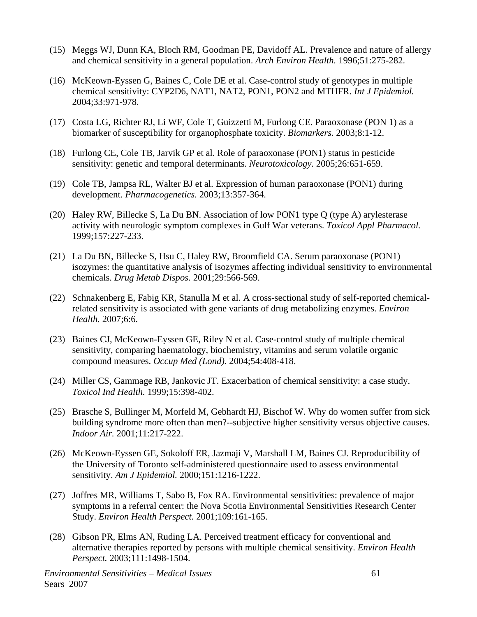- (15) Meggs WJ, Dunn KA, Bloch RM, Goodman PE, Davidoff AL. Prevalence and nature of allergy and chemical sensitivity in a general population. *Arch Environ Health.* 1996;51:275-282.
- (16) McKeown-Eyssen G, Baines C, Cole DE et al. Case-control study of genotypes in multiple chemical sensitivity: CYP2D6, NAT1, NAT2, PON1, PON2 and MTHFR. *Int J Epidemiol.* 2004;33:971-978.
- (17) Costa LG, Richter RJ, Li WF, Cole T, Guizzetti M, Furlong CE. Paraoxonase (PON 1) as a biomarker of susceptibility for organophosphate toxicity. *Biomarkers.* 2003;8:1-12.
- (18) Furlong CE, Cole TB, Jarvik GP et al. Role of paraoxonase (PON1) status in pesticide sensitivity: genetic and temporal determinants. *Neurotoxicology.* 2005;26:651-659.
- (19) Cole TB, Jampsa RL, Walter BJ et al. Expression of human paraoxonase (PON1) during development. *Pharmacogenetics.* 2003;13:357-364.
- (20) Haley RW, Billecke S, La Du BN. Association of low PON1 type Q (type A) arylesterase activity with neurologic symptom complexes in Gulf War veterans. *Toxicol Appl Pharmacol.* 1999;157:227-233.
- (21) La Du BN, Billecke S, Hsu C, Haley RW, Broomfield CA. Serum paraoxonase (PON1) isozymes: the quantitative analysis of isozymes affecting individual sensitivity to environmental chemicals. *Drug Metab Dispos.* 2001;29:566-569.
- (22) Schnakenberg E, Fabig KR, Stanulla M et al. A cross-sectional study of self-reported chemicalrelated sensitivity is associated with gene variants of drug metabolizing enzymes. *Environ Health.* 2007;6:6.
- (23) Baines CJ, McKeown-Eyssen GE, Riley N et al. Case-control study of multiple chemical sensitivity, comparing haematology, biochemistry, vitamins and serum volatile organic compound measures. *Occup Med (Lond).* 2004;54:408-418.
- (24) Miller CS, Gammage RB, Jankovic JT. Exacerbation of chemical sensitivity: a case study. *Toxicol Ind Health.* 1999;15:398-402.
- (25) Brasche S, Bullinger M, Morfeld M, Gebhardt HJ, Bischof W. Why do women suffer from sick building syndrome more often than men?--subjective higher sensitivity versus objective causes. *Indoor Air.* 2001;11:217-222.
- (26) McKeown-Eyssen GE, Sokoloff ER, Jazmaji V, Marshall LM, Baines CJ. Reproducibility of the University of Toronto self-administered questionnaire used to assess environmental sensitivity. *Am J Epidemiol.* 2000;151:1216-1222.
- (27) Joffres MR, Williams T, Sabo B, Fox RA. Environmental sensitivities: prevalence of major symptoms in a referral center: the Nova Scotia Environmental Sensitivities Research Center Study. *Environ Health Perspect.* 2001;109:161-165.
- (28) Gibson PR, Elms AN, Ruding LA. Perceived treatment efficacy for conventional and alternative therapies reported by persons with multiple chemical sensitivity. *Environ Health Perspect.* 2003;111:1498-1504.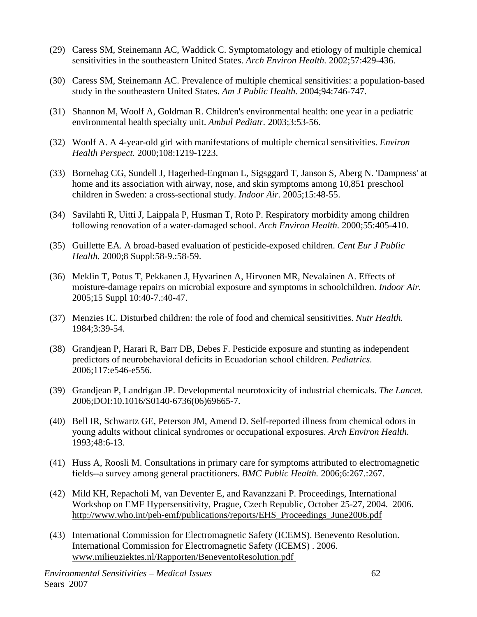- (29) Caress SM, Steinemann AC, Waddick C. Symptomatology and etiology of multiple chemical sensitivities in the southeastern United States. *Arch Environ Health.* 2002;57:429-436.
- (30) Caress SM, Steinemann AC. Prevalence of multiple chemical sensitivities: a population-based study in the southeastern United States. *Am J Public Health.* 2004;94:746-747.
- (31) Shannon M, Woolf A, Goldman R. Children's environmental health: one year in a pediatric environmental health specialty unit. *Ambul Pediatr.* 2003;3:53-56.
- (32) Woolf A. A 4-year-old girl with manifestations of multiple chemical sensitivities. *Environ Health Perspect.* 2000;108:1219-1223.
- (33) Bornehag CG, Sundell J, Hagerhed-Engman L, Sigsggard T, Janson S, Aberg N. 'Dampness' at home and its association with airway, nose, and skin symptoms among 10,851 preschool children in Sweden: a cross-sectional study. *Indoor Air.* 2005;15:48-55.
- (34) Savilahti R, Uitti J, Laippala P, Husman T, Roto P. Respiratory morbidity among children following renovation of a water-damaged school. *Arch Environ Health.* 2000;55:405-410.
- (35) Guillette EA. A broad-based evaluation of pesticide-exposed children. *Cent Eur J Public Health.* 2000;8 Suppl:58-9.:58-59.
- (36) Meklin T, Potus T, Pekkanen J, Hyvarinen A, Hirvonen MR, Nevalainen A. Effects of moisture-damage repairs on microbial exposure and symptoms in schoolchildren. *Indoor Air.* 2005;15 Suppl 10:40-7.:40-47.
- (37) Menzies IC. Disturbed children: the role of food and chemical sensitivities. *Nutr Health.* 1984;3:39-54.
- (38) Grandjean P, Harari R, Barr DB, Debes F. Pesticide exposure and stunting as independent predictors of neurobehavioral deficits in Ecuadorian school children. *Pediatrics.* 2006;117:e546-e556.
- (39) Grandjean P, Landrigan JP. Developmental neurotoxicity of industrial chemicals. *The Lancet.* 2006;DOI:10.1016/S0140-6736(06)69665-7.
- (40) Bell IR, Schwartz GE, Peterson JM, Amend D. Self-reported illness from chemical odors in young adults without clinical syndromes or occupational exposures. *Arch Environ Health.* 1993;48:6-13.
- (41) Huss A, Roosli M. Consultations in primary care for symptoms attributed to electromagnetic fields--a survey among general practitioners. *BMC Public Health.* 2006;6:267.:267.
- (42) Mild KH, Repacholi M, van Deventer E, and Ravanzzani P. Proceedings, International Workshop on EMF Hypersensitivity, Prague, Czech Republic, October 25-27, 2004. 2006. http://www.who.int/peh-emf/publications/reports/EHS\_Proceedings\_June2006.pdf
- (43) International Commission for Electromagnetic Safety (ICEMS). Benevento Resolution. International Commission for Electromagnetic Safety (ICEMS) . 2006. www.milieuziektes.nl/Rapporten/BeneventoResolution.pdf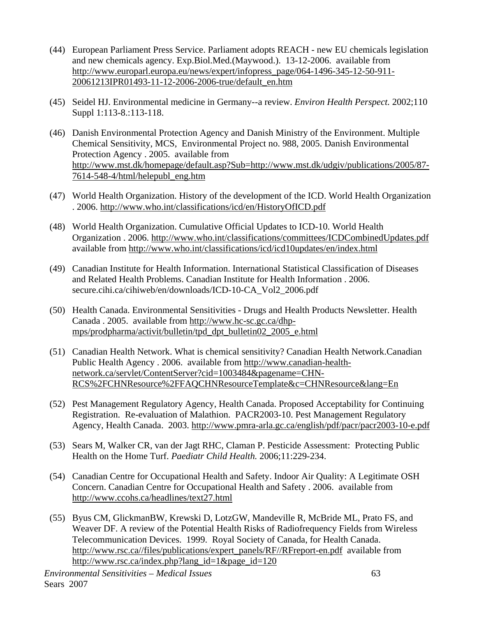- (44) European Parliament Press Service. Parliament adopts REACH new EU chemicals legislation and new chemicals agency. Exp.Biol.Med.(Maywood.). 13-12-2006. available from http://www.europarl.europa.eu/news/expert/infopress\_page/064-1496-345-12-50-911- 20061213IPR01493-11-12-2006-2006-true/default\_en.htm
- (45) Seidel HJ. Environmental medicine in Germany--a review. *Environ Health Perspect.* 2002;110 Suppl 1:113-8.:113-118.
- (46) Danish Environmental Protection Agency and Danish Ministry of the Environment. Multiple Chemical Sensitivity, MCS, Environmental Project no. 988, 2005. Danish Environmental Protection Agency . 2005. available from http://www.mst.dk/homepage/default.asp?Sub=http://www.mst.dk/udgiv/publications/2005/87- 7614-548-4/html/helepubl\_eng.htm
- (47) World Health Organization. History of the development of the ICD. World Health Organization . 2006. http://www.who.int/classifications/icd/en/HistoryOfICD.pdf
- (48) World Health Organization. Cumulative Official Updates to ICD-10. World Health Organization . 2006. http://www.who.int/classifications/committees/ICDCombinedUpdates.pdf available from http://www.who.int/classifications/icd/icd10updates/en/index.html
- (49) Canadian Institute for Health Information. International Statistical Classification of Diseases and Related Health Problems. Canadian Institute for Health Information . 2006. secure.cihi.ca/cihiweb/en/downloads/ICD-10-CA\_Vol2\_2006.pdf
- (50) Health Canada. Environmental Sensitivities Drugs and Health Products Newsletter. Health Canada . 2005. available from http://www.hc-sc.gc.ca/dhpmps/prodpharma/activit/bulletin/tpd\_dpt\_bulletin02\_2005\_e.html
- (51) Canadian Health Network. What is chemical sensitivity? Canadian Health Network.Canadian Public Health Agency . 2006. available from http://www.canadian-healthnetwork.ca/servlet/ContentServer?cid=1003484&pagename=CHN-RCS%2FCHNResource%2FFAQCHNResourceTemplate&c=CHNResource&lang=En
- (52) Pest Management Regulatory Agency, Health Canada. Proposed Acceptability for Continuing Registration. Re-evaluation of Malathion. PACR2003-10. Pest Management Regulatory Agency, Health Canada. 2003. http://www.pmra-arla.gc.ca/english/pdf/pacr/pacr2003-10-e.pdf
- (53) Sears M, Walker CR, van der Jagt RHC, Claman P. Pesticide Assessment: Protecting Public Health on the Home Turf. *Paediatr Child Health.* 2006;11:229-234.
- (54) Canadian Centre for Occupational Health and Safety. Indoor Air Quality: A Legitimate OSH Concern. Canadian Centre for Occupational Health and Safety . 2006. available from http://www.ccohs.ca/headlines/text27.html
- (55) Byus CM, GlickmanBW, Krewski D, LotzGW, Mandeville R, McBride ML, Prato FS, and Weaver DF. A review of the Potential Health Risks of Radiofrequency Fields from Wireless Telecommunication Devices. 1999. Royal Society of Canada, for Health Canada. http://www.rsc.ca//files/publications/expert\_panels/RF//RFreport-en.pdf available from http://www.rsc.ca/index.php?lang\_id=1&page\_id=120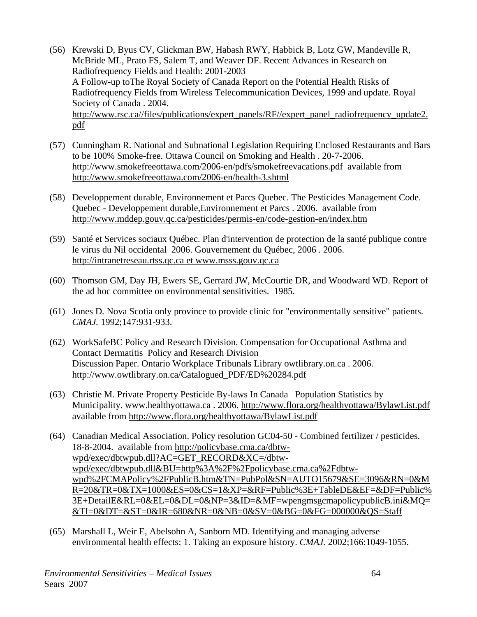- (56) Krewski D, Byus CV, Glickman BW, Habash RWY, Habbick B, Lotz GW, Mandeville R, McBride ML, Prato FS, Salem T, and Weaver DF. Recent Advances in Research on Radiofrequency Fields and Health: 2001-2003 A Follow-up toThe Royal Society of Canada Report on the Potential Health Risks of Radiofrequency Fields from Wireless Telecommunication Devices, 1999 and update. Royal Society of Canada . 2004. http://www.rsc.ca//files/publications/expert\_panels/RF//expert\_panel\_radiofrequency\_update2. pdf
- (57) Cunningham R. National and Subnational Legislation Requiring Enclosed Restaurants and Bars to be 100% Smoke-free. Ottawa Council on Smoking and Health . 20-7-2006. http://www.smokefreeottawa.com/2006-en/pdfs/smokefreevacations.pdf available from http://www.smokefreeottawa.com/2006-en/health-3.shtml
- (58) Developpement durable, Environnement et Parcs Quebec. The Pesticides Management Code. Quebec - Developpement durable,Environnement et Parcs . 2006. available from http://www.mddep.gouv.qc.ca/pesticides/permis-en/code-gestion-en/index.htm
- (59) Santé et Services sociaux Québec. Plan d'intervention de protection de la santé publique contre le virus du Nil occidental 2006. Gouvernement du Québec, 2006 . 2006. http://intranetreseau.rtss.qc.ca et www.msss.gouv.qc.ca
- (60) Thomson GM, Day JH, Ewers SE, Gerrard JW, McCourtie DR, and Woodward WD. Report of the ad hoc committee on environmental sensitivities. 1985.
- (61) Jones D. Nova Scotia only province to provide clinic for "environmentally sensitive" patients. *CMAJ.* 1992;147:931-933.
- (62) WorkSafeBC Policy and Research Division. Compensation for Occupational Asthma and Contact Dermatitis Policy and Research Division Discussion Paper. Ontario Workplace Tribunals Library owtlibrary.on.ca . 2006. http://www.owtlibrary.on.ca/Catalogued\_PDF/ED%20284.pdf
- (63) Christie M. Private Property Pesticide By-laws In Canada Population Statistics by Municipality. www.healthyottawa.ca . 2006. http://www.flora.org/healthyottawa/BylawList.pdf available from http://www.flora.org/healthyottawa/BylawList.pdf
- (64) Canadian Medical Association. Policy resolution GC04-50 Combined fertilizer / pesticides. 18-8-2004. available from http://policybase.cma.ca/dbtwwpd/exec/dbtwpub.dll?AC=GET\_RECORD&XC=/dbtwwpd/exec/dbtwpub.dll&BU=http%3A%2F%2Fpolicybase.cma.ca%2Fdbtwwpd%2FCMAPolicy%2FPublicB.htm&TN=PubPol&SN=AUTO15679&SE=3096&RN=0&M R=20&TR=0&TX=1000&ES=0&CS=1&XP=&RF=Public%3E+TableDE&EF=&DF=Public% 3E+DetailE&RL=0&EL=0&DL=0&NP=3&ID=&MF=wpengmsgcmapolicypublicB.ini&MQ= &TI=0&DT=&ST=0&IR=680&NR=0&NB=0&SV=0&BG=0&FG=000000&QS=Staff
- (65) Marshall L, Weir E, Abelsohn A, Sanborn MD. Identifying and managing adverse environmental health effects: 1. Taking an exposure history. *CMAJ.* 2002;166:1049-1055.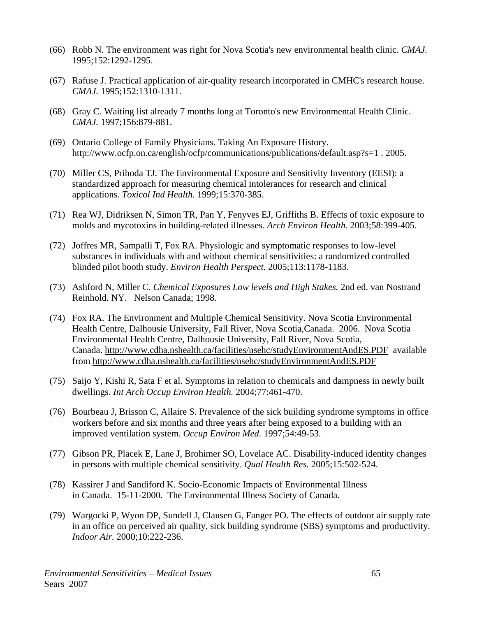- (66) Robb N. The environment was right for Nova Scotia's new environmental health clinic. *CMAJ.* 1995;152:1292-1295.
- (67) Rafuse J. Practical application of air-quality research incorporated in CMHC's research house. *CMAJ.* 1995;152:1310-1311.
- (68) Gray C. Waiting list already 7 months long at Toronto's new Environmental Health Clinic. *CMAJ.* 1997;156:879-881.
- (69) Ontario College of Family Physicians. Taking An Exposure History. http://www.ocfp.on.ca/english/ocfp/communications/publications/default.asp?s=1 . 2005.
- (70) Miller CS, Prihoda TJ. The Environmental Exposure and Sensitivity Inventory (EESI): a standardized approach for measuring chemical intolerances for research and clinical applications. *Toxicol Ind Health.* 1999;15:370-385.
- (71) Rea WJ, Didriksen N, Simon TR, Pan Y, Fenyves EJ, Griffiths B. Effects of toxic exposure to molds and mycotoxins in building-related illnesses. *Arch Environ Health.* 2003;58:399-405.
- (72) Joffres MR, Sampalli T, Fox RA. Physiologic and symptomatic responses to low-level substances in individuals with and without chemical sensitivities: a randomized controlled blinded pilot booth study. *Environ Health Perspect.* 2005;113:1178-1183.
- (73) Ashford N, Miller C. *Chemical Exposures Low levels and High Stakes.* 2nd ed. van Nostrand Reinhold. NY. Nelson Canada; 1998.
- (74) Fox RA. The Environment and Multiple Chemical Sensitivity. Nova Scotia Environmental Health Centre, Dalhousie University, Fall River, Nova Scotia,Canada. 2006. Nova Scotia Environmental Health Centre, Dalhousie University, Fall River, Nova Scotia, Canada. http://www.cdha.nshealth.ca/facilities/nsehc/studyEnvironmentAndES.PDF available from http://www.cdha.nshealth.ca/facilities/nsehc/studyEnvironmentAndES.PDF
- (75) Saijo Y, Kishi R, Sata F et al. Symptoms in relation to chemicals and dampness in newly built dwellings. *Int Arch Occup Environ Health.* 2004;77:461-470.
- (76) Bourbeau J, Brisson C, Allaire S. Prevalence of the sick building syndrome symptoms in office workers before and six months and three years after being exposed to a building with an improved ventilation system. *Occup Environ Med.* 1997;54:49-53.
- (77) Gibson PR, Placek E, Lane J, Brohimer SO, Lovelace AC. Disability-induced identity changes in persons with multiple chemical sensitivity. *Qual Health Res.* 2005;15:502-524.
- (78) Kassirer J and Sandiford K. Socio-Economic Impacts of Environmental Illness in Canada. 15-11-2000. The Environmental Illness Society of Canada.
- (79) Wargocki P, Wyon DP, Sundell J, Clausen G, Fanger PO. The effects of outdoor air supply rate in an office on perceived air quality, sick building syndrome (SBS) symptoms and productivity. *Indoor Air.* 2000;10:222-236.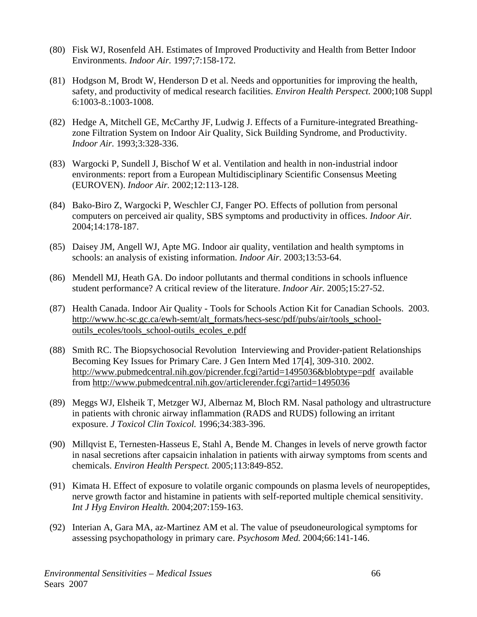- (80) Fisk WJ, Rosenfeld AH. Estimates of Improved Productivity and Health from Better Indoor Environments. *Indoor Air.* 1997;7:158-172.
- (81) Hodgson M, Brodt W, Henderson D et al. Needs and opportunities for improving the health, safety, and productivity of medical research facilities. *Environ Health Perspect.* 2000;108 Suppl 6:1003-8.:1003-1008.
- (82) Hedge A, Mitchell GE, McCarthy JF, Ludwig J. Effects of a Furniture-integrated Breathingzone Filtration System on Indoor Air Quality, Sick Building Syndrome, and Productivity. *Indoor Air.* 1993;3:328-336.
- (83) Wargocki P, Sundell J, Bischof W et al. Ventilation and health in non-industrial indoor environments: report from a European Multidisciplinary Scientific Consensus Meeting (EUROVEN). *Indoor Air.* 2002;12:113-128.
- (84) Bako-Biro Z, Wargocki P, Weschler CJ, Fanger PO. Effects of pollution from personal computers on perceived air quality, SBS symptoms and productivity in offices. *Indoor Air.* 2004;14:178-187.
- (85) Daisey JM, Angell WJ, Apte MG. Indoor air quality, ventilation and health symptoms in schools: an analysis of existing information. *Indoor Air.* 2003;13:53-64.
- (86) Mendell MJ, Heath GA. Do indoor pollutants and thermal conditions in schools influence student performance? A critical review of the literature. *Indoor Air.* 2005;15:27-52.
- (87) Health Canada. Indoor Air Quality Tools for Schools Action Kit for Canadian Schools. 2003. http://www.hc-sc.gc.ca/ewh-semt/alt\_formats/hecs-sesc/pdf/pubs/air/tools\_schooloutils\_ecoles/tools\_school-outils\_ecoles\_e.pdf
- (88) Smith RC. The Biopsychosocial Revolution Interviewing and Provider-patient Relationships Becoming Key Issues for Primary Care. J Gen Intern Med 17[4], 309-310. 2002. http://www.pubmedcentral.nih.gov/picrender.fcgi?artid=1495036&blobtype=pdf available from http://www.pubmedcentral.nih.gov/articlerender.fcgi?artid=1495036
- (89) Meggs WJ, Elsheik T, Metzger WJ, Albernaz M, Bloch RM. Nasal pathology and ultrastructure in patients with chronic airway inflammation (RADS and RUDS) following an irritant exposure. *J Toxicol Clin Toxicol.* 1996;34:383-396.
- (90) Millqvist E, Ternesten-Hasseus E, Stahl A, Bende M. Changes in levels of nerve growth factor in nasal secretions after capsaicin inhalation in patients with airway symptoms from scents and chemicals. *Environ Health Perspect.* 2005;113:849-852.
- (91) Kimata H. Effect of exposure to volatile organic compounds on plasma levels of neuropeptides, nerve growth factor and histamine in patients with self-reported multiple chemical sensitivity. *Int J Hyg Environ Health.* 2004;207:159-163.
- (92) Interian A, Gara MA, az-Martinez AM et al. The value of pseudoneurological symptoms for assessing psychopathology in primary care. *Psychosom Med.* 2004;66:141-146.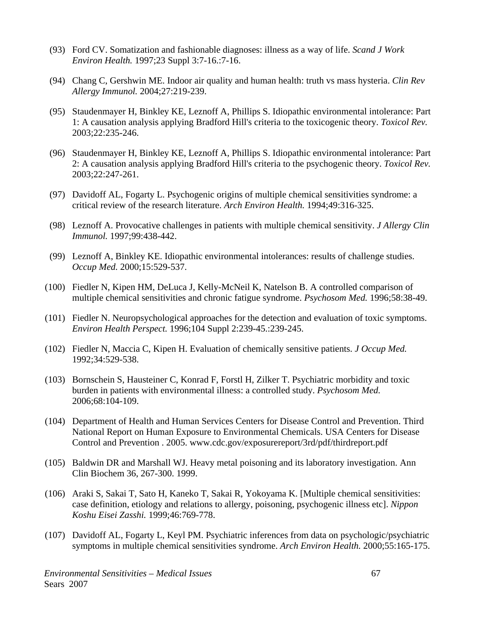- (93) Ford CV. Somatization and fashionable diagnoses: illness as a way of life. *Scand J Work Environ Health.* 1997;23 Suppl 3:7-16.:7-16.
- (94) Chang C, Gershwin ME. Indoor air quality and human health: truth vs mass hysteria. *Clin Rev Allergy Immunol.* 2004;27:219-239.
- (95) Staudenmayer H, Binkley KE, Leznoff A, Phillips S. Idiopathic environmental intolerance: Part 1: A causation analysis applying Bradford Hill's criteria to the toxicogenic theory. *Toxicol Rev.* 2003;22:235-246.
- (96) Staudenmayer H, Binkley KE, Leznoff A, Phillips S. Idiopathic environmental intolerance: Part 2: A causation analysis applying Bradford Hill's criteria to the psychogenic theory. *Toxicol Rev.* 2003;22:247-261.
- (97) Davidoff AL, Fogarty L. Psychogenic origins of multiple chemical sensitivities syndrome: a critical review of the research literature. *Arch Environ Health.* 1994;49:316-325.
- (98) Leznoff A. Provocative challenges in patients with multiple chemical sensitivity. *J Allergy Clin Immunol.* 1997;99:438-442.
- (99) Leznoff A, Binkley KE. Idiopathic environmental intolerances: results of challenge studies. *Occup Med.* 2000;15:529-537.
- (100) Fiedler N, Kipen HM, DeLuca J, Kelly-McNeil K, Natelson B. A controlled comparison of multiple chemical sensitivities and chronic fatigue syndrome. *Psychosom Med.* 1996;58:38-49.
- (101) Fiedler N. Neuropsychological approaches for the detection and evaluation of toxic symptoms. *Environ Health Perspect.* 1996;104 Suppl 2:239-45.:239-245.
- (102) Fiedler N, Maccia C, Kipen H. Evaluation of chemically sensitive patients. *J Occup Med.* 1992;34:529-538.
- (103) Bornschein S, Hausteiner C, Konrad F, Forstl H, Zilker T. Psychiatric morbidity and toxic burden in patients with environmental illness: a controlled study. *Psychosom Med.* 2006;68:104-109.
- (104) Department of Health and Human Services Centers for Disease Control and Prevention. Third National Report on Human Exposure to Environmental Chemicals. USA Centers for Disease Control and Prevention . 2005. www.cdc.gov/exposurereport/3rd/pdf/thirdreport.pdf
- (105) Baldwin DR and Marshall WJ. Heavy metal poisoning and its laboratory investigation. Ann Clin Biochem 36, 267-300. 1999.
- (106) Araki S, Sakai T, Sato H, Kaneko T, Sakai R, Yokoyama K. [Multiple chemical sensitivities: case definition, etiology and relations to allergy, poisoning, psychogenic illness etc]. *Nippon Koshu Eisei Zasshi.* 1999;46:769-778.
- (107) Davidoff AL, Fogarty L, Keyl PM. Psychiatric inferences from data on psychologic/psychiatric symptoms in multiple chemical sensitivities syndrome. *Arch Environ Health.* 2000;55:165-175.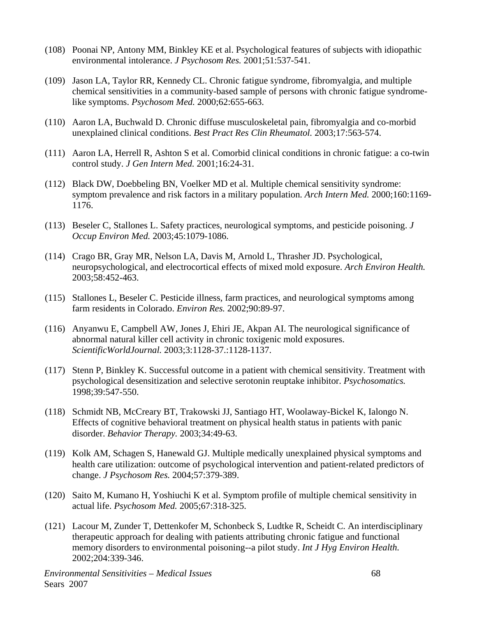- (108) Poonai NP, Antony MM, Binkley KE et al. Psychological features of subjects with idiopathic environmental intolerance. *J Psychosom Res.* 2001;51:537-541.
- (109) Jason LA, Taylor RR, Kennedy CL. Chronic fatigue syndrome, fibromyalgia, and multiple chemical sensitivities in a community-based sample of persons with chronic fatigue syndromelike symptoms. *Psychosom Med.* 2000;62:655-663.
- (110) Aaron LA, Buchwald D. Chronic diffuse musculoskeletal pain, fibromyalgia and co-morbid unexplained clinical conditions. *Best Pract Res Clin Rheumatol.* 2003;17:563-574.
- (111) Aaron LA, Herrell R, Ashton S et al. Comorbid clinical conditions in chronic fatigue: a co-twin control study. *J Gen Intern Med.* 2001;16:24-31.
- (112) Black DW, Doebbeling BN, Voelker MD et al. Multiple chemical sensitivity syndrome: symptom prevalence and risk factors in a military population. *Arch Intern Med.* 2000;160:1169- 1176.
- (113) Beseler C, Stallones L. Safety practices, neurological symptoms, and pesticide poisoning. *J Occup Environ Med.* 2003;45:1079-1086.
- (114) Crago BR, Gray MR, Nelson LA, Davis M, Arnold L, Thrasher JD. Psychological, neuropsychological, and electrocortical effects of mixed mold exposure. *Arch Environ Health.* 2003;58:452-463.
- (115) Stallones L, Beseler C. Pesticide illness, farm practices, and neurological symptoms among farm residents in Colorado. *Environ Res.* 2002;90:89-97.
- (116) Anyanwu E, Campbell AW, Jones J, Ehiri JE, Akpan AI. The neurological significance of abnormal natural killer cell activity in chronic toxigenic mold exposures. *ScientificWorldJournal.* 2003;3:1128-37.:1128-1137.
- (117) Stenn P, Binkley K. Successful outcome in a patient with chemical sensitivity. Treatment with psychological desensitization and selective serotonin reuptake inhibitor. *Psychosomatics.* 1998;39:547-550.
- (118) Schmidt NB, McCreary BT, Trakowski JJ, Santiago HT, Woolaway-Bickel K, Ialongo N. Effects of cognitive behavioral treatment on physical health status in patients with panic disorder. *Behavior Therapy.* 2003;34:49-63.
- (119) Kolk AM, Schagen S, Hanewald GJ. Multiple medically unexplained physical symptoms and health care utilization: outcome of psychological intervention and patient-related predictors of change. *J Psychosom Res.* 2004;57:379-389.
- (120) Saito M, Kumano H, Yoshiuchi K et al. Symptom profile of multiple chemical sensitivity in actual life. *Psychosom Med.* 2005;67:318-325.
- (121) Lacour M, Zunder T, Dettenkofer M, Schonbeck S, Ludtke R, Scheidt C. An interdisciplinary therapeutic approach for dealing with patients attributing chronic fatigue and functional memory disorders to environmental poisoning--a pilot study. *Int J Hyg Environ Health.* 2002;204:339-346.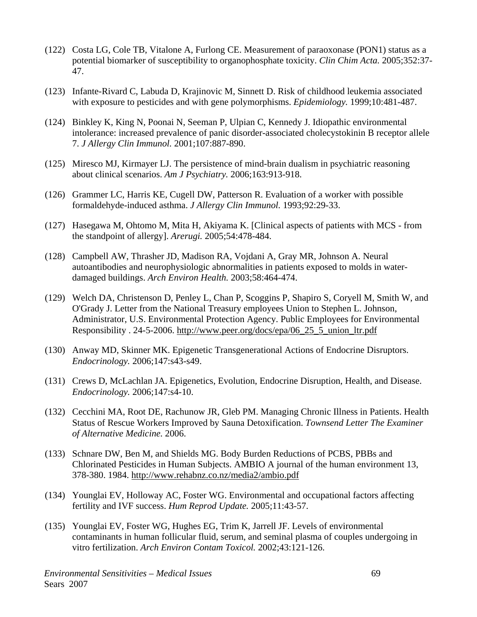- (122) Costa LG, Cole TB, Vitalone A, Furlong CE. Measurement of paraoxonase (PON1) status as a potential biomarker of susceptibility to organophosphate toxicity. *Clin Chim Acta.* 2005;352:37- 47.
- (123) Infante-Rivard C, Labuda D, Krajinovic M, Sinnett D. Risk of childhood leukemia associated with exposure to pesticides and with gene polymorphisms. *Epidemiology.* 1999;10:481-487.
- (124) Binkley K, King N, Poonai N, Seeman P, Ulpian C, Kennedy J. Idiopathic environmental intolerance: increased prevalence of panic disorder-associated cholecystokinin B receptor allele 7. *J Allergy Clin Immunol.* 2001;107:887-890.
- (125) Miresco MJ, Kirmayer LJ. The persistence of mind-brain dualism in psychiatric reasoning about clinical scenarios. *Am J Psychiatry.* 2006;163:913-918.
- (126) Grammer LC, Harris KE, Cugell DW, Patterson R. Evaluation of a worker with possible formaldehyde-induced asthma. *J Allergy Clin Immunol.* 1993;92:29-33.
- (127) Hasegawa M, Ohtomo M, Mita H, Akiyama K. [Clinical aspects of patients with MCS from the standpoint of allergy]. *Arerugi.* 2005;54:478-484.
- (128) Campbell AW, Thrasher JD, Madison RA, Vojdani A, Gray MR, Johnson A. Neural autoantibodies and neurophysiologic abnormalities in patients exposed to molds in waterdamaged buildings. *Arch Environ Health.* 2003;58:464-474.
- (129) Welch DA, Christenson D, Penley L, Chan P, Scoggins P, Shapiro S, Coryell M, Smith W, and O'Grady J. Letter from the National Treasury employees Union to Stephen L. Johnson, Administrator, U.S. Environmental Protection Agency. Public Employees for Environmental Responsibility . 24-5-2006. http://www.peer.org/docs/epa/06\_25\_5\_union\_ltr.pdf
- (130) Anway MD, Skinner MK. Epigenetic Transgenerational Actions of Endocrine Disruptors. *Endocrinology.* 2006;147:s43-s49.
- (131) Crews D, McLachlan JA. Epigenetics, Evolution, Endocrine Disruption, Health, and Disease. *Endocrinology.* 2006;147:s4-10.
- (132) Cecchini MA, Root DE, Rachunow JR, Gleb PM. Managing Chronic Illness in Patients. Health Status of Rescue Workers Improved by Sauna Detoxification. *Townsend Letter The Examiner of Alternative Medicine.* 2006.
- (133) Schnare DW, Ben M, and Shields MG. Body Burden Reductions of PCBS, PBBs and Chlorinated Pesticides in Human Subjects. AMBIO A journal of the human environment 13, 378-380. 1984. http://www.rehabnz.co.nz/media2/ambio.pdf
- (134) Younglai EV, Holloway AC, Foster WG. Environmental and occupational factors affecting fertility and IVF success. *Hum Reprod Update.* 2005;11:43-57.
- (135) Younglai EV, Foster WG, Hughes EG, Trim K, Jarrell JF. Levels of environmental contaminants in human follicular fluid, serum, and seminal plasma of couples undergoing in vitro fertilization. *Arch Environ Contam Toxicol.* 2002;43:121-126.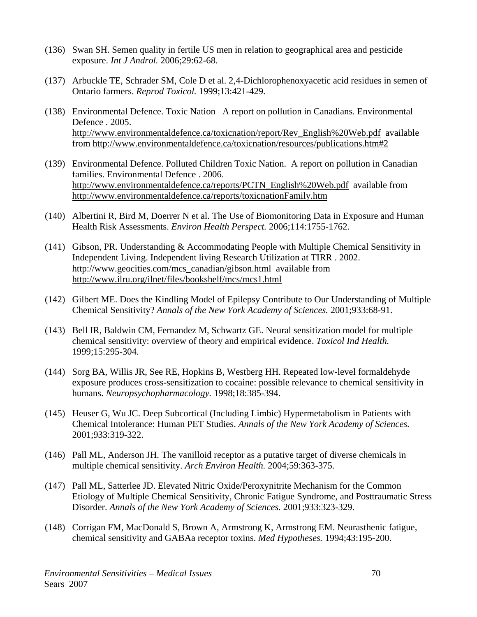- (136) Swan SH. Semen quality in fertile US men in relation to geographical area and pesticide exposure. *Int J Androl.* 2006;29:62-68.
- (137) Arbuckle TE, Schrader SM, Cole D et al. 2,4-Dichlorophenoxyacetic acid residues in semen of Ontario farmers. *Reprod Toxicol.* 1999;13:421-429.
- (138) Environmental Defence. Toxic Nation A report on pollution in Canadians. Environmental Defence . 2005. http://www.environmentaldefence.ca/toxicnation/report/Rev\_English%20Web.pdf available from http://www.environmentaldefence.ca/toxicnation/resources/publications.htm#2
- (139) Environmental Defence. Polluted Children Toxic Nation. A report on pollution in Canadian families. Environmental Defence . 2006. http://www.environmentaldefence.ca/reports/PCTN\_English%20Web.pdf available from http://www.environmentaldefence.ca/reports/toxicnationFamily.htm
- (140) Albertini R, Bird M, Doerrer N et al. The Use of Biomonitoring Data in Exposure and Human Health Risk Assessments. *Environ Health Perspect.* 2006;114:1755-1762.
- (141) Gibson, PR. Understanding & Accommodating People with Multiple Chemical Sensitivity in Independent Living. Independent living Research Utilization at TIRR . 2002. http://www.geocities.com/mcs\_canadian/gibson.html available from http://www.ilru.org/ilnet/files/bookshelf/mcs/mcs1.html
- (142) Gilbert ME. Does the Kindling Model of Epilepsy Contribute to Our Understanding of Multiple Chemical Sensitivity? *Annals of the New York Academy of Sciences.* 2001;933:68-91.
- (143) Bell IR, Baldwin CM, Fernandez M, Schwartz GE. Neural sensitization model for multiple chemical sensitivity: overview of theory and empirical evidence. *Toxicol Ind Health.* 1999;15:295-304.
- (144) Sorg BA, Willis JR, See RE, Hopkins B, Westberg HH. Repeated low-level formaldehyde exposure produces cross-sensitization to cocaine: possible relevance to chemical sensitivity in humans. *Neuropsychopharmacology.* 1998;18:385-394.
- (145) Heuser G, Wu JC. Deep Subcortical (Including Limbic) Hypermetabolism in Patients with Chemical Intolerance: Human PET Studies. *Annals of the New York Academy of Sciences.* 2001;933:319-322.
- (146) Pall ML, Anderson JH. The vanilloid receptor as a putative target of diverse chemicals in multiple chemical sensitivity. *Arch Environ Health.* 2004;59:363-375.
- (147) Pall ML, Satterlee JD. Elevated Nitric Oxide/Peroxynitrite Mechanism for the Common Etiology of Multiple Chemical Sensitivity, Chronic Fatigue Syndrome, and Posttraumatic Stress Disorder. *Annals of the New York Academy of Sciences.* 2001;933:323-329.
- (148) Corrigan FM, MacDonald S, Brown A, Armstrong K, Armstrong EM. Neurasthenic fatigue, chemical sensitivity and GABAa receptor toxins. *Med Hypotheses.* 1994;43:195-200.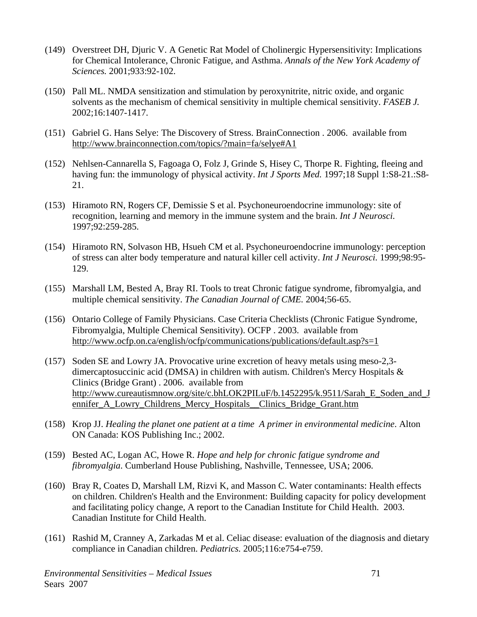- (149) Overstreet DH, Djuric V. A Genetic Rat Model of Cholinergic Hypersensitivity: Implications for Chemical Intolerance, Chronic Fatigue, and Asthma. *Annals of the New York Academy of Sciences.* 2001;933:92-102.
- (150) Pall ML. NMDA sensitization and stimulation by peroxynitrite, nitric oxide, and organic solvents as the mechanism of chemical sensitivity in multiple chemical sensitivity. *FASEB J.* 2002;16:1407-1417.
- (151) Gabriel G. Hans Selye: The Discovery of Stress. BrainConnection . 2006. available from http://www.brainconnection.com/topics/?main=fa/selye#A1
- (152) Nehlsen-Cannarella S, Fagoaga O, Folz J, Grinde S, Hisey C, Thorpe R. Fighting, fleeing and having fun: the immunology of physical activity. *Int J Sports Med.* 1997;18 Suppl 1:S8-21.:S8- 21.
- (153) Hiramoto RN, Rogers CF, Demissie S et al. Psychoneuroendocrine immunology: site of recognition, learning and memory in the immune system and the brain. *Int J Neurosci.* 1997;92:259-285.
- (154) Hiramoto RN, Solvason HB, Hsueh CM et al. Psychoneuroendocrine immunology: perception of stress can alter body temperature and natural killer cell activity. *Int J Neurosci.* 1999;98:95- 129.
- (155) Marshall LM, Bested A, Bray RI. Tools to treat Chronic fatigue syndrome, fibromyalgia, and multiple chemical sensitivity. *The Canadian Journal of CME.* 2004;56-65.
- (156) Ontario College of Family Physicians. Case Criteria Checklists (Chronic Fatigue Syndrome, Fibromyalgia, Multiple Chemical Sensitivity). OCFP . 2003. available from http://www.ocfp.on.ca/english/ocfp/communications/publications/default.asp?s=1
- (157) Soden SE and Lowry JA. Provocative urine excretion of heavy metals using meso-2,3 dimercaptosuccinic acid (DMSA) in children with autism. Children's Mercy Hospitals & Clinics (Bridge Grant) . 2006. available from http://www.cureautismnow.org/site/c.bhLOK2PILuF/b.1452295/k.9511/Sarah\_E\_Soden\_and\_J ennifer\_A\_Lowry\_Childrens\_Mercy\_Hospitals\_\_Clinics\_Bridge\_Grant.htm
- (158) Krop JJ. *Healing the planet one patient at a time A primer in environmental medicine*. Alton ON Canada: KOS Publishing Inc.; 2002.
- (159) Bested AC, Logan AC, Howe R. *Hope and help for chronic fatigue syndrome and fibromyalgia*. Cumberland House Publishing, Nashville, Tennessee, USA; 2006.
- (160) Bray R, Coates D, Marshall LM, Rizvi K, and Masson C. Water contaminants: Health effects on children. Children's Health and the Environment: Building capacity for policy development and facilitating policy change, A report to the Canadian Institute for Child Health. 2003. Canadian Institute for Child Health.
- (161) Rashid M, Cranney A, Zarkadas M et al. Celiac disease: evaluation of the diagnosis and dietary compliance in Canadian children. *Pediatrics.* 2005;116:e754-e759.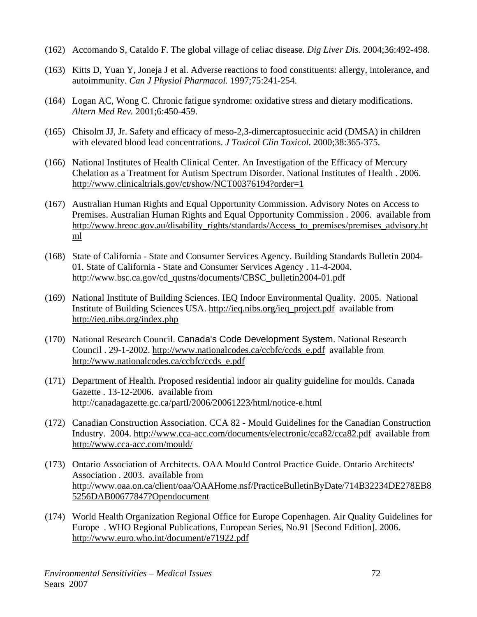- (162) Accomando S, Cataldo F. The global village of celiac disease. *Dig Liver Dis.* 2004;36:492-498.
- (163) Kitts D, Yuan Y, Joneja J et al. Adverse reactions to food constituents: allergy, intolerance, and autoimmunity. *Can J Physiol Pharmacol.* 1997;75:241-254.
- (164) Logan AC, Wong C. Chronic fatigue syndrome: oxidative stress and dietary modifications. *Altern Med Rev.* 2001;6:450-459.
- (165) Chisolm JJ, Jr. Safety and efficacy of meso-2,3-dimercaptosuccinic acid (DMSA) in children with elevated blood lead concentrations. *J Toxicol Clin Toxicol.* 2000;38:365-375.
- (166) National Institutes of Health Clinical Center. An Investigation of the Efficacy of Mercury Chelation as a Treatment for Autism Spectrum Disorder. National Institutes of Health . 2006. http://www.clinicaltrials.gov/ct/show/NCT00376194?order=1
- (167) Australian Human Rights and Equal Opportunity Commission. Advisory Notes on Access to Premises. Australian Human Rights and Equal Opportunity Commission . 2006. available from http://www.hreoc.gov.au/disability\_rights/standards/Access\_to\_premises/premises\_advisory.ht ml
- (168) State of California State and Consumer Services Agency. Building Standards Bulletin 2004- 01. State of California - State and Consumer Services Agency . 11-4-2004. http://www.bsc.ca.gov/cd\_qustns/documents/CBSC\_bulletin2004-01.pdf
- (169) National Institute of Building Sciences. IEQ Indoor Environmental Quality. 2005. National Institute of Building Sciences USA. http://ieq.nibs.org/ieq\_project.pdf available from http://ieq.nibs.org/index.php
- (170) National Research Council. Canada's Code Development System. National Research Council . 29-1-2002. http://www.nationalcodes.ca/ccbfc/ccds\_e.pdf available from http://www.nationalcodes.ca/ccbfc/ccds\_e.pdf
- (171) Department of Health. Proposed residential indoor air quality guideline for moulds. Canada Gazette . 13-12-2006. available from http://canadagazette.gc.ca/partI/2006/20061223/html/notice-e.html
- (172) Canadian Construction Association. CCA 82 Mould Guidelines for the Canadian Construction Industry. 2004. http://www.cca-acc.com/documents/electronic/cca82/cca82.pdf available from http://www.cca-acc.com/mould/
- (173) Ontario Association of Architects. OAA Mould Control Practice Guide. Ontario Architects' Association . 2003. available from http://www.oaa.on.ca/client/oaa/OAAHome.nsf/PracticeBulletinByDate/714B32234DE278EB8 5256DAB00677847?Opendocument
- (174) World Health Organization Regional Office for Europe Copenhagen. Air Quality Guidelines for Europe . WHO Regional Publications, European Series, No.91 [Second Edition]. 2006. http://www.euro.who.int/document/e71922.pdf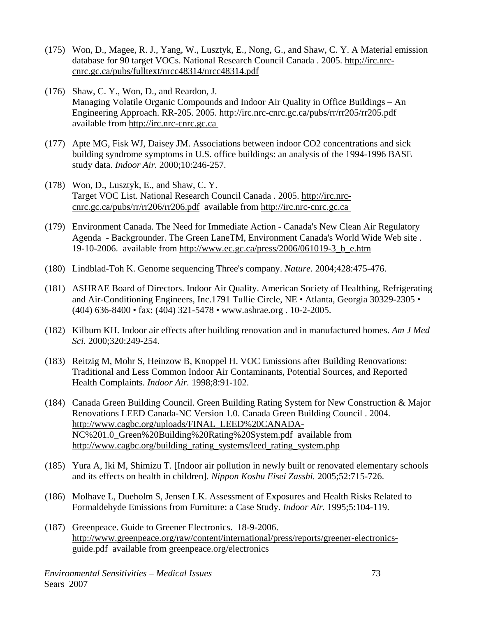- (175) Won, D., Magee, R. J., Yang, W., Lusztyk, E., Nong, G., and Shaw, C. Y. A Material emission database for 90 target VOCs. National Research Council Canada . 2005. http://irc.nrccnrc.gc.ca/pubs/fulltext/nrcc48314/nrcc48314.pdf
- (176) Shaw, C. Y., Won, D., and Reardon, J. Managing Volatile Organic Compounds and Indoor Air Quality in Office Buildings – An Engineering Approach. RR-205. 2005. http://irc.nrc-cnrc.gc.ca/pubs/rr/rr205/rr205.pdf available from http://irc.nrc-cnrc.gc.ca
- (177) Apte MG, Fisk WJ, Daisey JM. Associations between indoor CO2 concentrations and sick building syndrome symptoms in U.S. office buildings: an analysis of the 1994-1996 BASE study data. *Indoor Air.* 2000;10:246-257.
- (178) Won, D., Lusztyk, E., and Shaw, C. Y. Target VOC List. National Research Council Canada . 2005. http://irc.nrccnrc.gc.ca/pubs/rr/rr206/rr206.pdf available from http://irc.nrc-cnrc.gc.ca
- (179) Environment Canada. The Need for Immediate Action Canada's New Clean Air Regulatory Agenda - Backgrounder. The Green LaneTM, Environment Canada's World Wide Web site . 19-10-2006. available from http://www.ec.gc.ca/press/2006/061019-3\_b\_e.htm
- (180) Lindblad-Toh K. Genome sequencing Three's company. *Nature.* 2004;428:475-476.
- (181) ASHRAE Board of Directors. Indoor Air Quality. American Society of Healthing, Refrigerating and Air-Conditioning Engineers, Inc.1791 Tullie Circle, NE • Atlanta, Georgia 30329-2305 • (404) 636-8400 • fax: (404) 321-5478 • www.ashrae.org . 10-2-2005.
- (182) Kilburn KH. Indoor air effects after building renovation and in manufactured homes. *Am J Med Sci.* 2000;320:249-254.
- (183) Reitzig M, Mohr S, Heinzow B, Knoppel H. VOC Emissions after Building Renovations: Traditional and Less Common Indoor Air Contaminants, Potential Sources, and Reported Health Complaints. *Indoor Air.* 1998;8:91-102.
- (184) Canada Green Building Council. Green Building Rating System for New Construction & Major Renovations LEED Canada-NC Version 1.0. Canada Green Building Council . 2004. http://www.cagbc.org/uploads/FINAL\_LEED%20CANADA-NC%201.0\_Green%20Building%20Rating%20System.pdf available from http://www.cagbc.org/building\_rating\_systems/leed\_rating\_system.php
- (185) Yura A, Iki M, Shimizu T. [Indoor air pollution in newly built or renovated elementary schools and its effects on health in children]. *Nippon Koshu Eisei Zasshi.* 2005;52:715-726.
- (186) Molhave L, Dueholm S, Jensen LK. Assessment of Exposures and Health Risks Related to Formaldehyde Emissions from Furniture: a Case Study. *Indoor Air.* 1995;5:104-119.
- (187) Greenpeace. Guide to Greener Electronics. 18-9-2006. http://www.greenpeace.org/raw/content/international/press/reports/greener-electronicsguide.pdf available from greenpeace.org/electronics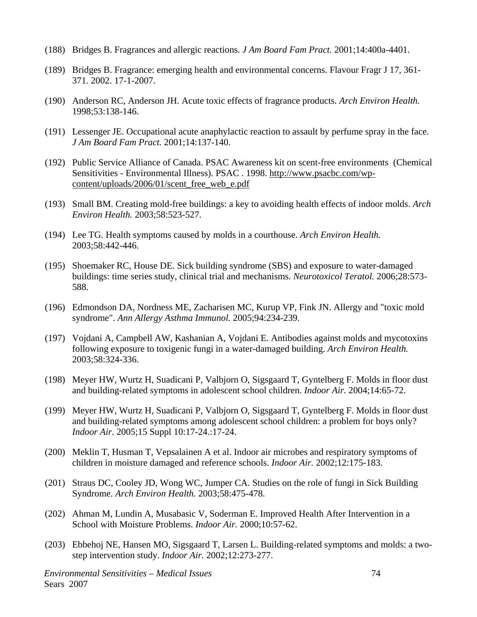- (188) Bridges B. Fragrances and allergic reactions. *J Am Board Fam Pract.* 2001;14:400a-4401.
- (189) Bridges B. Fragrance: emerging health and environmental concerns. Flavour Fragr J 17, 361- 371. 2002. 17-1-2007.
- (190) Anderson RC, Anderson JH. Acute toxic effects of fragrance products. *Arch Environ Health.* 1998;53:138-146.
- (191) Lessenger JE. Occupational acute anaphylactic reaction to assault by perfume spray in the face. *J Am Board Fam Pract.* 2001;14:137-140.
- (192) Public Service Alliance of Canada. PSAC Awareness kit on scent-free environments (Chemical Sensitivities - Environmental Illness). PSAC . 1998. http://www.psacbc.com/wpcontent/uploads/2006/01/scent\_free\_web\_e.pdf
- (193) Small BM. Creating mold-free buildings: a key to avoiding health effects of indoor molds. *Arch Environ Health.* 2003;58:523-527.
- (194) Lee TG. Health symptoms caused by molds in a courthouse. *Arch Environ Health.* 2003;58:442-446.
- (195) Shoemaker RC, House DE. Sick building syndrome (SBS) and exposure to water-damaged buildings: time series study, clinical trial and mechanisms. *Neurotoxicol Teratol.* 2006;28:573- 588.
- (196) Edmondson DA, Nordness ME, Zacharisen MC, Kurup VP, Fink JN. Allergy and "toxic mold syndrome". *Ann Allergy Asthma Immunol.* 2005;94:234-239.
- (197) Vojdani A, Campbell AW, Kashanian A, Vojdani E. Antibodies against molds and mycotoxins following exposure to toxigenic fungi in a water-damaged building. *Arch Environ Health.* 2003;58:324-336.
- (198) Meyer HW, Wurtz H, Suadicani P, Valbjorn O, Sigsgaard T, Gyntelberg F. Molds in floor dust and building-related symptoms in adolescent school children. *Indoor Air.* 2004;14:65-72.
- (199) Meyer HW, Wurtz H, Suadicani P, Valbjorn O, Sigsgaard T, Gyntelberg F. Molds in floor dust and building-related symptoms among adolescent school children: a problem for boys only? *Indoor Air.* 2005;15 Suppl 10:17-24.:17-24.
- (200) Meklin T, Husman T, Vepsalainen A et al. Indoor air microbes and respiratory symptoms of children in moisture damaged and reference schools. *Indoor Air.* 2002;12:175-183.
- (201) Straus DC, Cooley JD, Wong WC, Jumper CA. Studies on the role of fungi in Sick Building Syndrome. *Arch Environ Health.* 2003;58:475-478.
- (202) Ahman M, Lundin A, Musabasic V, Soderman E. Improved Health After Intervention in a School with Moisture Problems. *Indoor Air.* 2000;10:57-62.
- (203) Ebbehoj NE, Hansen MO, Sigsgaard T, Larsen L. Building-related symptoms and molds: a twostep intervention study. *Indoor Air.* 2002;12:273-277.

*Environmental Sensitivities – Medical Issues* 74 Sears 2007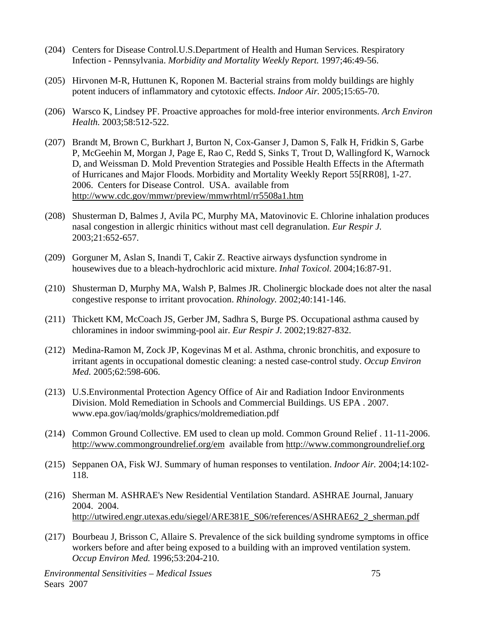- (204) Centers for Disease Control.U.S.Department of Health and Human Services. Respiratory Infection - Pennsylvania. *Morbidity and Mortality Weekly Report.* 1997;46:49-56.
- (205) Hirvonen M-R, Huttunen K, Roponen M. Bacterial strains from moldy buildings are highly potent inducers of inflammatory and cytotoxic effects. *Indoor Air.* 2005;15:65-70.
- (206) Warsco K, Lindsey PF. Proactive approaches for mold-free interior environments. *Arch Environ Health.* 2003;58:512-522.
- (207) Brandt M, Brown C, Burkhart J, Burton N, Cox-Ganser J, Damon S, Falk H, Fridkin S, Garbe P, McGeehin M, Morgan J, Page E, Rao C, Redd S, Sinks T, Trout D, Wallingford K, Warnock D, and Weissman D. Mold Prevention Strategies and Possible Health Effects in the Aftermath of Hurricanes and Major Floods. Morbidity and Mortality Weekly Report 55[RR08], 1-27. 2006. Centers for Disease Control. USA. available from http://www.cdc.gov/mmwr/preview/mmwrhtml/rr5508a1.htm
- (208) Shusterman D, Balmes J, Avila PC, Murphy MA, Matovinovic E. Chlorine inhalation produces nasal congestion in allergic rhinitics without mast cell degranulation. *Eur Respir J.* 2003;21:652-657.
- (209) Gorguner M, Aslan S, Inandi T, Cakir Z. Reactive airways dysfunction syndrome in housewives due to a bleach-hydrochloric acid mixture. *Inhal Toxicol.* 2004;16:87-91.
- (210) Shusterman D, Murphy MA, Walsh P, Balmes JR. Cholinergic blockade does not alter the nasal congestive response to irritant provocation. *Rhinology.* 2002;40:141-146.
- (211) Thickett KM, McCoach JS, Gerber JM, Sadhra S, Burge PS. Occupational asthma caused by chloramines in indoor swimming-pool air. *Eur Respir J.* 2002;19:827-832.
- (212) Medina-Ramon M, Zock JP, Kogevinas M et al. Asthma, chronic bronchitis, and exposure to irritant agents in occupational domestic cleaning: a nested case-control study. *Occup Environ Med.* 2005;62:598-606.
- (213) U.S.Environmental Protection Agency Office of Air and Radiation Indoor Environments Division. Mold Remediation in Schools and Commercial Buildings. US EPA . 2007. www.epa.gov/iaq/molds/graphics/moldremediation.pdf
- (214) Common Ground Collective. EM used to clean up mold. Common Ground Relief . 11-11-2006. http://www.commongroundrelief.org/em available from http://www.commongroundrelief.org
- (215) Seppanen OA, Fisk WJ. Summary of human responses to ventilation. *Indoor Air.* 2004;14:102- 118.
- (216) Sherman M. ASHRAE's New Residential Ventilation Standard. ASHRAE Journal, January 2004. 2004. http://utwired.engr.utexas.edu/siegel/ARE381E\_S06/references/ASHRAE62\_2\_sherman.pdf
- (217) Bourbeau J, Brisson C, Allaire S. Prevalence of the sick building syndrome symptoms in office workers before and after being exposed to a building with an improved ventilation system. *Occup Environ Med.* 1996;53:204-210.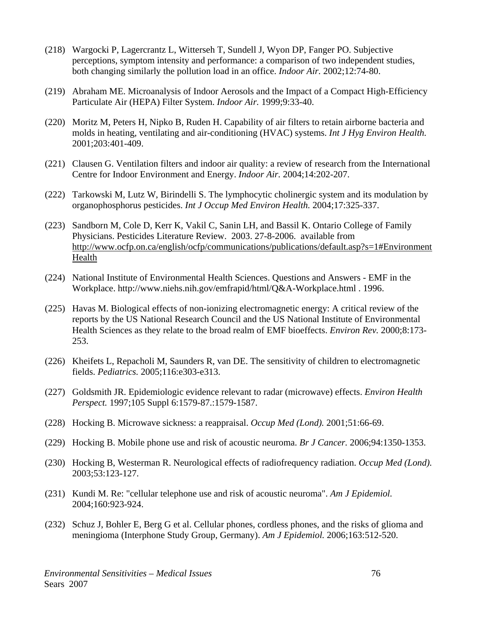- (218) Wargocki P, Lagercrantz L, Witterseh T, Sundell J, Wyon DP, Fanger PO. Subjective perceptions, symptom intensity and performance: a comparison of two independent studies, both changing similarly the pollution load in an office. *Indoor Air.* 2002;12:74-80.
- (219) Abraham ME. Microanalysis of Indoor Aerosols and the Impact of a Compact High-Efficiency Particulate Air (HEPA) Filter System. *Indoor Air.* 1999;9:33-40.
- (220) Moritz M, Peters H, Nipko B, Ruden H. Capability of air filters to retain airborne bacteria and molds in heating, ventilating and air-conditioning (HVAC) systems. *Int J Hyg Environ Health.* 2001;203:401-409.
- (221) Clausen G. Ventilation filters and indoor air quality: a review of research from the International Centre for Indoor Environment and Energy. *Indoor Air.* 2004;14:202-207.
- (222) Tarkowski M, Lutz W, Birindelli S. The lymphocytic cholinergic system and its modulation by organophosphorus pesticides. *Int J Occup Med Environ Health.* 2004;17:325-337.
- (223) Sandborn M, Cole D, Kerr K, Vakil C, Sanin LH, and Bassil K. Ontario College of Family Physicians. Pesticides Literature Review. 2003. 27-8-2006. available from http://www.ocfp.on.ca/english/ocfp/communications/publications/default.asp?s=1#Environment Health
- (224) National Institute of Environmental Health Sciences. Questions and Answers EMF in the Workplace. http://www.niehs.nih.gov/emfrapid/html/Q&A-Workplace.html . 1996.
- (225) Havas M. Biological effects of non-ionizing electromagnetic energy: A critical review of the reports by the US National Research Council and the US National Institute of Environmental Health Sciences as they relate to the broad realm of EMF bioeffects. *Environ Rev.* 2000;8:173- 253.
- (226) Kheifets L, Repacholi M, Saunders R, van DE. The sensitivity of children to electromagnetic fields. *Pediatrics.* 2005;116:e303-e313.
- (227) Goldsmith JR. Epidemiologic evidence relevant to radar (microwave) effects. *Environ Health Perspect.* 1997;105 Suppl 6:1579-87.:1579-1587.
- (228) Hocking B. Microwave sickness: a reappraisal. *Occup Med (Lond).* 2001;51:66-69.
- (229) Hocking B. Mobile phone use and risk of acoustic neuroma. *Br J Cancer.* 2006;94:1350-1353.
- (230) Hocking B, Westerman R. Neurological effects of radiofrequency radiation. *Occup Med (Lond).* 2003;53:123-127.
- (231) Kundi M. Re: "cellular telephone use and risk of acoustic neuroma". *Am J Epidemiol.* 2004;160:923-924.
- (232) Schuz J, Bohler E, Berg G et al. Cellular phones, cordless phones, and the risks of glioma and meningioma (Interphone Study Group, Germany). *Am J Epidemiol.* 2006;163:512-520.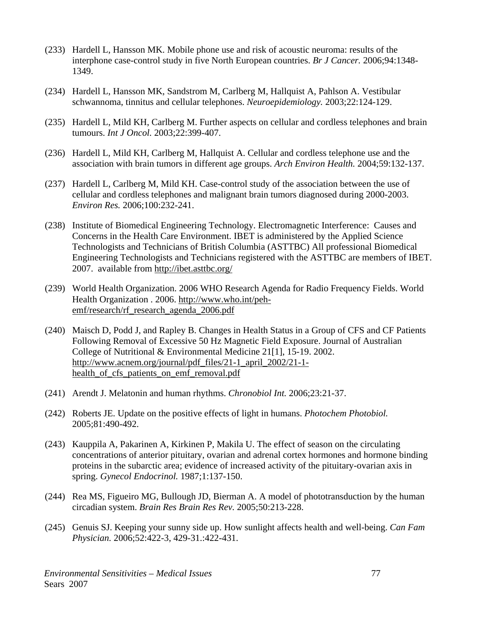- (233) Hardell L, Hansson MK. Mobile phone use and risk of acoustic neuroma: results of the interphone case-control study in five North European countries. *Br J Cancer.* 2006;94:1348- 1349.
- (234) Hardell L, Hansson MK, Sandstrom M, Carlberg M, Hallquist A, Pahlson A. Vestibular schwannoma, tinnitus and cellular telephones. *Neuroepidemiology.* 2003;22:124-129.
- (235) Hardell L, Mild KH, Carlberg M. Further aspects on cellular and cordless telephones and brain tumours. *Int J Oncol.* 2003;22:399-407.
- (236) Hardell L, Mild KH, Carlberg M, Hallquist A. Cellular and cordless telephone use and the association with brain tumors in different age groups. *Arch Environ Health.* 2004;59:132-137.
- (237) Hardell L, Carlberg M, Mild KH. Case-control study of the association between the use of cellular and cordless telephones and malignant brain tumors diagnosed during 2000-2003. *Environ Res.* 2006;100:232-241.
- (238) Institute of Biomedical Engineering Technology. Electromagnetic Interference: Causes and Concerns in the Health Care Environment. IBET is administered by the Applied Science Technologists and Technicians of British Columbia (ASTTBC) All professional Biomedical Engineering Technologists and Technicians registered with the ASTTBC are members of IBET. 2007. available from http://ibet.asttbc.org/
- (239) World Health Organization. 2006 WHO Research Agenda for Radio Frequency Fields. World Health Organization . 2006. http://www.who.int/pehemf/research/rf\_research\_agenda\_2006.pdf
- (240) Maisch D, Podd J, and Rapley B. Changes in Health Status in a Group of CFS and CF Patients Following Removal of Excessive 50 Hz Magnetic Field Exposure. Journal of Australian College of Nutritional & Environmental Medicine 21[1], 15-19. 2002. http://www.acnem.org/journal/pdf\_files/21-1\_april\_2002/21-1 health of cfs patients on emf removal.pdf
- (241) Arendt J. Melatonin and human rhythms. *Chronobiol Int.* 2006;23:21-37.
- (242) Roberts JE. Update on the positive effects of light in humans. *Photochem Photobiol.* 2005;81:490-492.
- (243) Kauppila A, Pakarinen A, Kirkinen P, Makila U. The effect of season on the circulating concentrations of anterior pituitary, ovarian and adrenal cortex hormones and hormone binding proteins in the subarctic area; evidence of increased activity of the pituitary-ovarian axis in spring. *Gynecol Endocrinol.* 1987;1:137-150.
- (244) Rea MS, Figueiro MG, Bullough JD, Bierman A. A model of phototransduction by the human circadian system. *Brain Res Brain Res Rev.* 2005;50:213-228.
- (245) Genuis SJ. Keeping your sunny side up. How sunlight affects health and well-being. *Can Fam Physician.* 2006;52:422-3, 429-31.:422-431.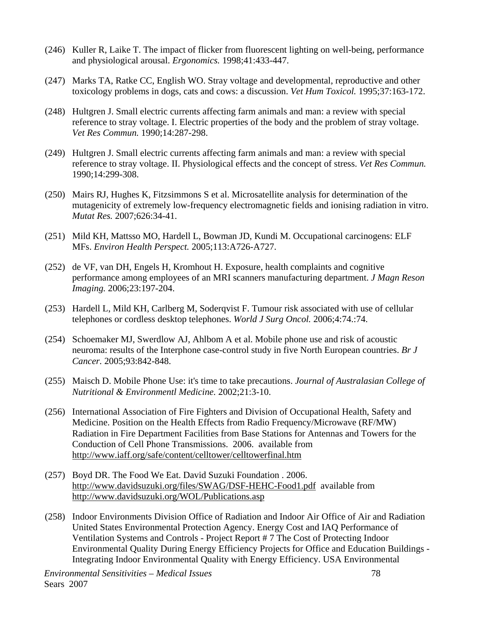- (246) Kuller R, Laike T. The impact of flicker from fluorescent lighting on well-being, performance and physiological arousal. *Ergonomics.* 1998;41:433-447.
- (247) Marks TA, Ratke CC, English WO. Stray voltage and developmental, reproductive and other toxicology problems in dogs, cats and cows: a discussion. *Vet Hum Toxicol.* 1995;37:163-172.
- (248) Hultgren J. Small electric currents affecting farm animals and man: a review with special reference to stray voltage. I. Electric properties of the body and the problem of stray voltage. *Vet Res Commun.* 1990;14:287-298.
- (249) Hultgren J. Small electric currents affecting farm animals and man: a review with special reference to stray voltage. II. Physiological effects and the concept of stress. *Vet Res Commun.* 1990;14:299-308.
- (250) Mairs RJ, Hughes K, Fitzsimmons S et al. Microsatellite analysis for determination of the mutagenicity of extremely low-frequency electromagnetic fields and ionising radiation in vitro. *Mutat Res.* 2007;626:34-41.
- (251) Mild KH, Mattsso MO, Hardell L, Bowman JD, Kundi M. Occupational carcinogens: ELF MFs. *Environ Health Perspect.* 2005;113:A726-A727.
- (252) de VF, van DH, Engels H, Kromhout H. Exposure, health complaints and cognitive performance among employees of an MRI scanners manufacturing department. *J Magn Reson Imaging.* 2006;23:197-204.
- (253) Hardell L, Mild KH, Carlberg M, Soderqvist F. Tumour risk associated with use of cellular telephones or cordless desktop telephones. *World J Surg Oncol.* 2006;4:74.:74.
- (254) Schoemaker MJ, Swerdlow AJ, Ahlbom A et al. Mobile phone use and risk of acoustic neuroma: results of the Interphone case-control study in five North European countries. *Br J Cancer.* 2005;93:842-848.
- (255) Maisch D. Mobile Phone Use: it's time to take precautions. *Journal of Australasian College of Nutritional & Environmentl Medicine.* 2002;21:3-10.
- (256) International Association of Fire Fighters and Division of Occupational Health, Safety and Medicine. Position on the Health Effects from Radio Frequency/Microwave (RF/MW) Radiation in Fire Department Facilities from Base Stations for Antennas and Towers for the Conduction of Cell Phone Transmissions. 2006. available from http://www.iaff.org/safe/content/celltower/celltowerfinal.htm
- (257) Boyd DR. The Food We Eat. David Suzuki Foundation . 2006. http://www.davidsuzuki.org/files/SWAG/DSF-HEHC-Food1.pdf available from http://www.davidsuzuki.org/WOL/Publications.asp
- (258) Indoor Environments Division Office of Radiation and Indoor Air Office of Air and Radiation United States Environmental Protection Agency. Energy Cost and IAQ Performance of Ventilation Systems and Controls - Project Report # 7 The Cost of Protecting Indoor Environmental Quality During Energy Efficiency Projects for Office and Education Buildings - Integrating Indoor Environmental Quality with Energy Efficiency. USA Environmental